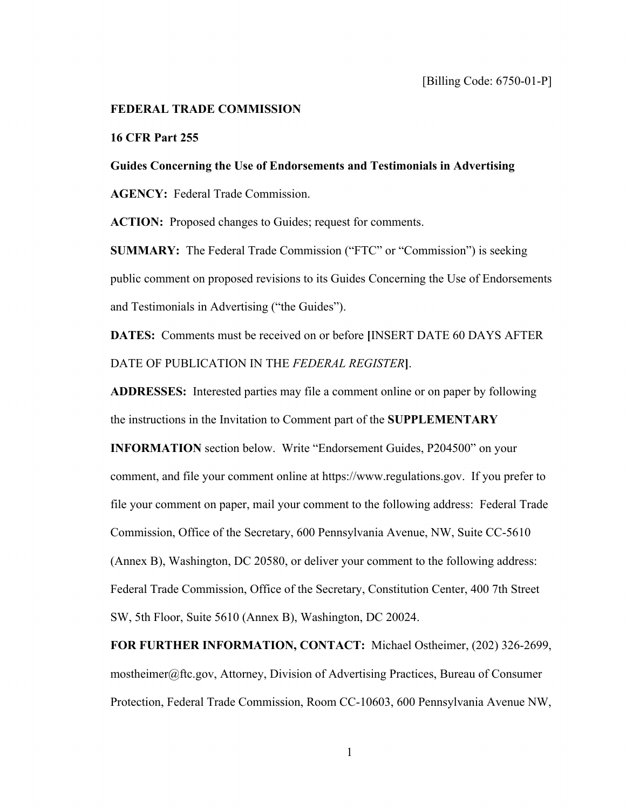## **FEDERAL TRADE COMMISSION**

## **16 CFR Part 255**

**Guides Concerning the Use of Endorsements and Testimonials in Advertising AGENCY:** Federal Trade Commission.

ACTION: Proposed changes to Guides; request for comments.

**SUMMARY:** The Federal Trade Commission ("FTC" or "Commission") is seeking public comment on proposed revisions to its Guides Concerning the Use of Endorsements and Testimonials in Advertising ("the Guides").

**DATES:** Comments must be received on or before **[**INSERT DATE 60 DAYS AFTER DATE OF PUBLICATION IN THE *FEDERAL REGISTER***]**.

**ADDRESSES:** Interested parties may file a comment online or on paper by following the instructions in the Invitation to Comment part of the **SUPPLEMENTARY** 

**INFORMATION** section below. Write "Endorsement Guides, P204500" on your comment, and file your comment online at [https://www.regulations.gov.](https://www.regulations.gov) If you prefer to file your comment on paper, mail your comment to the following address: Federal Trade Commission, Office of the Secretary, 600 Pennsylvania Avenue, NW, Suite CC-5610 (Annex B), Washington, DC 20580, or deliver your comment to the following address: Federal Trade Commission, Office of the Secretary, Constitution Center, 400 7th Street SW, 5th Floor, Suite 5610 (Annex B), Washington, DC 20024.

**FOR FURTHER INFORMATION, CONTACT:** Michael Ostheimer, (202) 326-2699, [mostheimer@ftc.gov](mailto:mostheimer@ftc.gov), Attorney, Division of Advertising Practices, Bureau of Consumer Protection, Federal Trade Commission, Room CC-10603, 600 Pennsylvania Avenue NW,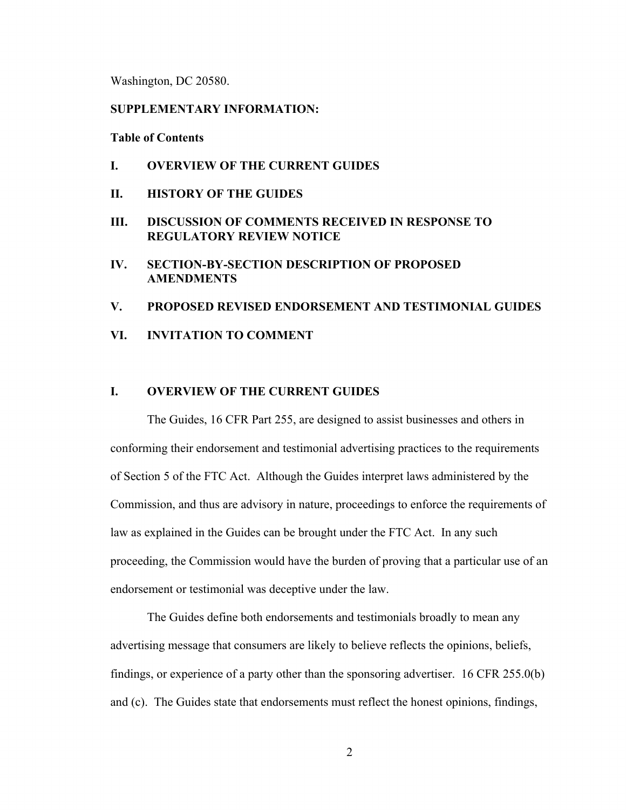Washington, DC 20580.

# **SUPPLEMENTARY INFORMATION:**

**Table of Contents** 

- **I. OVERVIEW OF THE CURRENT GUIDES**
- **II. HISTORY OF THE GUIDES**
- **III. DISCUSSION OF COMMENTS RECEIVED IN RESPONSE TO REGULATORY REVIEW NOTICE**
- **IV. SECTION-BY-SECTION DESCRIPTION OF PROPOSED AMENDMENTS**
- **V. PROPOSED REVISED ENDORSEMENT AND TESTIMONIAL GUIDES**
- **VI. INVITATION TO COMMENT**

# **I. OVERVIEW OF THE CURRENT GUIDES**

The Guides, 16 CFR Part 255, are designed to assist businesses and others in conforming their endorsement and testimonial advertising practices to the requirements of Section 5 of the FTC Act. Although the Guides interpret laws administered by the Commission, and thus are advisory in nature, proceedings to enforce the requirements of law as explained in the Guides can be brought under the FTC Act. In any such proceeding, the Commission would have the burden of proving that a particular use of an endorsement or testimonial was deceptive under the law.

The Guides define both endorsements and testimonials broadly to mean any advertising message that consumers are likely to believe reflects the opinions, beliefs, findings, or experience of a party other than the sponsoring advertiser. 16 CFR 255.0(b) and (c). The Guides state that endorsements must reflect the honest opinions, findings,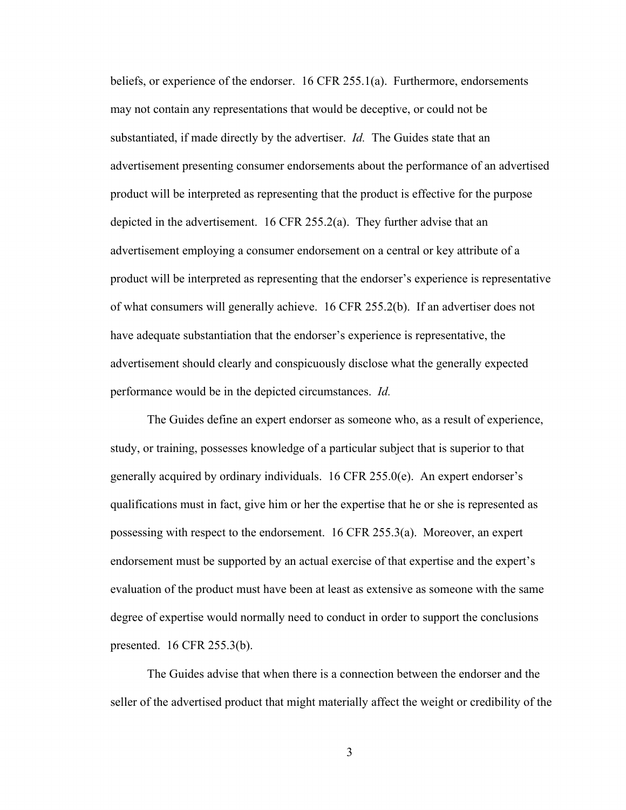performance would be in the depicted circumstances. *Id.* beliefs, or experience of the endorser. 16 CFR 255.1(a). Furthermore, endorsements may not contain any representations that would be deceptive, or could not be substantiated, if made directly by the advertiser. *Id.* The Guides state that an advertisement presenting consumer endorsements about the performance of an advertised product will be interpreted as representing that the product is effective for the purpose depicted in the advertisement. 16 CFR 255.2(a). They further advise that an advertisement employing a consumer endorsement on a central or key attribute of a product will be interpreted as representing that the endorser's experience is representative of what consumers will generally achieve. 16 CFR 255.2(b). If an advertiser does not have adequate substantiation that the endorser's experience is representative, the advertisement should clearly and conspicuously disclose what the generally expected

The Guides define an expert endorser as someone who, as a result of experience, study, or training, possesses knowledge of a particular subject that is superior to that generally acquired by ordinary individuals. 16 CFR 255.0(e). An expert endorser's qualifications must in fact, give him or her the expertise that he or she is represented as possessing with respect to the endorsement. 16 CFR 255.3(a). Moreover, an expert endorsement must be supported by an actual exercise of that expertise and the expert's evaluation of the product must have been at least as extensive as someone with the same degree of expertise would normally need to conduct in order to support the conclusions presented. 16 CFR 255.3(b).

The Guides advise that when there is a connection between the endorser and the seller of the advertised product that might materially affect the weight or credibility of the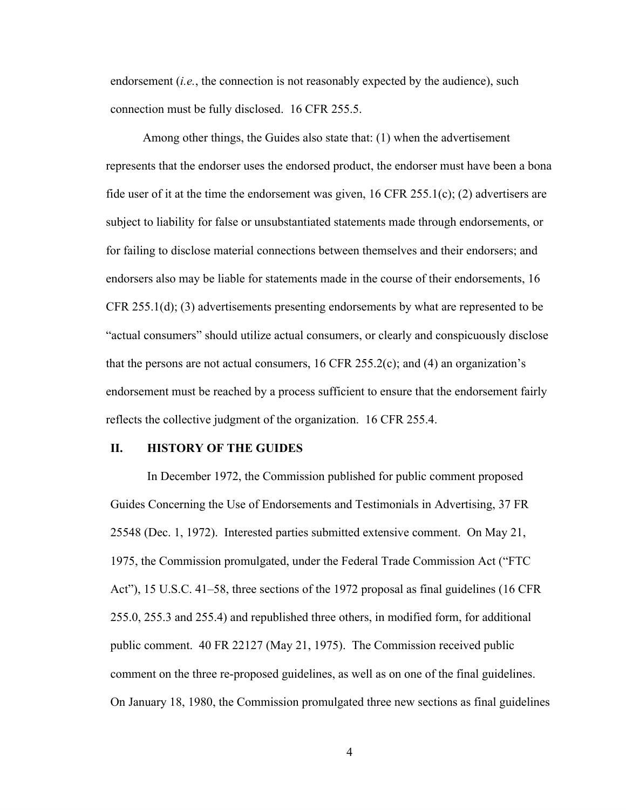endorsement (*i.e.*, the connection is not reasonably expected by the audience), such connection must be fully disclosed. 16 CFR 255.5.

Among other things, the Guides also state that: (1) when the advertisement represents that the endorser uses the endorsed product, the endorser must have been a bona fide user of it at the time the endorsement was given,  $16$  CFR 255.1(c); (2) advertisers are subject to liability for false or unsubstantiated statements made through endorsements, or for failing to disclose material connections between themselves and their endorsers; and endorsers also may be liable for statements made in the course of their endorsements, 16 CFR 255.1(d); (3) advertisements presenting endorsements by what are represented to be "actual consumers" should utilize actual consumers, or clearly and conspicuously disclose that the persons are not actual consumers,  $16$  CFR 255.2(c); and (4) an organization's endorsement must be reached by a process sufficient to ensure that the endorsement fairly reflects the collective judgment of the organization. 16 CFR 255.4.

## **II. HISTORY OF THE GUIDES**

In December 1972, the Commission published for public comment proposed Guides Concerning the Use of Endorsements and Testimonials in Advertising, 37 FR 25548 (Dec. 1, 1972). Interested parties submitted extensive comment. On May 21, 1975, the Commission promulgated, under the Federal Trade Commission Act ("FTC Act"), 15 U.S.C. 41–58, three sections of the 1972 proposal as final guidelines (16 CFR 255.0, 255.3 and 255.4) and republished three others, in modified form, for additional public comment. 40 FR 22127 (May 21, 1975). The Commission received public comment on the three re-proposed guidelines, as well as on one of the final guidelines. On January 18, 1980, the Commission promulgated three new sections as final guidelines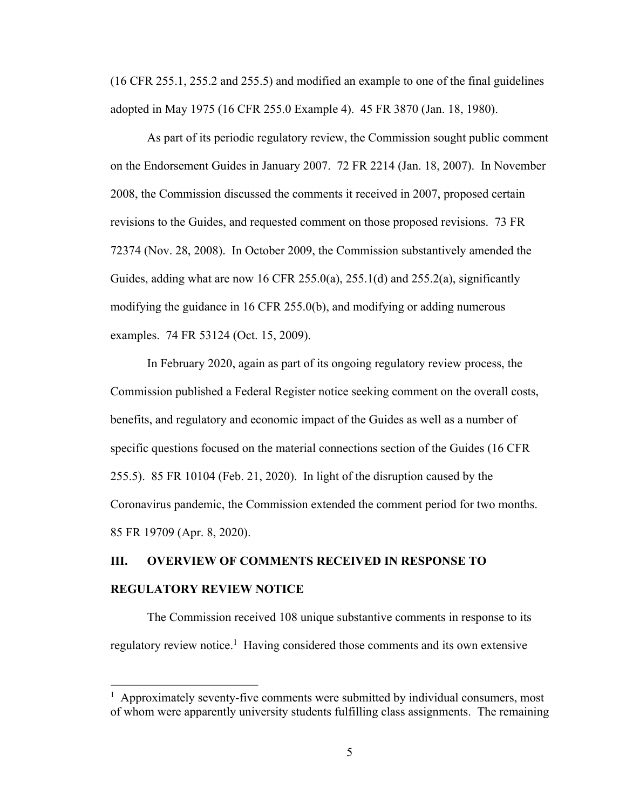(16 CFR 255.1, 255.2 and 255.5) and modified an example to one of the final guidelines adopted in May 1975 (16 CFR 255.0 Example 4). 45 FR 3870 (Jan. 18, 1980).

As part of its periodic regulatory review, the Commission sought public comment on the Endorsement Guides in January 2007. 72 FR 2214 (Jan. 18, 2007). In November 2008, the Commission discussed the comments it received in 2007, proposed certain revisions to the Guides, and requested comment on those proposed revisions. 73 FR 72374 (Nov. 28, 2008). In October 2009, the Commission substantively amended the Guides, adding what are now 16 CFR 255.0(a), 255.1(d) and 255.2(a), significantly modifying the guidance in 16 CFR 255.0(b), and modifying or adding numerous examples. 74 FR 53124 (Oct. 15, 2009).

In February 2020, again as part of its ongoing regulatory review process, the Commission published a Federal Register notice seeking comment on the overall costs, benefits, and regulatory and economic impact of the Guides as well as a number of specific questions focused on the material connections section of the Guides (16 CFR 255.5). 85 FR 10104 (Feb. 21, 2020). In light of the disruption caused by the Coronavirus pandemic, the Commission extended the comment period for two months. 85 FR 19709 (Apr. 8, 2020).

# **III. OVERVIEW OF COMMENTS RECEIVED IN RESPONSE TO REGULATORY REVIEW NOTICE**

The Commission received 108 unique substantive comments in response to its regulatory review notice.<sup>1</sup> Having considered those comments and its own extensive

<sup>&</sup>lt;sup>1</sup> Approximately seventy-five comments were submitted by individual consumers, most of whom were apparently university students fulfilling class assignments. The remaining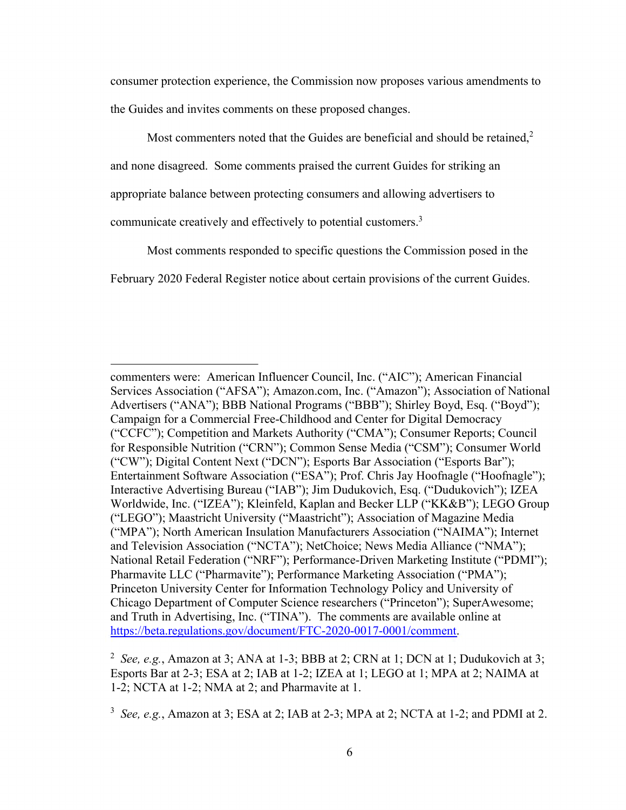consumer protection experience, the Commission now proposes various amendments to the Guides and invites comments on these proposed changes.

Most commenters noted that the Guides are beneficial and should be retained,<sup>2</sup>

and none disagreed. Some comments praised the current Guides for striking an

appropriate balance between protecting consumers and allowing advertisers to

communicate creatively and effectively to potential customers.3

Most comments responded to specific questions the Commission posed in the

February 2020 Federal Register notice about certain provisions of the current Guides.<br>
commenters were: American Influencer Council, Inc. ("AIC"); American Financial

Services Association ("AFSA"); [Amazon.com](https://Amazon.com), Inc. ("Amazon"); Association of National Advertisers ("ANA"); BBB National Programs ("BBB"); Shirley Boyd, Esq. ("Boyd"); Campaign for a Commercial Free-Childhood and Center for Digital Democracy ("CCFC"); Competition and Markets Authority ("CMA"); Consumer Reports; Council for Responsible Nutrition ("CRN"); Common Sense Media ("CSM"); Consumer World ("CW"); Digital Content Next ("DCN"); Esports Bar Association ("Esports Bar"); Entertainment Software Association ("ESA"); Prof. Chris Jay Hoofnagle ("Hoofnagle"); Interactive Advertising Bureau ("IAB"); Jim Dudukovich, Esq. ("Dudukovich"); IZEA Worldwide, Inc. ("IZEA"); Kleinfeld, Kaplan and Becker LLP ("KK&B"); LEGO Group ("LEGO"); Maastricht University ("Maastricht"); Association of Magazine Media ("MPA"); North American Insulation Manufacturers Association ("NAIMA"); Internet and Television Association ("NCTA"); NetChoice; News Media Alliance ("NMA"); National Retail Federation ("NRF"); Performance-Driven Marketing Institute ("PDMI"); Pharmavite LLC ("Pharmavite"); Performance Marketing Association ("PMA"); Princeton University Center for Information Technology Policy and University of Chicago Department of Computer Science researchers ("Princeton"); SuperAwesome; and Truth in Advertising, Inc. ("TINA"). The comments are available online at [https://beta.regulations.gov/document/FTC-2020-0017-0001/comment.](https://beta.regulations.gov/document/FTC-2020-0017-0001/comment)

 <sup>2</sup>*See, e.g.*, Amazon at 3; ANA at 1-3; BBB at 2; CRN at 1; DCN at 1; Dudukovich at 3; Esports Bar at 2-3; ESA at 2; IAB at 1-2; IZEA at 1; LEGO at 1; MPA at 2; NAIMA at 1-2; NCTA at 1-2; NMA at 2; and Pharmavite at 1.

 <sup>3</sup>*See, e.g.*, Amazon at 3; ESA at 2; IAB at 2-3; MPA at 2; NCTA at 1-2; and PDMI at 2.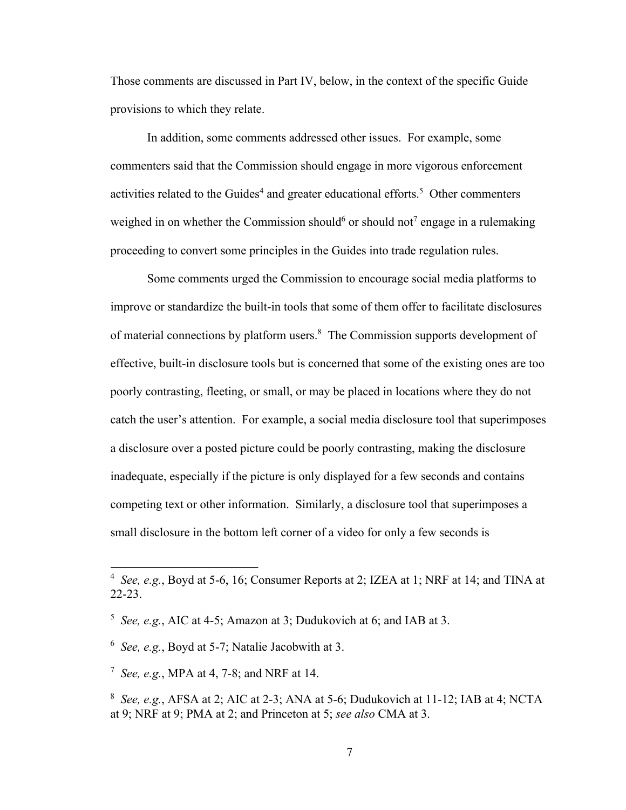Those comments are discussed in Part IV, below, in the context of the specific Guide provisions to which they relate.

In addition, some comments addressed other issues. For example, some commenters said that the Commission should engage in more vigorous enforcement activities related to the Guides<sup>4</sup> and greater educational efforts.<sup>5</sup> Other commenters weighed in on whether the Commission should<sup>6</sup> or should not<sup>7</sup> engage in a rulemaking proceeding to convert some principles in the Guides into trade regulation rules.

Some comments urged the Commission to encourage social media platforms to improve or standardize the built-in tools that some of them offer to facilitate disclosures of material connections by platform users.<sup>8</sup> The Commission supports development of effective, built-in disclosure tools but is concerned that some of the existing ones are too poorly contrasting, fleeting, or small, or may be placed in locations where they do not catch the user's attention. For example, a social media disclosure tool that superimposes a disclosure over a posted picture could be poorly contrasting, making the disclosure inadequate, especially if the picture is only displayed for a few seconds and contains competing text or other information. Similarly, a disclosure tool that superimposes a small disclosure in the bottom left corner of a video for only a few seconds is

 <sup>4</sup>*See, e.g.*, Boyd at 5-6, 16; Consumer Reports at 2; IZEA at 1; NRF at 14; and TINA at 22-23.

 <sup>5</sup>*See, e.g.*, AIC at 4-5; Amazon at 3; Dudukovich at 6; and IAB at 3.

 <sup>6</sup>*See, e.g.*, Boyd at 5-7; Natalie Jacobwith at 3.

 <sup>7</sup>*See, e.g.*, MPA at 4, 7-8; and NRF at 14.

 <sup>8</sup>*See, e.g.*, AFSA at 2; AIC at 2-3; ANA at 5-6; Dudukovich at 11-12; IAB at 4; NCTA at 9; NRF at 9; PMA at 2; and Princeton at 5; *see also* CMA at 3.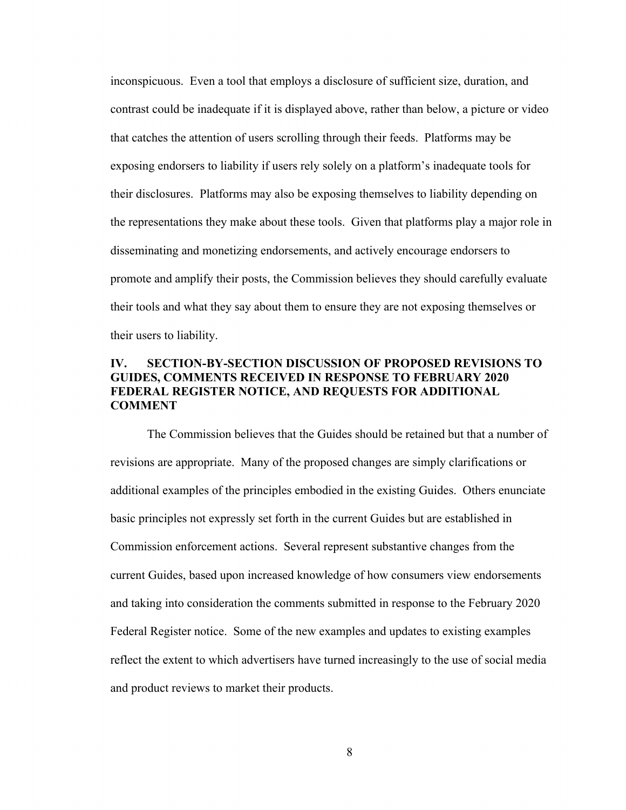inconspicuous. Even a tool that employs a disclosure of sufficient size, duration, and contrast could be inadequate if it is displayed above, rather than below, a picture or video that catches the attention of users scrolling through their feeds. Platforms may be exposing endorsers to liability if users rely solely on a platform's inadequate tools for their disclosures. Platforms may also be exposing themselves to liability depending on the representations they make about these tools. Given that platforms play a major role in disseminating and monetizing endorsements, and actively encourage endorsers to promote and amplify their posts, the Commission believes they should carefully evaluate their tools and what they say about them to ensure they are not exposing themselves or their users to liability.

# **IV. SECTION-BY-SECTION DISCUSSION OF PROPOSED REVISIONS TO GUIDES, COMMENTS RECEIVED IN RESPONSE TO FEBRUARY 2020 FEDERAL REGISTER NOTICE, AND REQUESTS FOR ADDITIONAL COMMENT**

The Commission believes that the Guides should be retained but that a number of revisions are appropriate. Many of the proposed changes are simply clarifications or additional examples of the principles embodied in the existing Guides. Others enunciate basic principles not expressly set forth in the current Guides but are established in Commission enforcement actions. Several represent substantive changes from the current Guides, based upon increased knowledge of how consumers view endorsements and taking into consideration the comments submitted in response to the February 2020 Federal Register notice. Some of the new examples and updates to existing examples reflect the extent to which advertisers have turned increasingly to the use of social media and product reviews to market their products.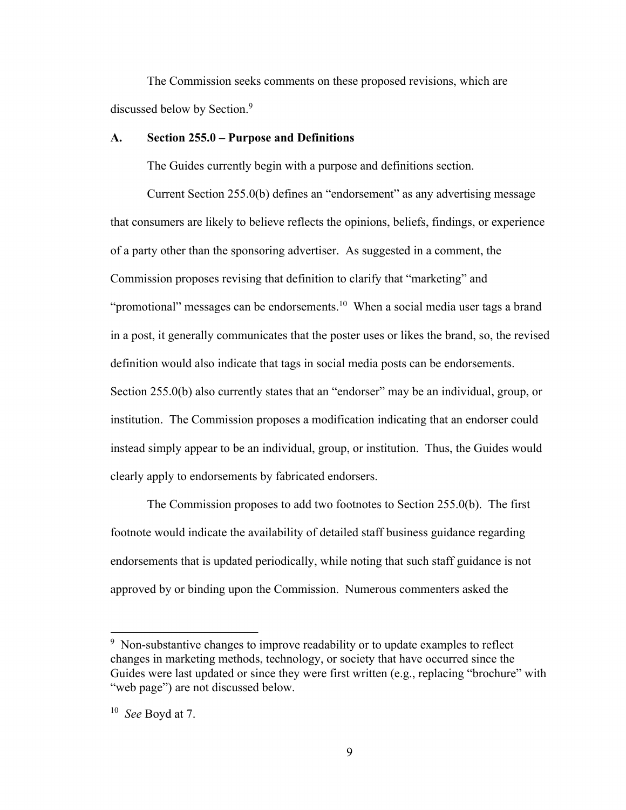The Commission seeks comments on these proposed revisions, which are discussed below by Section.<sup>9</sup>

#### **A. Section 255.0 – Purpose and Definitions**

The Guides currently begin with a purpose and definitions section.

Current Section 255.0(b) defines an "endorsement" as any advertising message that consumers are likely to believe reflects the opinions, beliefs, findings, or experience of a party other than the sponsoring advertiser. As suggested in a comment, the Commission proposes revising that definition to clarify that "marketing" and "promotional" messages can be endorsements.<sup>10</sup> When a social media user tags a brand in a post, it generally communicates that the poster uses or likes the brand, so, the revised definition would also indicate that tags in social media posts can be endorsements. Section 255.0(b) also currently states that an "endorser" may be an individual, group, or institution. The Commission proposes a modification indicating that an endorser could instead simply appear to be an individual, group, or institution. Thus, the Guides would clearly apply to endorsements by fabricated endorsers.

The Commission proposes to add two footnotes to Section 255.0(b). The first footnote would indicate the availability of detailed staff business guidance regarding endorsements that is updated periodically, while noting that such staff guidance is not approved by or binding upon the Commission. Numerous commenters asked the

 $9$  Non-substantive changes to improve readability or to update examples to reflect changes in marketing methods, technology, or society that have occurred since the Guides were last updated or since they were first written (e.g., replacing "brochure" with "web page") are not discussed below.

 <sup>10</sup>*See* Boyd at 7.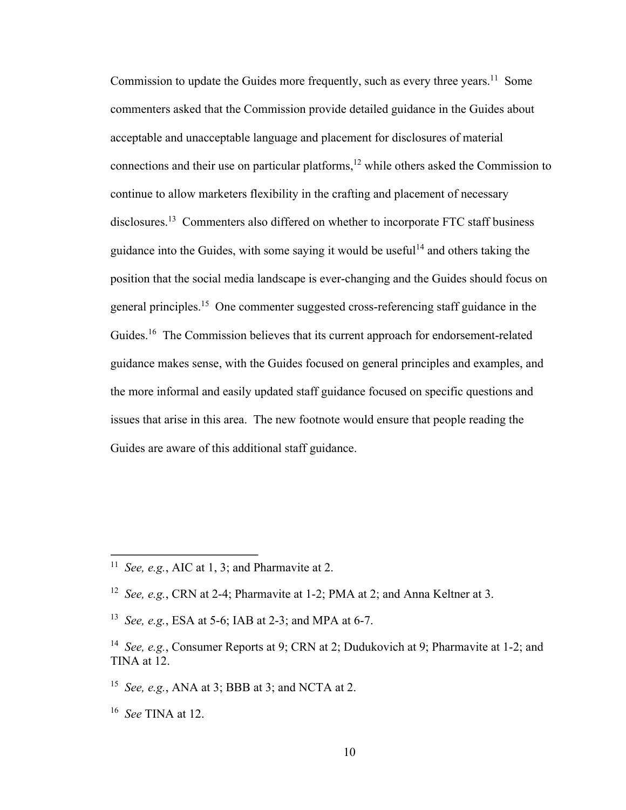Commission to update the Guides more frequently, such as every three years.<sup>11</sup> Some commenters asked that the Commission provide detailed guidance in the Guides about acceptable and unacceptable language and placement for disclosures of material connections and their use on particular platforms, $12$  while others asked the Commission to continue to allow marketers flexibility in the crafting and placement of necessary [disclosures.13](https://disclosures.13) Commenters also differed on whether to incorporate FTC staff business guidance into the Guides, with some saying it would be useful<sup>14</sup> and others taking the position that the social media landscape is ever-changing and the Guides should focus on general [principles.15](https://principles.15) One commenter suggested cross-referencing staff guidance in the [Guides.](https://Guides.16)<sup>16</sup> The Commission believes that its current approach for endorsement-related guidance makes sense, with the Guides focused on general principles and examples, and the more informal and easily updated staff guidance focused on specific questions and issues that arise in this area. The new footnote would ensure that people reading the Guides are aware of this additional staff guidance.

<sup>&</sup>lt;sup>11</sup> See, e.g., AIC at 1, 3; and Pharmavite at 2.

 <sup>12</sup>*See, e.g.*, CRN at 2-4; Pharmavite at 1-2; PMA at 2; and Anna Keltner at 3.

 <sup>13</sup>*See, e.g.*, ESA at 5-6; IAB at 2-3; and MPA at 6-7.

 <sup>14</sup>*See, e.g.*, Consumer Reports at 9; CRN at 2; Dudukovich at 9; Pharmavite at 1-2; and TINA at 12.

 <sup>15</sup>*See, e.g.*, ANA at 3; BBB at 3; and NCTA at 2.

 <sup>16</sup>*See* TINA at 12.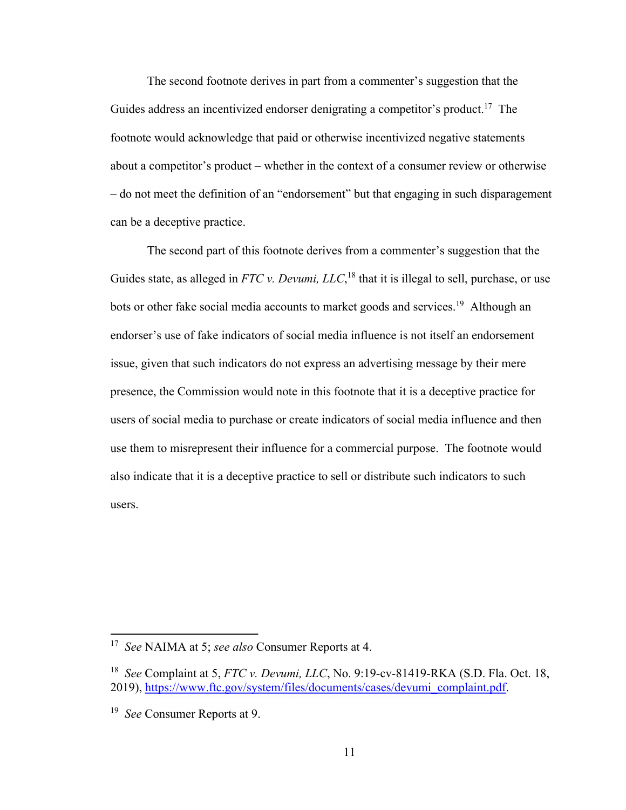The second footnote derives in part from a commenter's suggestion that the Guides address an incentivized endorser denigrating a competitor's product.<sup>17</sup> The footnote would acknowledge that paid or otherwise incentivized negative statements about a competitor's product – whether in the context of a consumer review or otherwise – do not meet the definition of an "endorsement" but that engaging in such disparagement can be a deceptive practice.

The second part of this footnote derives from a commenter's suggestion that the Guides state, as alleged in *FTC v. Devumi, LLC*,<sup>18</sup> that it is illegal to sell, purchase, or use bots or other fake social media accounts to market goods and services.<sup>19</sup> Although an endorser's use of fake indicators of social media influence is not itself an endorsement issue, given that such indicators do not express an advertising message by their mere presence, the Commission would note in this footnote that it is a deceptive practice for users of social media to purchase or create indicators of social media influence and then use them to misrepresent their influence for a commercial purpose. The footnote would also indicate that it is a deceptive practice to sell or distribute such indicators to such users.

 <sup>17</sup>*See* NAIMA at 5; *see also* Consumer Reports at 4.

 <sup>18</sup>*See* Complaint at 5, *FTC v. Devumi, LLC*, No. 9:19-cv-81419-RKA (S.D. Fla. Oct. 18, 2019), [https://www.ftc.gov/system/files/documents/cases/devumi\\_complaint.pdf](https://www.ftc.gov/system/files/documents/cases/devumi_complaint.pdf).

 <sup>19</sup>*See* Consumer Reports at 9.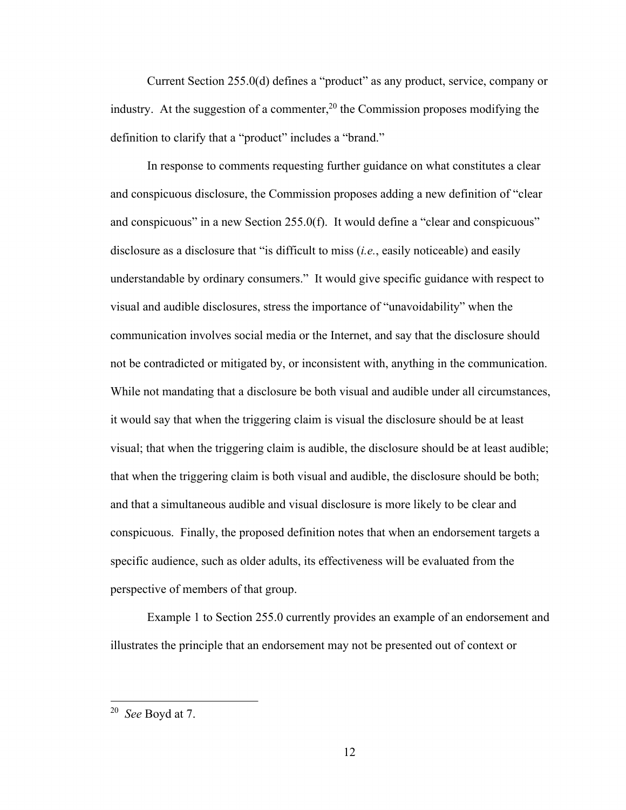Current Section 255.0(d) defines a "product" as any product, service, company or industry. At the suggestion of a commenter,<sup>20</sup> the Commission proposes modifying the definition to clarify that a "product" includes a "brand."

In response to comments requesting further guidance on what constitutes a clear and conspicuous disclosure, the Commission proposes adding a new definition of "clear and conspicuous" in a new Section  $255.0(f)$ . It would define a "clear and conspicuous" disclosure as a disclosure that "is difficult to miss (*i.e.*, easily noticeable) and easily understandable by ordinary consumers." It would give specific guidance with respect to visual and audible disclosures, stress the importance of "unavoidability" when the communication involves social media or the Internet, and say that the disclosure should not be contradicted or mitigated by, or inconsistent with, anything in the communication. While not mandating that a disclosure be both visual and audible under all circumstances, it would say that when the triggering claim is visual the disclosure should be at least visual; that when the triggering claim is audible, the disclosure should be at least audible; that when the triggering claim is both visual and audible, the disclosure should be both; and that a simultaneous audible and visual disclosure is more likely to be clear and conspicuous. Finally, the proposed definition notes that when an endorsement targets a specific audience, such as older adults, its effectiveness will be evaluated from the perspective of members of that group.

Example 1 to Section 255.0 currently provides an example of an endorsement and illustrates the principle that an endorsement may not be presented out of context or

 <sup>20</sup>*See* Boyd at 7.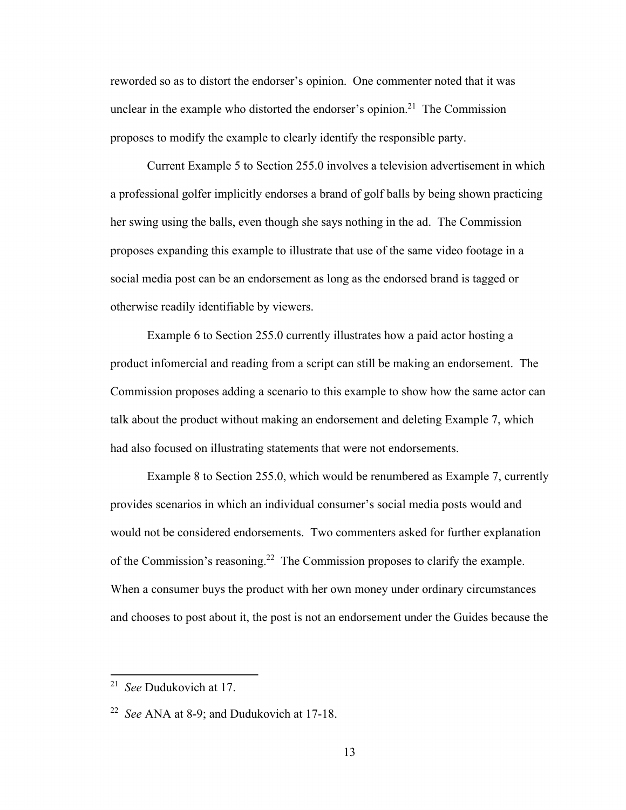reworded so as to distort the endorser's opinion. One commenter noted that it was unclear in the example who distorted the endorser's opinion.<sup>21</sup> The Commission proposes to modify the example to clearly identify the responsible party.

Current Example 5 to Section 255.0 involves a television advertisement in which a professional golfer implicitly endorses a brand of golf balls by being shown practicing her swing using the balls, even though she says nothing in the ad. The Commission proposes expanding this example to illustrate that use of the same video footage in a social media post can be an endorsement as long as the endorsed brand is tagged or otherwise readily identifiable by viewers.

Example 6 to Section 255.0 currently illustrates how a paid actor hosting a product infomercial and reading from a script can still be making an endorsement. The Commission proposes adding a scenario to this example to show how the same actor can talk about the product without making an endorsement and deleting Example 7, which had also focused on illustrating statements that were not endorsements.

Example 8 to Section 255.0, which would be renumbered as Example 7, currently provides scenarios in which an individual consumer's social media posts would and would not be considered endorsements. Two commenters asked for further explanation of the Commission's reasoning.<sup>22</sup> The Commission proposes to clarify the example. When a consumer buys the product with her own money under ordinary circumstances and chooses to post about it, the post is not an endorsement under the Guides because the

 <sup>21</sup>*See* Dudukovich at 17.

 <sup>22</sup>*See* ANA at 8-9; and Dudukovich at 17-18.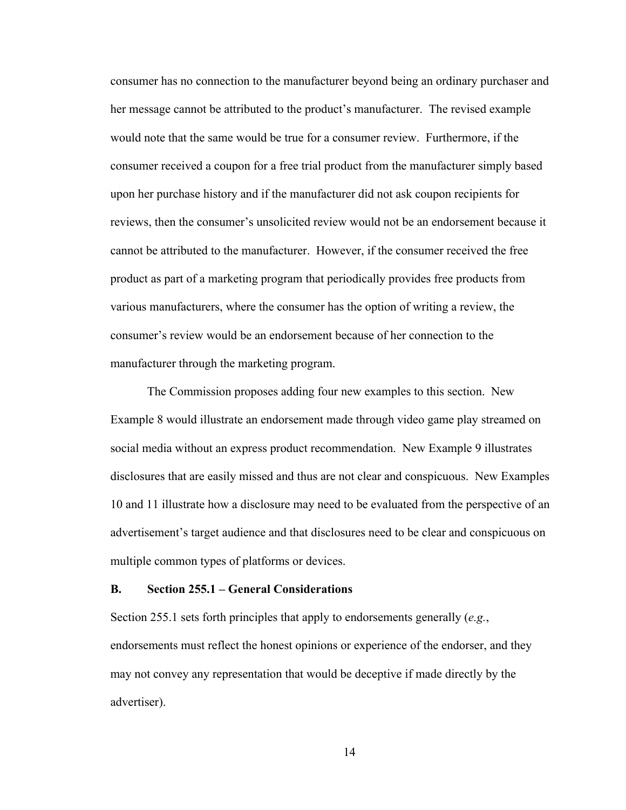consumer has no connection to the manufacturer beyond being an ordinary purchaser and her message cannot be attributed to the product's manufacturer. The revised example would note that the same would be true for a consumer review. Furthermore, if the consumer received a coupon for a free trial product from the manufacturer simply based upon her purchase history and if the manufacturer did not ask coupon recipients for reviews, then the consumer's unsolicited review would not be an endorsement because it cannot be attributed to the manufacturer. However, if the consumer received the free product as part of a marketing program that periodically provides free products from various manufacturers, where the consumer has the option of writing a review, the consumer's review would be an endorsement because of her connection to the manufacturer through the marketing program.

The Commission proposes adding four new examples to this section. New Example 8 would illustrate an endorsement made through video game play streamed on social media without an express product recommendation. New Example 9 illustrates disclosures that are easily missed and thus are not clear and conspicuous. New Examples 10 and 11 illustrate how a disclosure may need to be evaluated from the perspective of an advertisement's target audience and that disclosures need to be clear and conspicuous on multiple common types of platforms or devices.

## **B. Section 255.1 – General Considerations**

Section 255.1 sets forth principles that apply to endorsements generally (*e.g.*, endorsements must reflect the honest opinions or experience of the endorser, and they may not convey any representation that would be deceptive if made directly by the advertiser).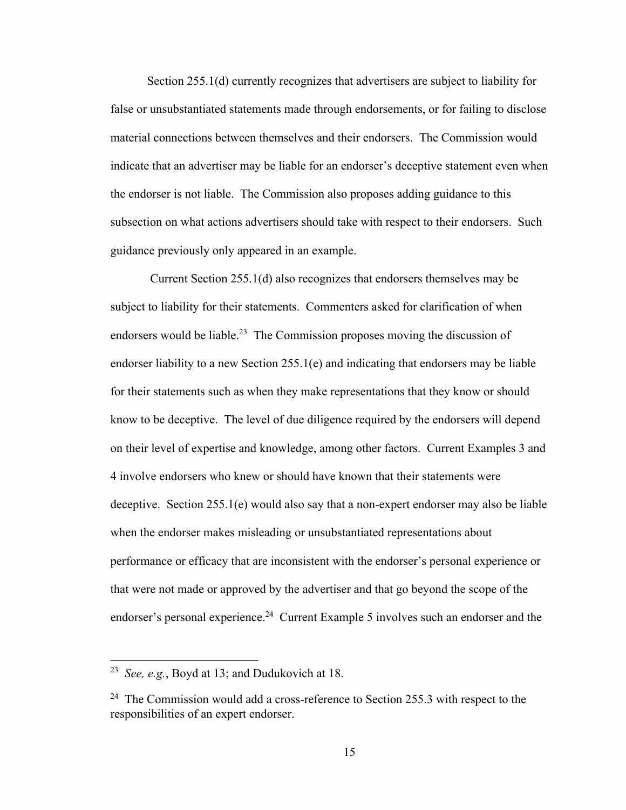Section 255.1(d) currently recognizes that advertisers are subject to liability for false or unsubstantiated statements made through endorsements, or for failing to disclose material connections between themselves and their endorsers. The Commission would indicate that an advertiser may be liable for an endorser's deceptive statement even when the endorser is not liable. The Commission also proposes adding guidance to this subsection on what actions advertisers should take with respect to their endorsers. Such guidance previously only appeared in an example.

 Current Section 255.1(d) also recognizes that endorsers themselves may be subject to liability for their statements. Commenters asked for clarification of when endorsers would be liable.<sup>23</sup> The Commission proposes moving the discussion of endorser liability to a new Section 255.1(e) and indicating that endorsers may be liable for their statements such as when they make representations that they know or should know to be deceptive. The level of due diligence required by the endorsers will depend on their level of expertise and knowledge, among other factors. Current Examples 3 and 4 involve endorsers who knew or should have known that their statements were deceptive. Section 255.1(e) would also say that a non-expert endorser may also be liable when the endorser makes misleading or unsubstantiated representations about performance or efficacy that are inconsistent with the endorser's personal experience or that were not made or approved by the advertiser and that go beyond the scope of the endorser's personal experience.<sup>24</sup> Current Example 5 involves such an endorser and the

 <sup>23</sup>*See, e.g.*, Boyd at 13; and Dudukovich at 18.

<sup>&</sup>lt;sup>24</sup> The Commission would add a cross-reference to Section 255.3 with respect to the responsibilities of an expert endorser.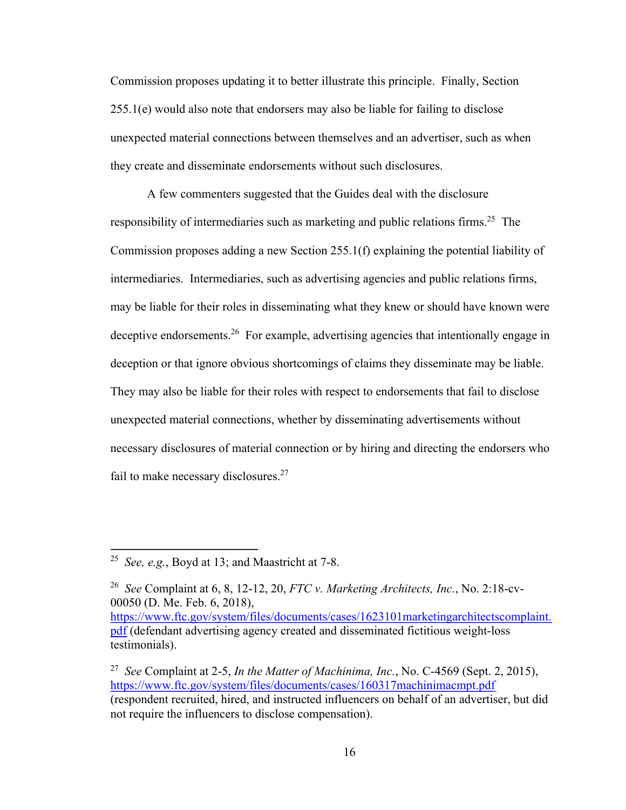Commission proposes updating it to better illustrate this principle. Finally, Section 255.1(e) would also note that endorsers may also be liable for failing to disclose unexpected material connections between themselves and an advertiser, such as when they create and disseminate endorsements without such disclosures.

A few commenters suggested that the Guides deal with the disclosure responsibility of intermediaries such as marketing and public relations firms.<sup>25</sup> The Commission proposes adding a new Section 255.1(f) explaining the potential liability of intermediaries. Intermediaries, such as advertising agencies and public relations firms, may be liable for their roles in disseminating what they knew or should have known were deceptive endorsements.<sup>26</sup> For example, advertising agencies that intentionally engage in deception or that ignore obvious shortcomings of claims they disseminate may be liable. They may also be liable for their roles with respect to endorsements that fail to disclose unexpected material connections, whether by disseminating advertisements without necessary disclosures of material connection or by hiring and directing the endorsers who fail to make necessary disclosures.<sup>27</sup>

 <sup>25</sup>*See, e.g.*, Boyd at 13; and Maastricht at 7-8.

 <sup>26</sup>*See* Complaint at 6, 8, 12-12, 20, *FTC v. Marketing Architects, Inc.*, No. 2:18-cv-00050 (D. Me. Feb. 6, 2018), https://www.ftc.gov/system/files/documents/cases/1623101marketingarchitectscomplaint. pdf (defendant advertising agency created and disseminated fictitious weight-loss testimonials).

 <sup>27</sup>*See* Complaint at 2-5, *In the Matter of Machinima, Inc.*, No. C-4569 (Sept. 2, 2015), https://www.ftc.gov/system/files/documents/cases/160317machinimacmpt.pdf (respondent recruited, hired, and instructed influencers on behalf of an advertiser, but did not require the influencers to disclose compensation).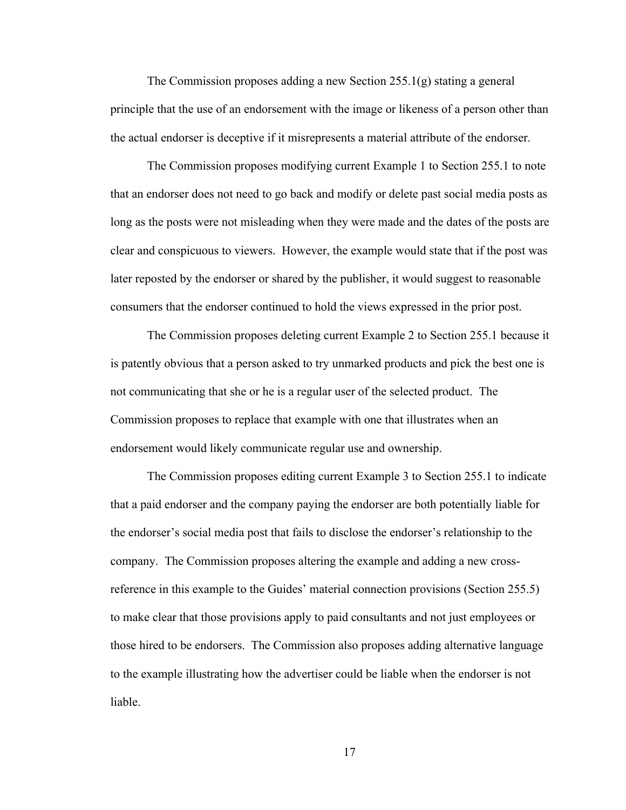The Commission proposes adding a new Section 255.1(g) stating a general principle that the use of an endorsement with the image or likeness of a person other than the actual endorser is deceptive if it misrepresents a material attribute of the endorser.

The Commission proposes modifying current Example 1 to Section 255.1 to note that an endorser does not need to go back and modify or delete past social media posts as long as the posts were not misleading when they were made and the dates of the posts are clear and conspicuous to viewers. However, the example would state that if the post was later reposted by the endorser or shared by the publisher, it would suggest to reasonable consumers that the endorser continued to hold the views expressed in the prior post.

The Commission proposes deleting current Example 2 to Section 255.1 because it is patently obvious that a person asked to try unmarked products and pick the best one is not communicating that she or he is a regular user of the selected product. The Commission proposes to replace that example with one that illustrates when an endorsement would likely communicate regular use and ownership.

The Commission proposes editing current Example 3 to Section 255.1 to indicate that a paid endorser and the company paying the endorser are both potentially liable for the endorser's social media post that fails to disclose the endorser's relationship to the company. The Commission proposes altering the example and adding a new crossreference in this example to the Guides' material connection provisions (Section 255.5) to make clear that those provisions apply to paid consultants and not just employees or those hired to be endorsers. The Commission also proposes adding alternative language to the example illustrating how the advertiser could be liable when the endorser is not liable.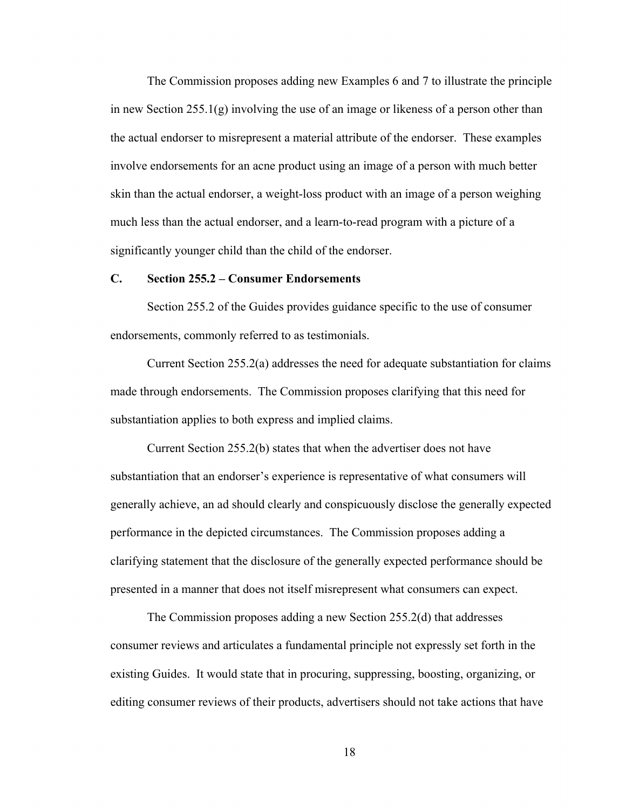The Commission proposes adding new Examples 6 and 7 to illustrate the principle in new Section  $255.1(g)$  involving the use of an image or likeness of a person other than the actual endorser to misrepresent a material attribute of the endorser. These examples involve endorsements for an acne product using an image of a person with much better skin than the actual endorser, a weight-loss product with an image of a person weighing much less than the actual endorser, and a learn-to-read program with a picture of a significantly younger child than the child of the endorser.

## **C. Section 255.2 – Consumer Endorsements**

Section 255.2 of the Guides provides guidance specific to the use of consumer endorsements, commonly referred to as testimonials.

Current Section 255.2(a) addresses the need for adequate substantiation for claims made through endorsements. The Commission proposes clarifying that this need for substantiation applies to both express and implied claims.

Current Section 255.2(b) states that when the advertiser does not have substantiation that an endorser's experience is representative of what consumers will generally achieve, an ad should clearly and conspicuously disclose the generally expected performance in the depicted circumstances. The Commission proposes adding a clarifying statement that the disclosure of the generally expected performance should be presented in a manner that does not itself misrepresent what consumers can expect.

The Commission proposes adding a new Section 255.2(d) that addresses consumer reviews and articulates a fundamental principle not expressly set forth in the existing Guides. It would state that in procuring, suppressing, boosting, organizing, or editing consumer reviews of their products, advertisers should not take actions that have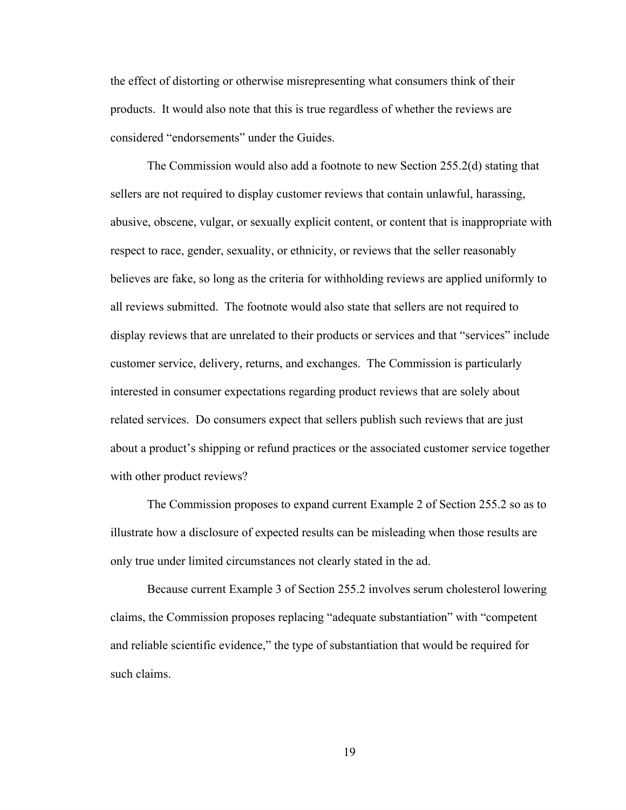the effect of distorting or otherwise misrepresenting what consumers think of their products. It would also note that this is true regardless of whether the reviews are considered "endorsements" under the Guides.

The Commission would also add a footnote to new Section 255.2(d) stating that sellers are not required to display customer reviews that contain unlawful, harassing, abusive, obscene, vulgar, or sexually explicit content, or content that is inappropriate with respect to race, gender, sexuality, or ethnicity, or reviews that the seller reasonably believes are fake, so long as the criteria for withholding reviews are applied uniformly to all reviews submitted. The footnote would also state that sellers are not required to display reviews that are unrelated to their products or services and that "services" include customer service, delivery, returns, and exchanges. The Commission is particularly interested in consumer expectations regarding product reviews that are solely about related services. Do consumers expect that sellers publish such reviews that are just about a product's shipping or refund practices or the associated customer service together with other product reviews?

The Commission proposes to expand current Example 2 of Section 255.2 so as to illustrate how a disclosure of expected results can be misleading when those results are only true under limited circumstances not clearly stated in the ad.

Because current Example 3 of Section 255.2 involves serum cholesterol lowering claims, the Commission proposes replacing "adequate substantiation" with "competent and reliable scientific evidence," the type of substantiation that would be required for such claims.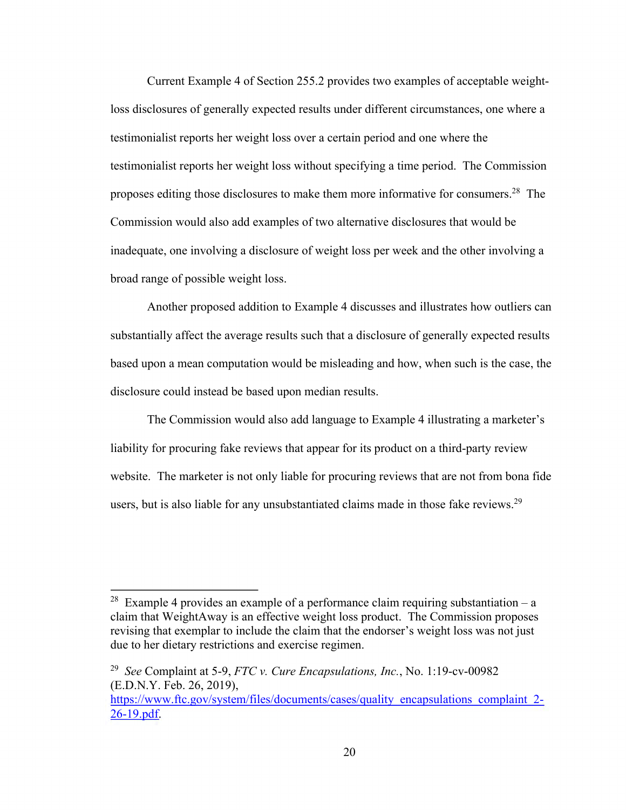Current Example 4 of Section 255.2 provides two examples of acceptable weightloss disclosures of generally expected results under different circumstances, one where a testimonialist reports her weight loss over a certain period and one where the testimonialist reports her weight loss without specifying a time period. The Commission proposes editing those disclosures to make them more informative for [consumers.](https://consumers.28)<sup>28</sup> The Commission would also add examples of two alternative disclosures that would be inadequate, one involving a disclosure of weight loss per week and the other involving a broad range of possible weight loss.

Another proposed addition to Example 4 discusses and illustrates how outliers can substantially affect the average results such that a disclosure of generally expected results based upon a mean computation would be misleading and how, when such is the case, the disclosure could instead be based upon median results.

The Commission would also add language to Example 4 illustrating a marketer's liability for procuring fake reviews that appear for its product on a third-party review website. The marketer is not only liable for procuring reviews that are not from bona fide users, but is also liable for any unsubstantiated claims made in those fake reviews.<sup>29</sup>

<sup>&</sup>lt;sup>28</sup> Example 4 provides an example of a performance claim requiring substantiation – a claim that WeightAway is an effective weight loss product. The Commission proposes revising that exemplar to include the claim that the endorser's weight loss was not just due to her dietary restrictions and exercise regimen.

 <sup>29</sup>*See* Complaint at 5-9, *FTC v. Cure Encapsulations, Inc.*, No. 1:19-cv-00982 (E.D.N.Y. Feb. 26, 2019),

https://www.ftc.gov/system/files/documents/cases/quality\_encapsulations\_complaint\_2-26-19.pdf.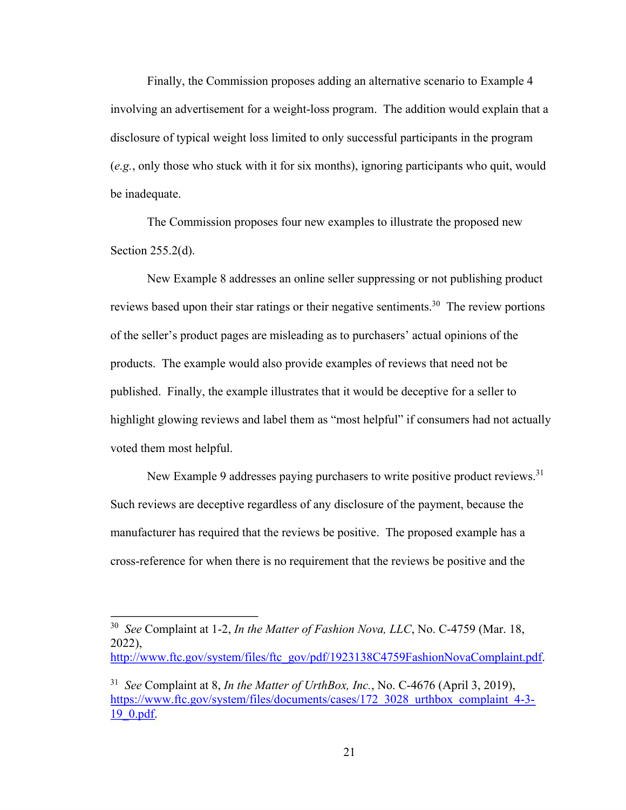Finally, the Commission proposes adding an alternative scenario to Example 4 involving an advertisement for a weight-loss program. The addition would explain that a disclosure of typical weight loss limited to only successful participants in the program (*e.g.*, only those who stuck with it for six months), ignoring participants who quit, would be inadequate.

The Commission proposes four new examples to illustrate the proposed new Section 255.2(d).

New Example 8 addresses an online seller suppressing or not publishing product reviews based upon their star ratings or their negative sentiments.<sup>30</sup> The review portions of the seller's product pages are misleading as to purchasers' actual opinions of the products. The example would also provide examples of reviews that need not be published. Finally, the example illustrates that it would be deceptive for a seller to highlight glowing reviews and label them as "most helpful" if consumers had not actually voted them most helpful.

New Example 9 addresses paying purchasers to write positive product reviews.<sup>31</sup> Such reviews are deceptive regardless of any disclosure of the payment, because the manufacturer has required that the reviews be positive. The proposed example has a cross-reference for when there is no requirement that the reviews be positive and the

 <sup>30</sup>*See* Complaint at 1-2, *In the Matter of Fashion Nova, LLC*, No. C-4759 (Mar. 18, 2022),

http://www.ftc.gov/system/files/ftc\_gov/pdf/1923138C4759FashionNovaComplaint.pdf.

 <sup>31</sup>*See* Complaint at 8, *In the Matter of UrthBox, Inc.*, No. C-4676 (April 3, 2019), https://www.ftc.gov/system/files/documents/cases/172\_3028\_urthbox\_complaint\_4-3-19\_0.pdf.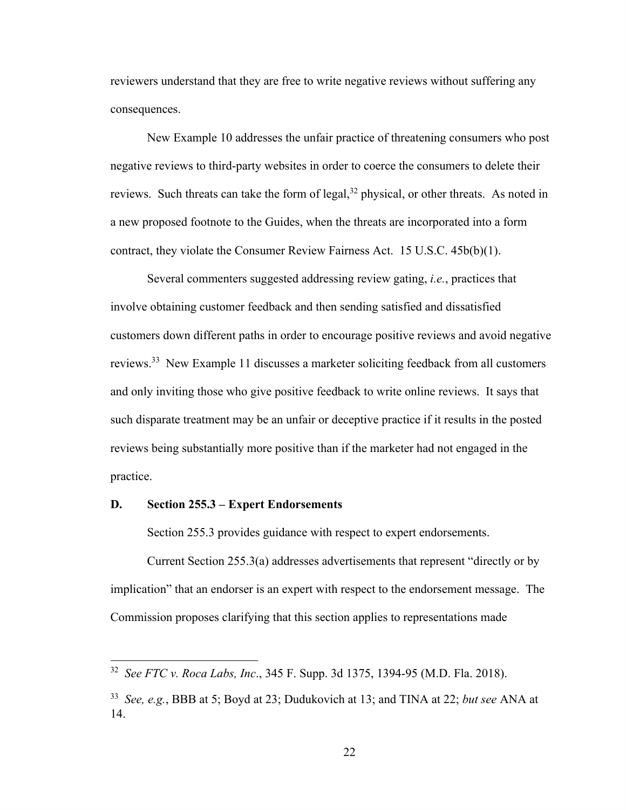reviewers understand that they are free to write negative reviews without suffering any consequences.

New Example 10 addresses the unfair practice of threatening consumers who post negative reviews to third-party websites in order to coerce the consumers to delete their reviews. Such threats can take the form of legal,  $32$  physical, or other threats. As noted in a new proposed footnote to the Guides, when the threats are incorporated into a form contract, they violate the Consumer Review Fairness Act. 15 U.S.C. 45b(b)(1).

Several commenters suggested addressing review gating, *i.e.*, practices that involve obtaining customer feedback and then sending satisfied and dissatisfied customers down different paths in order to encourage positive reviews and avoid negative reviews.<sup>33</sup> New Example 11 discusses a marketer soliciting feedback from all customers and only inviting those who give positive feedback to write online reviews. It says that such disparate treatment may be an unfair or deceptive practice if it results in the posted reviews being substantially more positive than if the marketer had not engaged in the practice.

# **D. Section 255.3 – Expert Endorsements**

Section 255.3 provides guidance with respect to expert endorsements.

Current Section 255.3(a) addresses advertisements that represent "directly or by implication" that an endorser is an expert with respect to the endorsement message. The Commission proposes clarifying that this section applies to representations made

 <sup>32</sup>*See FTC v. Roca Labs, Inc*., 345 F. Supp. 3d 1375, 1394-95 (M.D. Fla. 2018).

 <sup>33</sup>*See, e.g.*, BBB at 5; Boyd at 23; Dudukovich at 13; and TINA at 22; *but see* ANA at 14.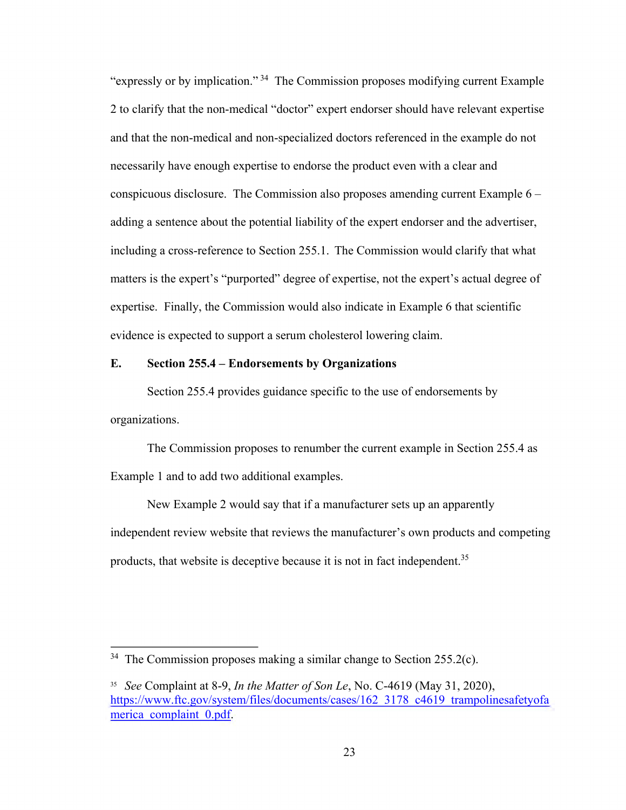"expressly or by implication." 34 The Commission proposes modifying current Example 2 to clarify that the non-medical "doctor" expert endorser should have relevant expertise and that the non-medical and non-specialized doctors referenced in the example do not necessarily have enough expertise to endorse the product even with a clear and conspicuous disclosure. The Commission also proposes amending current Example 6 – adding a sentence about the potential liability of the expert endorser and the advertiser, including a cross-reference to Section 255.1. The Commission would clarify that what matters is the expert's "purported" degree of expertise, not the expert's actual degree of expertise. Finally, the Commission would also indicate in Example 6 that scientific evidence is expected to support a serum cholesterol lowering claim.

#### **E. Section 255.4 – Endorsements by Organizations**

Section 255.4 provides guidance specific to the use of endorsements by organizations.

The Commission proposes to renumber the current example in Section 255.4 as Example 1 and to add two additional examples.

New Example 2 would say that if a manufacturer sets up an apparently independent review website that reviews the manufacturer's own products and competing products, that website is deceptive because it is not in fact independent.<sup>35</sup>

 $34$  The Commission proposes making a similar change to Section 255.2(c).

 <sup>35</sup>*See* Complaint at 8-9, *In the Matter of Son Le*, No. C-4619 (May 31, 2020), https://www.ftc.gov/system/files/documents/cases/162\_3178\_c4619\_trampolinesafetyofa merica complaint 0.pdf.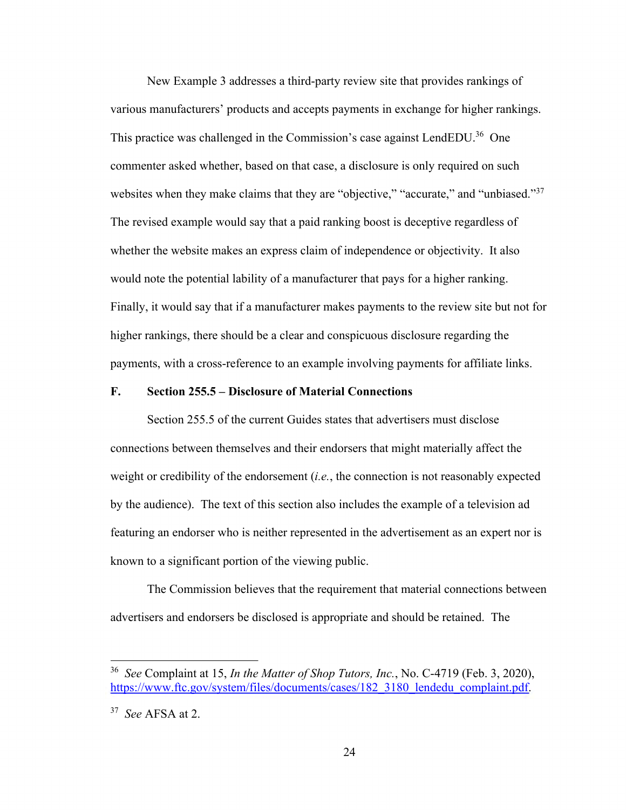websites when they make claims that they are "objective," "accurate," and "unbiased."<sup>37</sup> New Example 3 addresses a third-party review site that provides rankings of various manufacturers' products and accepts payments in exchange for higher rankings. This practice was challenged in the Commission's case against LendEDU.<sup>36</sup> One commenter asked whether, based on that case, a disclosure is only required on such The revised example would say that a paid ranking boost is deceptive regardless of whether the website makes an express claim of independence or objectivity. It also would note the potential lability of a manufacturer that pays for a higher ranking. Finally, it would say that if a manufacturer makes payments to the review site but not for higher rankings, there should be a clear and conspicuous disclosure regarding the payments, with a cross-reference to an example involving payments for affiliate links.

## **F. Section 255.5 – Disclosure of Material Connections**

Section 255.5 of the current Guides states that advertisers must disclose connections between themselves and their endorsers that might materially affect the weight or credibility of the endorsement (*i.e.*, the connection is not reasonably expected by the audience). The text of this section also includes the example of a television ad featuring an endorser who is neither represented in the advertisement as an expert nor is known to a significant portion of the viewing public.

The Commission believes that the requirement that material connections between advertisers and endorsers be disclosed is appropriate and should be retained. The

 <sup>36</sup>*See* Complaint at 15, *In the Matter of Shop Tutors, Inc.*, No. C-4719 (Feb. 3, 2020), [https://www.ftc.gov/system/files/documents/cases/182\\_3180\\_lendedu\\_complaint.pdf](https://www.ftc.gov/system/files/documents/cases/182_3180_lendedu_complaint.pdf).

 <sup>37</sup>*See* AFSA at 2.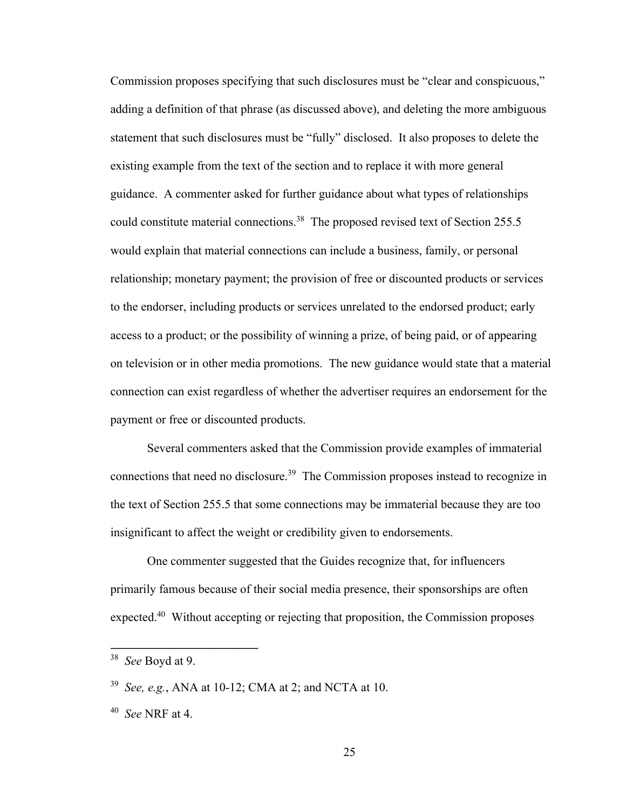Commission proposes specifying that such disclosures must be "clear and conspicuous," adding a definition of that phrase (as discussed above), and deleting the more ambiguous statement that such disclosures must be "fully" disclosed. It also proposes to delete the existing example from the text of the section and to replace it with more general guidance. A commenter asked for further guidance about what types of relationships could constitute material connections.<sup>38</sup> The proposed revised text of Section 255.5 would explain that material connections can include a business, family, or personal relationship; monetary payment; the provision of free or discounted products or services to the endorser, including products or services unrelated to the endorsed product; early access to a product; or the possibility of winning a prize, of being paid, or of appearing on television or in other media promotions. The new guidance would state that a material connection can exist regardless of whether the advertiser requires an endorsement for the payment or free or discounted products.

Several commenters asked that the Commission provide examples of immaterial connections that need no disclosure.<sup>39</sup> The Commission proposes instead to recognize in the text of Section 255.5 that some connections may be immaterial because they are too insignificant to affect the weight or credibility given to endorsements.

One commenter suggested that the Guides recognize that, for influencers primarily famous because of their social media presence, their sponsorships are often [expected.40](https://expected.40) Without accepting or rejecting that proposition, the Commission proposes

 <sup>38</sup>*See* Boyd at 9.

 <sup>39</sup>*See, e.g.*, ANA at 10-12; CMA at 2; and NCTA at 10.

 <sup>40</sup>*See* NRF at 4.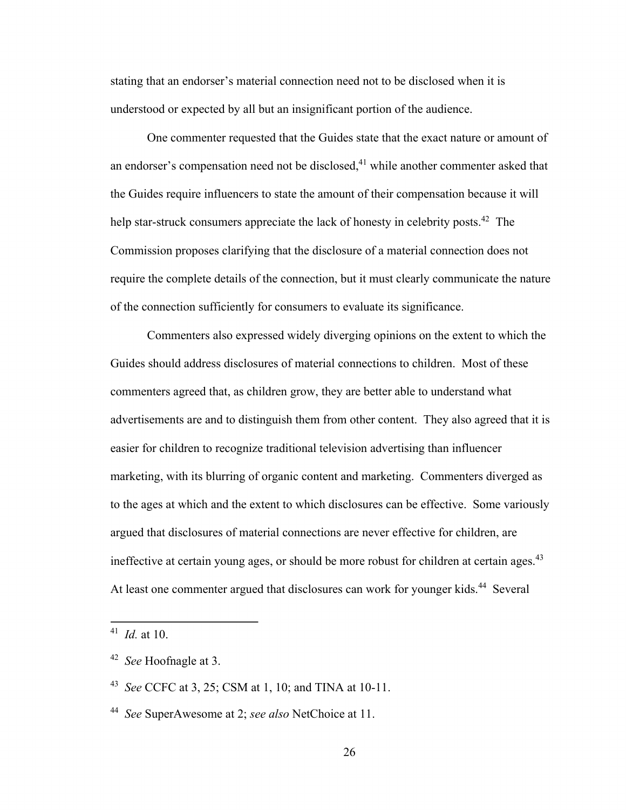stating that an endorser's material connection need not to be disclosed when it is understood or expected by all but an insignificant portion of the audience.

One commenter requested that the Guides state that the exact nature or amount of an endorser's compensation need not be disclosed,<sup>41</sup> while another commenter asked that the Guides require influencers to state the amount of their compensation because it will help star-struck consumers appreciate the lack of honesty in celebrity [posts.](https://posts.42)<sup>42</sup> The Commission proposes clarifying that the disclosure of a material connection does not require the complete details of the connection, but it must clearly communicate the nature of the connection sufficiently for consumers to evaluate its significance.

ineffective at certain young ages, or should be more robust for children at certain ages.<sup>43</sup> Commenters also expressed widely diverging opinions on the extent to which the Guides should address disclosures of material connections to children. Most of these commenters agreed that, as children grow, they are better able to understand what advertisements are and to distinguish them from other content. They also agreed that it is easier for children to recognize traditional television advertising than influencer marketing, with its blurring of organic content and marketing. Commenters diverged as to the ages at which and the extent to which disclosures can be effective. Some variously argued that disclosures of material connections are never effective for children, are At least one commenter argued that disclosures can work for younger kids.<sup>44</sup> Several

 <sup>41</sup>*Id.* at 10.

 <sup>42</sup>*See* Hoofnagle at 3.

 <sup>43</sup>*See* CCFC at 3, 25; CSM at 1, 10; and TINA at 10-11.

 <sup>44</sup>*See* SuperAwesome at 2; *see also* NetChoice at 11.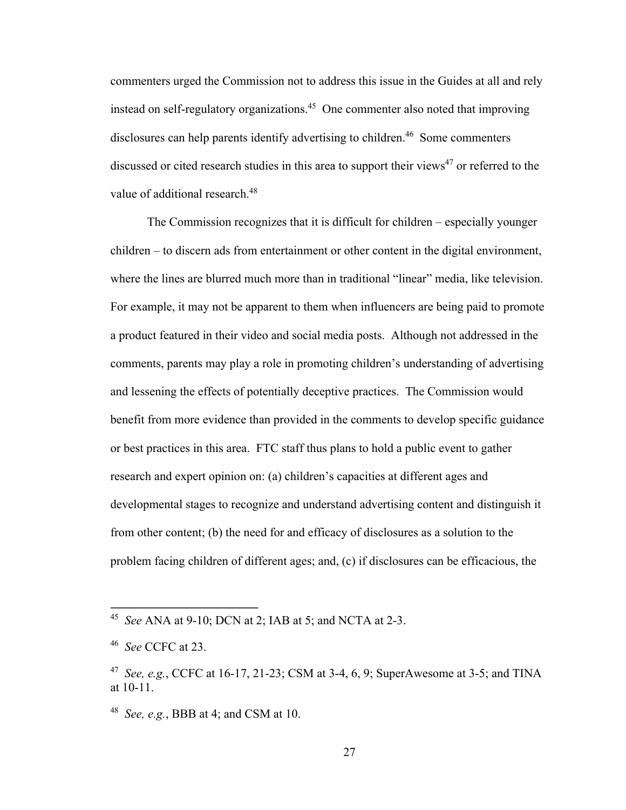commenters urged the Commission not to address this issue in the Guides at all and rely instead on self-regulatory [organizations.45](https://organizations.45) One commenter also noted that improving disclosures can help parents identify advertising to children.<sup>46</sup> Some commenters discussed or cited research studies in this area to support their views<sup>47</sup> or referred to the value of additional research.<sup>48</sup>

The Commission recognizes that it is difficult for children – especially younger children – to discern ads from entertainment or other content in the digital environment, where the lines are blurred much more than in traditional "linear" media, like television. For example, it may not be apparent to them when influencers are being paid to promote a product featured in their video and social media posts. Although not addressed in the comments, parents may play a role in promoting children's understanding of advertising and lessening the effects of potentially deceptive practices. The Commission would benefit from more evidence than provided in the comments to develop specific guidance or best practices in this area. FTC staff thus plans to hold a public event to gather research and expert opinion on: (a) children's capacities at different ages and developmental stages to recognize and understand advertising content and distinguish it from other content; (b) the need for and efficacy of disclosures as a solution to the problem facing children of different ages; and, (c) if disclosures can be efficacious, the

 <sup>45</sup>*See* ANA at 9-10; DCN at 2; IAB at 5; and NCTA at 2-3.

 <sup>46</sup>*See* CCFC at 23.

 <sup>47</sup>*See, e.g.*, CCFC at 16-17, 21-23; CSM at 3-4, 6, 9; SuperAwesome at 3-5; and TINA at 10-11.

 <sup>48</sup>*See, e.g.*, BBB at 4; and CSM at 10.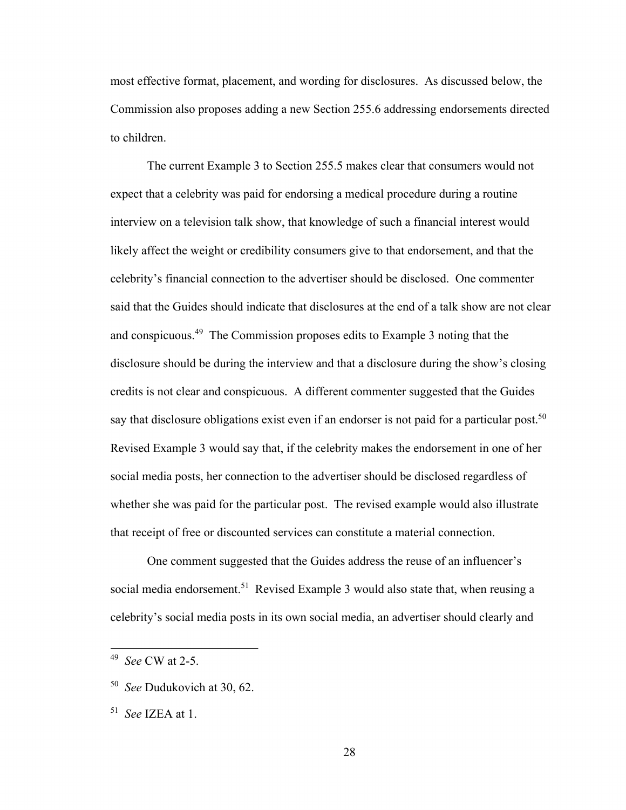most effective format, placement, and wording for disclosures. As discussed below, the Commission also proposes adding a new Section 255.6 addressing endorsements directed to children.

say that disclosure obligations exist even if an endorser is not paid for a particular post.<sup>50</sup> The current Example 3 to Section 255.5 makes clear that consumers would not expect that a celebrity was paid for endorsing a medical procedure during a routine interview on a television talk show, that knowledge of such a financial interest would likely affect the weight or credibility consumers give to that endorsement, and that the celebrity's financial connection to the advertiser should be disclosed. One commenter said that the Guides should indicate that disclosures at the end of a talk show are not clear and [conspicuous.49](https://conspicuous.49) The Commission proposes edits to Example 3 noting that the disclosure should be during the interview and that a disclosure during the show's closing credits is not clear and conspicuous. A different commenter suggested that the Guides Revised Example 3 would say that, if the celebrity makes the endorsement in one of her social media posts, her connection to the advertiser should be disclosed regardless of whether she was paid for the particular post. The revised example would also illustrate that receipt of free or discounted services can constitute a material connection.

One comment suggested that the Guides address the reuse of an influencer's social media [endorsement.](https://endorsement.51)<sup>51</sup> Revised Example 3 would also state that, when reusing a celebrity's social media posts in its own social media, an advertiser should clearly and

 <sup>49</sup>*See* CW at 2-5.

 <sup>50</sup>*See* Dudukovich at 30, 62.

 <sup>51</sup>*See* IZEA at 1.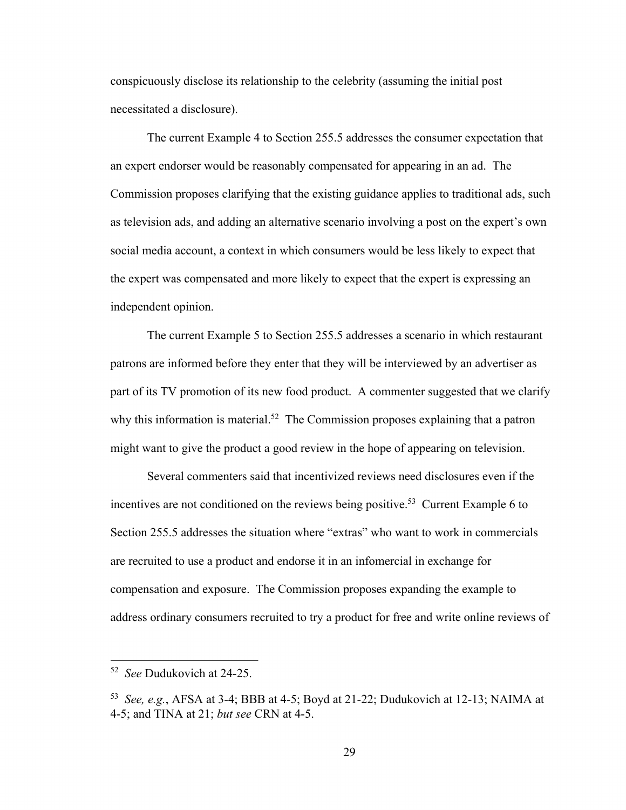conspicuously disclose its relationship to the celebrity (assuming the initial post necessitated a disclosure).

The current Example 4 to Section 255.5 addresses the consumer expectation that an expert endorser would be reasonably compensated for appearing in an ad. The Commission proposes clarifying that the existing guidance applies to traditional ads, such as television ads, and adding an alternative scenario involving a post on the expert's own social media account, a context in which consumers would be less likely to expect that the expert was compensated and more likely to expect that the expert is expressing an independent opinion.

The current Example 5 to Section 255.5 addresses a scenario in which restaurant patrons are informed before they enter that they will be interviewed by an advertiser as part of its TV promotion of its new food product. A commenter suggested that we clarify why this information is material.<sup>52</sup> The Commission proposes explaining that a patron might want to give the product a good review in the hope of appearing on television.

Several commenters said that incentivized reviews need disclosures even if the incentives are not conditioned on the reviews being positive.<sup>53</sup> Current Example 6 to Section 255.5 addresses the situation where "extras" who want to work in commercials are recruited to use a product and endorse it in an infomercial in exchange for compensation and exposure. The Commission proposes expanding the example to address ordinary consumers recruited to try a product for free and write online reviews of

 <sup>52</sup>*See* Dudukovich at 24-25.

 <sup>53</sup>*See, e.g.*, AFSA at 3-4; BBB at 4-5; Boyd at 21-22; Dudukovich at 12-13; NAIMA at 4-5; and TINA at 21; *but see* CRN at 4-5.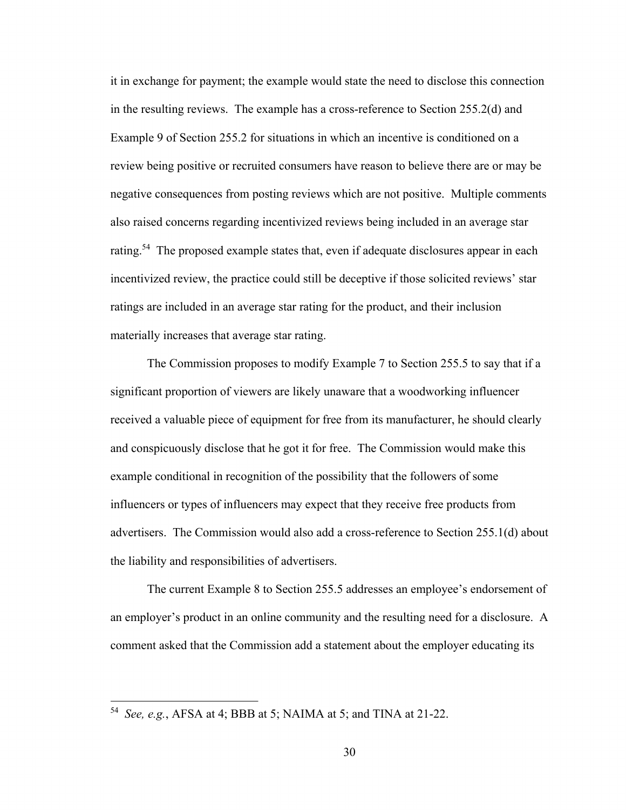it in exchange for payment; the example would state the need to disclose this connection in the resulting reviews. The example has a cross-reference to Section 255.2(d) and Example 9 of Section 255.2 for situations in which an incentive is conditioned on a review being positive or recruited consumers have reason to believe there are or may be negative consequences from posting reviews which are not positive. Multiple comments also raised concerns regarding incentivized reviews being included in an average star rating.<sup>54</sup> The proposed example states that, even if adequate disclosures appear in each incentivized review, the practice could still be deceptive if those solicited reviews' star ratings are included in an average star rating for the product, and their inclusion materially increases that average star rating.

The Commission proposes to modify Example 7 to Section 255.5 to say that if a significant proportion of viewers are likely unaware that a woodworking influencer received a valuable piece of equipment for free from its manufacturer, he should clearly and conspicuously disclose that he got it for free. The Commission would make this example conditional in recognition of the possibility that the followers of some influencers or types of influencers may expect that they receive free products from advertisers. The Commission would also add a cross-reference to Section 255.1(d) about the liability and responsibilities of advertisers.

The current Example 8 to Section 255.5 addresses an employee's endorsement of an employer's product in an online community and the resulting need for a disclosure. A comment asked that the Commission add a statement about the employer educating its

 <sup>54</sup>*See, e.g.*, AFSA at 4; BBB at 5; NAIMA at 5; and TINA at 21-22.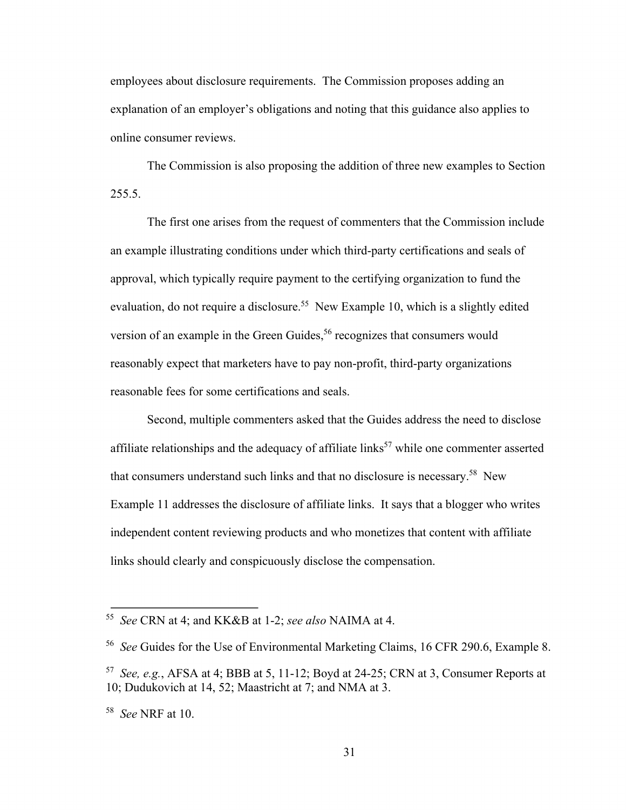employees about disclosure requirements. The Commission proposes adding an explanation of an employer's obligations and noting that this guidance also applies to online consumer reviews.

The Commission is also proposing the addition of three new examples to Section 255.5.

The first one arises from the request of commenters that the Commission include an example illustrating conditions under which third-party certifications and seals of approval, which typically require payment to the certifying organization to fund the evaluation, do not require a disclosure.<sup>55</sup> New Example 10, which is a slightly edited version of an example in the Green Guides,<sup>56</sup> recognizes that consumers would reasonably expect that marketers have to pay non-profit, third-party organizations reasonable fees for some certifications and seals.

Second, multiple commenters asked that the Guides address the need to disclose affiliate relationships and the adequacy of affiliate links<sup>57</sup> while one commenter asserted that consumers understand such links and that no disclosure is necessary.<sup>58</sup> New Example 11 addresses the disclosure of affiliate links. It says that a blogger who writes independent content reviewing products and who monetizes that content with affiliate links should clearly and conspicuously disclose the compensation.

 <sup>55</sup>*See* CRN at 4; and KK&B at 1-2; *see also* NAIMA at 4.

 <sup>56</sup>*See* Guides for the Use of Environmental Marketing Claims, 16 CFR 290.6, Example 8.

 <sup>57</sup>*See, e.g.*, AFSA at 4; BBB at 5, 11-12; Boyd at 24-25; CRN at 3, Consumer Reports at 10; Dudukovich at 14, 52; Maastricht at 7; and NMA at 3.

 <sup>58</sup>*See* NRF at 10.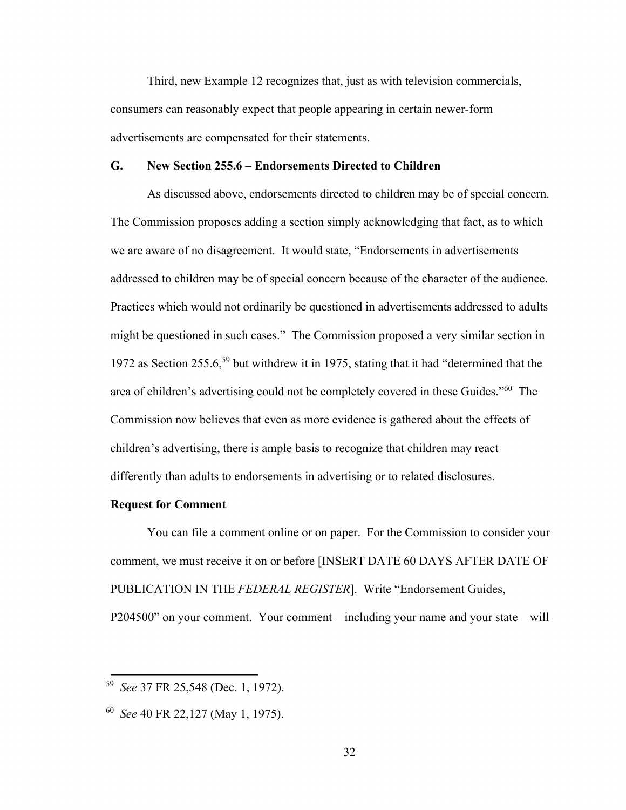Third, new Example 12 recognizes that, just as with television commercials, consumers can reasonably expect that people appearing in certain newer-form advertisements are compensated for their statements.

# **G. New Section 255.6 – Endorsements Directed to Children**

As discussed above, endorsements directed to children may be of special concern. The Commission proposes adding a section simply acknowledging that fact, as to which we are aware of no disagreement. It would state, "Endorsements in advertisements addressed to children may be of special concern because of the character of the audience. Practices which would not ordinarily be questioned in advertisements addressed to adults might be questioned in such cases." The Commission proposed a very similar section in 1972 as Section 255.6,59 but withdrew it in 1975, stating that it had "determined that the area of children's advertising could not be completely covered in these Guides."60 The Commission now believes that even as more evidence is gathered about the effects of children's advertising, there is ample basis to recognize that children may react differently than adults to endorsements in advertising or to related disclosures.

# **Request for Comment**

You can file a comment online or on paper. For the Commission to consider your comment, we must receive it on or before [INSERT DATE 60 DAYS AFTER DATE OF PUBLICATION IN THE *FEDERAL REGISTER*]. Write "Endorsement Guides, P204500" on your comment. Your comment – including your name and your state – will

 <sup>59</sup>*See* 37 FR 25,548 (Dec. 1, 1972).

 <sup>60</sup>*See* 40 FR 22,127 (May 1, 1975).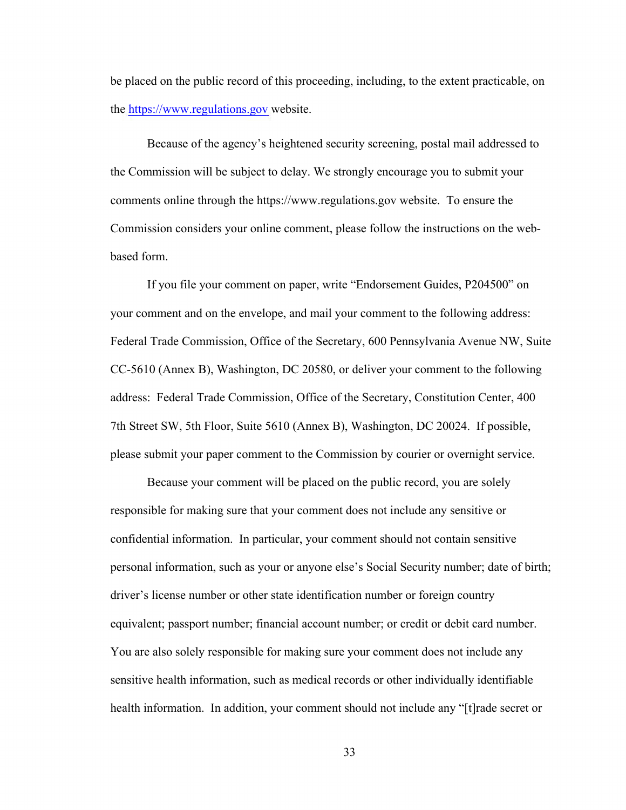be placed on the public record of this proceeding, including, to the extent practicable, on the <https://www.regulations.gov> website.

Because of the agency's heightened security screening, postal mail addressed to the Commission will be subject to delay. We strongly encourage you to submit your comments online through the<https://www.regulations.gov>website. To ensure the Commission considers your online comment, please follow the instructions on the webbased form.

If you file your comment on paper, write "Endorsement Guides, P204500" on your comment and on the envelope, and mail your comment to the following address: Federal Trade Commission, Office of the Secretary, 600 Pennsylvania Avenue NW, Suite CC-5610 (Annex B), Washington, DC 20580, or deliver your comment to the following address: Federal Trade Commission, Office of the Secretary, Constitution Center, 400 7th Street SW, 5th Floor, Suite 5610 (Annex B), Washington, DC 20024. If possible, please submit your paper comment to the Commission by courier or overnight service.

Because your comment will be placed on the public record, you are solely responsible for making sure that your comment does not include any sensitive or confidential information. In particular, your comment should not contain sensitive personal information, such as your or anyone else's Social Security number; date of birth; driver's license number or other state identification number or foreign country equivalent; passport number; financial account number; or credit or debit card number. You are also solely responsible for making sure your comment does not include any sensitive health information, such as medical records or other individually identifiable health information. In addition, your comment should not include any "[t]rade secret or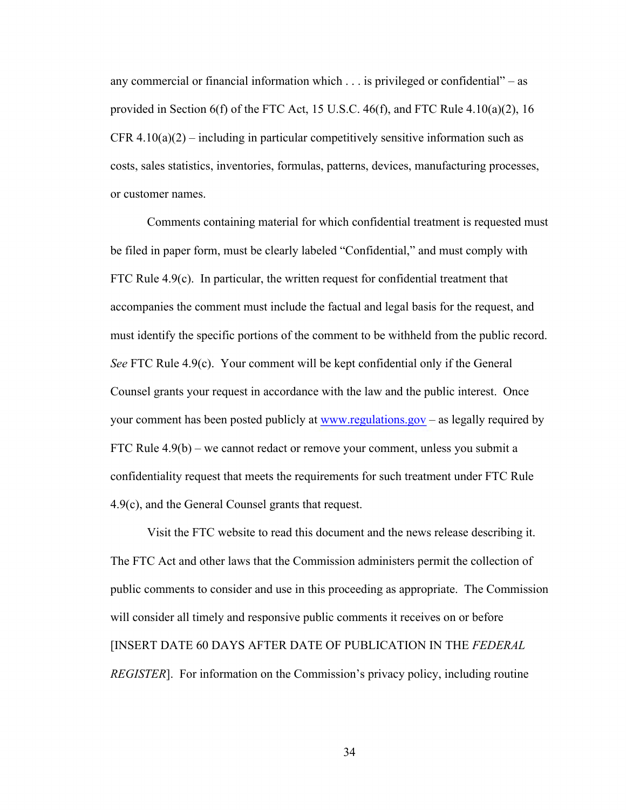any commercial or financial information which  $\dots$  is privileged or confidential" – as provided in Section 6(f) of the FTC Act, 15 U.S.C. 46(f), and FTC Rule 4.10(a)(2), 16 CFR  $4.10(a)(2)$  – including in particular competitively sensitive information such as costs, sales statistics, inventories, formulas, patterns, devices, manufacturing processes, or customer names.

Comments containing material for which confidential treatment is requested must be filed in paper form, must be clearly labeled "Confidential," and must comply with FTC Rule 4.9(c). In particular, the written request for confidential treatment that accompanies the comment must include the factual and legal basis for the request, and must identify the specific portions of the comment to be withheld from the public record. *See* FTC Rule 4.9(c). Your comment will be kept confidential only if the General Counsel grants your request in accordance with the law and the public interest. Once your comment has been posted publicly at <www.regulations.gov>– as legally required by FTC Rule 4.9(b) – we cannot redact or remove your comment, unless you submit a confidentiality request that meets the requirements for such treatment under FTC Rule 4.9(c), and the General Counsel grants that request.

Visit the FTC website to read this document and the news release describing it. The FTC Act and other laws that the Commission administers permit the collection of public comments to consider and use in this proceeding as appropriate. The Commission will consider all timely and responsive public comments it receives on or before [INSERT DATE 60 DAYS AFTER DATE OF PUBLICATION IN THE *FEDERAL REGISTER*]. For information on the Commission's privacy policy, including routine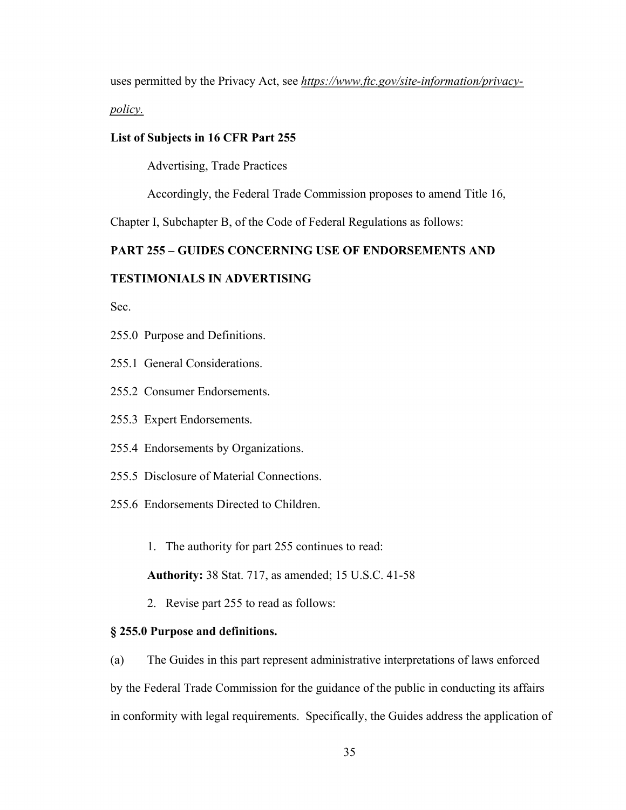uses permitted by the Privacy Act, see *<https://www.ftc.gov/site-information/privacy>-*

*policy.* 

# **List of Subjects in 16 CFR Part 255**

Advertising, Trade Practices

Accordingly, the Federal Trade Commission proposes to amend Title 16,

Chapter I, Subchapter B, of the Code of Federal Regulations as follows:

# **PART 255 – GUIDES CONCERNING USE OF ENDORSEMENTS AND**

# **TESTIMONIALS IN ADVERTISING**

Sec.

- 255.0 Purpose and Definitions.
- 255.1 General Considerations.
- 255.2 Consumer Endorsements.
- 255.3 Expert Endorsements.
- 255.4 Endorsements by Organizations.
- 255.5 Disclosure of Material Connections.
- 255.6 Endorsements Directed to Children.
	- 1. The authority for part 255 continues to read:

**Authority:** 38 Stat. 717, as amended; 15 U.S.C. 41-58

2. Revise part 255 to read as follows:

# **§ 255.0 Purpose and definitions.**

(a) The Guides in this part represent administrative interpretations of laws enforced by the Federal Trade Commission for the guidance of the public in conducting its affairs in conformity with legal requirements. Specifically, the Guides address the application of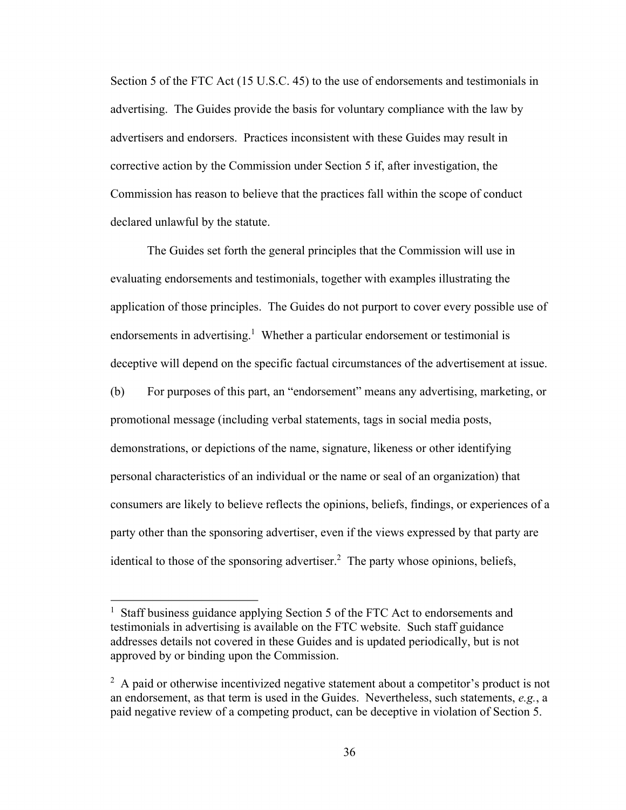Section 5 of the FTC Act (15 U.S.C. 45) to the use of endorsements and testimonials in advertising. The Guides provide the basis for voluntary compliance with the law by advertisers and endorsers. Practices inconsistent with these Guides may result in corrective action by the Commission under Section 5 if, after investigation, the Commission has reason to believe that the practices fall within the scope of conduct declared unlawful by the statute.

The Guides set forth the general principles that the Commission will use in evaluating endorsements and testimonials, together with examples illustrating the application of those principles. The Guides do not purport to cover every possible use of endorsements in advertising.<sup>1</sup> Whether a particular endorsement or testimonial is deceptive will depend on the specific factual circumstances of the advertisement at issue. (b) For purposes of this part, an "endorsement" means any advertising, marketing, or promotional message (including verbal statements, tags in social media posts, demonstrations, or depictions of the name, signature, likeness or other identifying personal characteristics of an individual or the name or seal of an organization) that consumers are likely to believe reflects the opinions, beliefs, findings, or experiences of a party other than the sponsoring advertiser, even if the views expressed by that party are identical to those of the sponsoring advertiser.<sup>2</sup> The party whose opinions, beliefs,

<sup>&</sup>lt;sup>1</sup> Staff business guidance applying Section 5 of the FTC Act to endorsements and testimonials in advertising is available on the FTC website. Such staff guidance addresses details not covered in these Guides and is updated periodically, but is not approved by or binding upon the Commission.

 $2$  A paid or otherwise incentivized negative statement about a competitor's product is not an endorsement, as that term is used in the Guides. Nevertheless, such statements, *e.g.*, a paid negative review of a competing product, can be deceptive in violation of Section 5.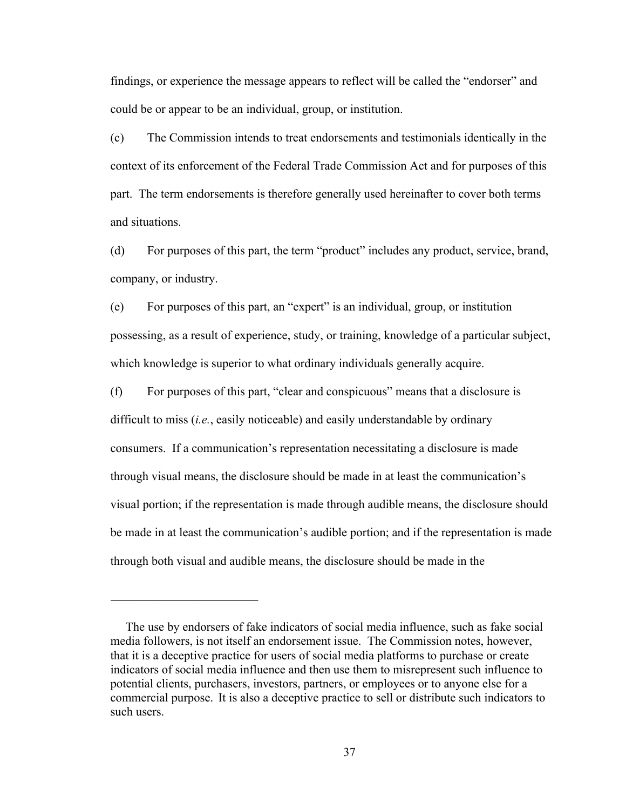findings, or experience the message appears to reflect will be called the "endorser" and could be or appear to be an individual, group, or institution.

(c) The Commission intends to treat endorsements and testimonials identically in the context of its enforcement of the Federal Trade Commission Act and for purposes of this part. The term endorsements is therefore generally used hereinafter to cover both terms and situations.

(d) For purposes of this part, the term "product" includes any product, service, brand, company, or industry.

(e) For purposes of this part, an "expert" is an individual, group, or institution possessing, as a result of experience, study, or training, knowledge of a particular subject, which knowledge is superior to what ordinary individuals generally acquire.

(f) For purposes of this part, "clear and conspicuous" means that a disclosure is difficult to miss (*i.e.*, easily noticeable) and easily understandable by ordinary consumers. If a communication's representation necessitating a disclosure is made through visual means, the disclosure should be made in at least the communication's visual portion; if the representation is made through audible means, the disclosure should be made in at least the communication's audible portion; and if the representation is made through both visual and audible means, the disclosure should be made in the

 commercial purpose. It is also a deceptive practice to sell or distribute such indicators to The use by endorsers of fake indicators of social media influence, such as fake social media followers, is not itself an endorsement issue. The Commission notes, however, that it is a deceptive practice for users of social media platforms to purchase or create indicators of social media influence and then use them to misrepresent such influence to potential clients, purchasers, investors, partners, or employees or to anyone else for a such users.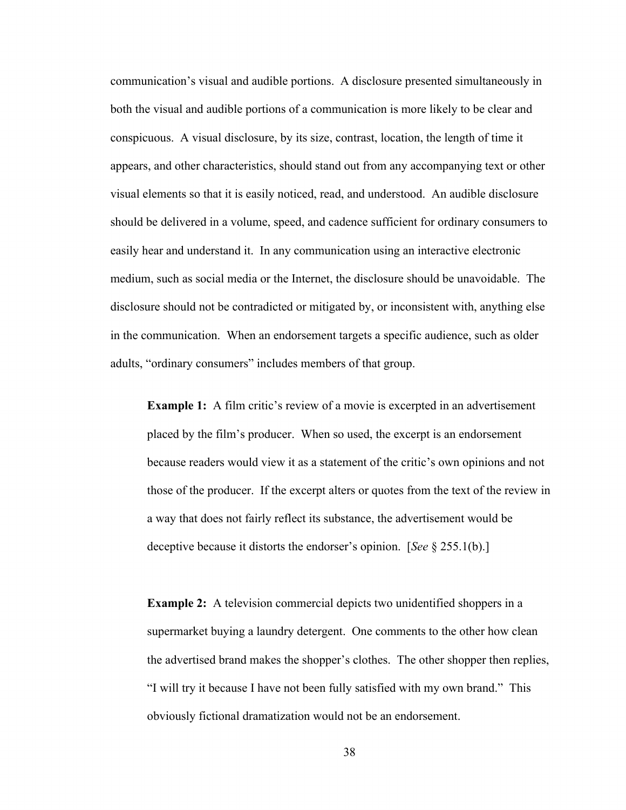communication's visual and audible portions. A disclosure presented simultaneously in both the visual and audible portions of a communication is more likely to be clear and conspicuous. A visual disclosure, by its size, contrast, location, the length of time it appears, and other characteristics, should stand out from any accompanying text or other visual elements so that it is easily noticed, read, and understood. An audible disclosure should be delivered in a volume, speed, and cadence sufficient for ordinary consumers to easily hear and understand it. In any communication using an interactive electronic medium, such as social media or the Internet, the disclosure should be unavoidable. The disclosure should not be contradicted or mitigated by, or inconsistent with, anything else in the communication. When an endorsement targets a specific audience, such as older adults, "ordinary consumers" includes members of that group.

**Example 1:** A film critic's review of a movie is excerpted in an advertisement placed by the film's producer. When so used, the excerpt is an endorsement because readers would view it as a statement of the critic's own opinions and not those of the producer. If the excerpt alters or quotes from the text of the review in a way that does not fairly reflect its substance, the advertisement would be deceptive because it distorts the endorser's opinion. [*See* § 255.1(b).]

**Example 2:** A television commercial depicts two unidentified shoppers in a supermarket buying a laundry detergent. One comments to the other how clean the advertised brand makes the shopper's clothes. The other shopper then replies, "I will try it because I have not been fully satisfied with my own brand." This obviously fictional dramatization would not be an endorsement.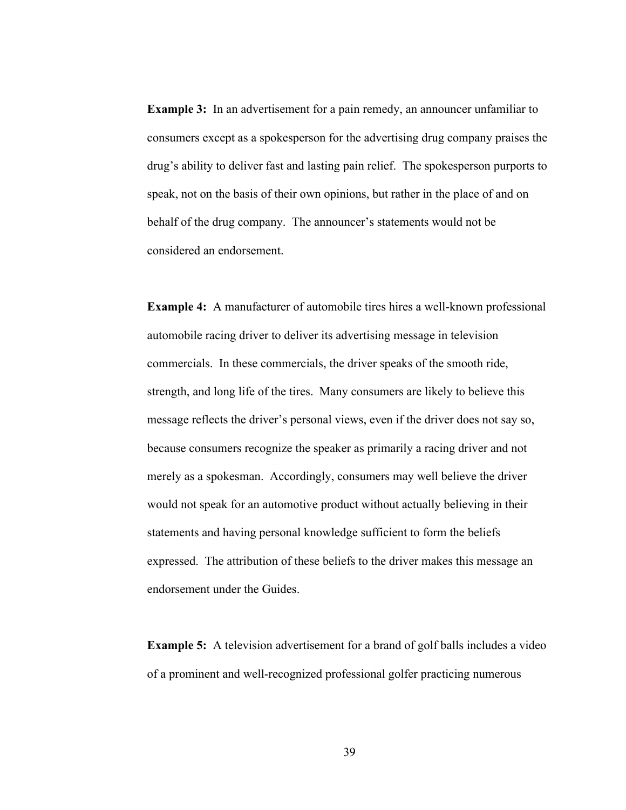**Example 3:** In an advertisement for a pain remedy, an announcer unfamiliar to consumers except as a spokesperson for the advertising drug company praises the drug's ability to deliver fast and lasting pain relief. The spokesperson purports to speak, not on the basis of their own opinions, but rather in the place of and on behalf of the drug company. The announcer's statements would not be considered an endorsement.

**Example 4:** A manufacturer of automobile tires hires a well-known professional automobile racing driver to deliver its advertising message in television commercials. In these commercials, the driver speaks of the smooth ride, strength, and long life of the tires. Many consumers are likely to believe this message reflects the driver's personal views, even if the driver does not say so, because consumers recognize the speaker as primarily a racing driver and not merely as a spokesman. Accordingly, consumers may well believe the driver would not speak for an automotive product without actually believing in their statements and having personal knowledge sufficient to form the beliefs expressed. The attribution of these beliefs to the driver makes this message an endorsement under the Guides.

**Example 5:** A television advertisement for a brand of golf balls includes a video of a prominent and well-recognized professional golfer practicing numerous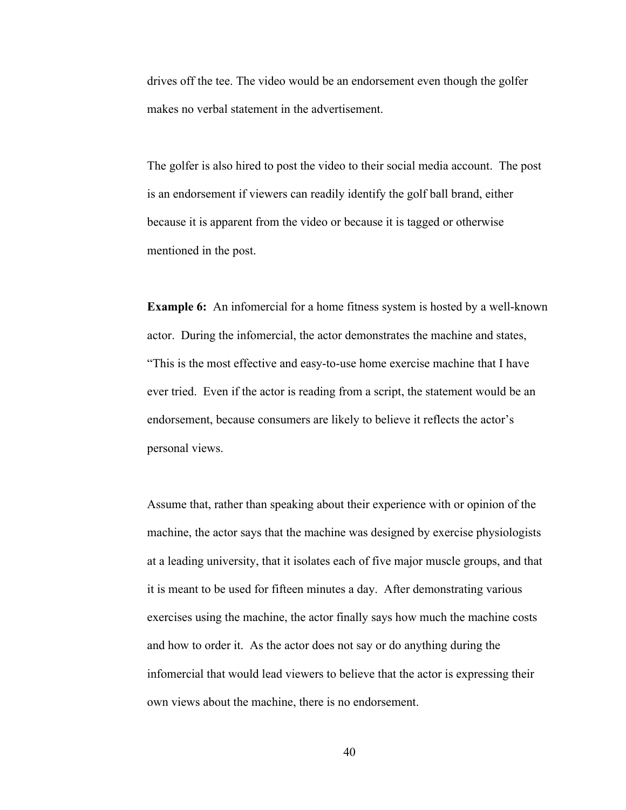drives off the tee. The video would be an endorsement even though the golfer makes no verbal statement in the advertisement.

The golfer is also hired to post the video to their social media account. The post is an endorsement if viewers can readily identify the golf ball brand, either because it is apparent from the video or because it is tagged or otherwise mentioned in the post.

**Example 6:** An infomercial for a home fitness system is hosted by a well-known actor. During the infomercial, the actor demonstrates the machine and states, "This is the most effective and easy-to-use home exercise machine that I have ever tried. Even if the actor is reading from a script, the statement would be an endorsement, because consumers are likely to believe it reflects the actor's personal views.

Assume that, rather than speaking about their experience with or opinion of the machine, the actor says that the machine was designed by exercise physiologists at a leading university, that it isolates each of five major muscle groups, and that it is meant to be used for fifteen minutes a day. After demonstrating various exercises using the machine, the actor finally says how much the machine costs and how to order it. As the actor does not say or do anything during the infomercial that would lead viewers to believe that the actor is expressing their own views about the machine, there is no endorsement.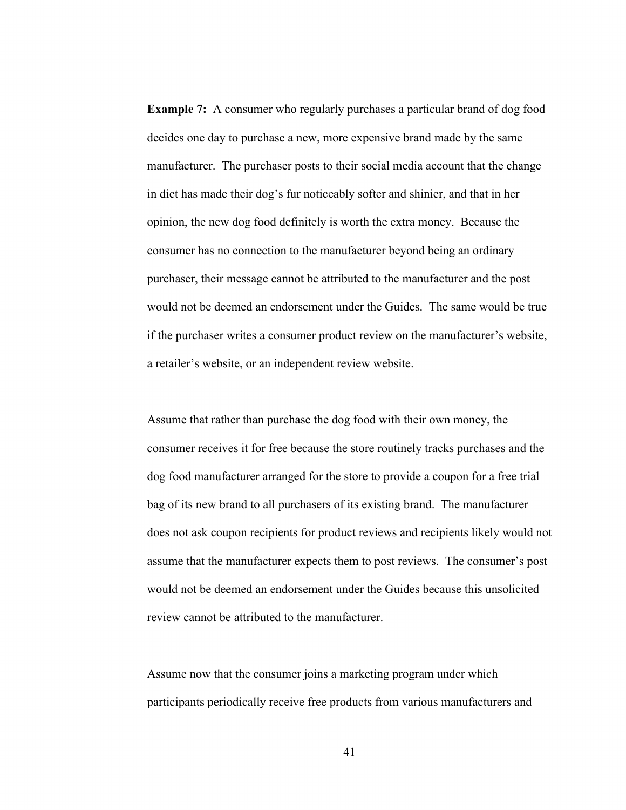**Example 7:** A consumer who regularly purchases a particular brand of dog food decides one day to purchase a new, more expensive brand made by the same manufacturer. The purchaser posts to their social media account that the change in diet has made their dog's fur noticeably softer and shinier, and that in her opinion, the new dog food definitely is worth the extra money. Because the consumer has no connection to the manufacturer beyond being an ordinary purchaser, their message cannot be attributed to the manufacturer and the post would not be deemed an endorsement under the Guides. The same would be true if the purchaser writes a consumer product review on the manufacturer's website, a retailer's website, or an independent review website.

Assume that rather than purchase the dog food with their own money, the consumer receives it for free because the store routinely tracks purchases and the dog food manufacturer arranged for the store to provide a coupon for a free trial bag of its new brand to all purchasers of its existing brand. The manufacturer does not ask coupon recipients for product reviews and recipients likely would not assume that the manufacturer expects them to post reviews. The consumer's post would not be deemed an endorsement under the Guides because this unsolicited review cannot be attributed to the manufacturer.

Assume now that the consumer joins a marketing program under which participants periodically receive free products from various manufacturers and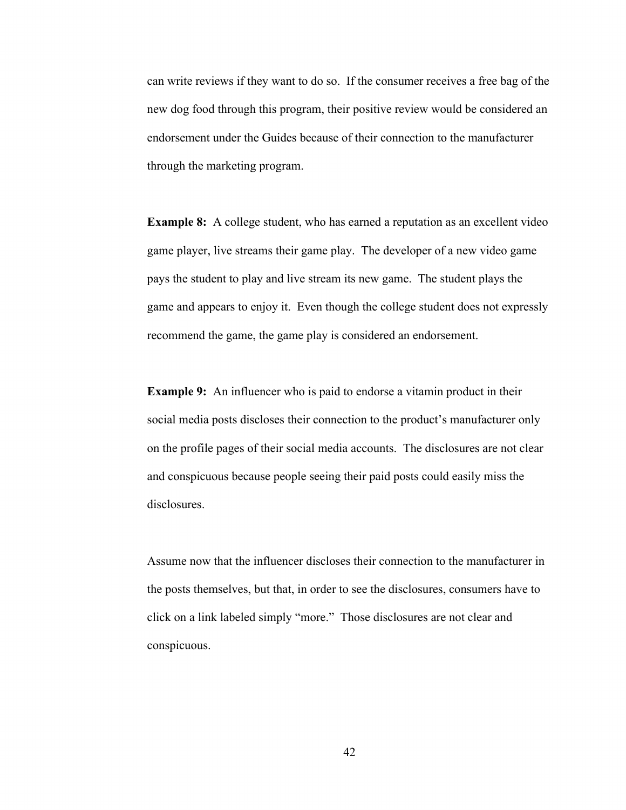can write reviews if they want to do so. If the consumer receives a free bag of the new dog food through this program, their positive review would be considered an endorsement under the Guides because of their connection to the manufacturer through the marketing program.

**Example 8:** A college student, who has earned a reputation as an excellent video game player, live streams their game play. The developer of a new video game pays the student to play and live stream its new game. The student plays the game and appears to enjoy it. Even though the college student does not expressly recommend the game, the game play is considered an endorsement.

**Example 9:** An influencer who is paid to endorse a vitamin product in their social media posts discloses their connection to the product's manufacturer only on the profile pages of their social media accounts. The disclosures are not clear and conspicuous because people seeing their paid posts could easily miss the disclosures.

Assume now that the influencer discloses their connection to the manufacturer in the posts themselves, but that, in order to see the disclosures, consumers have to click on a link labeled simply "more." Those disclosures are not clear and conspicuous.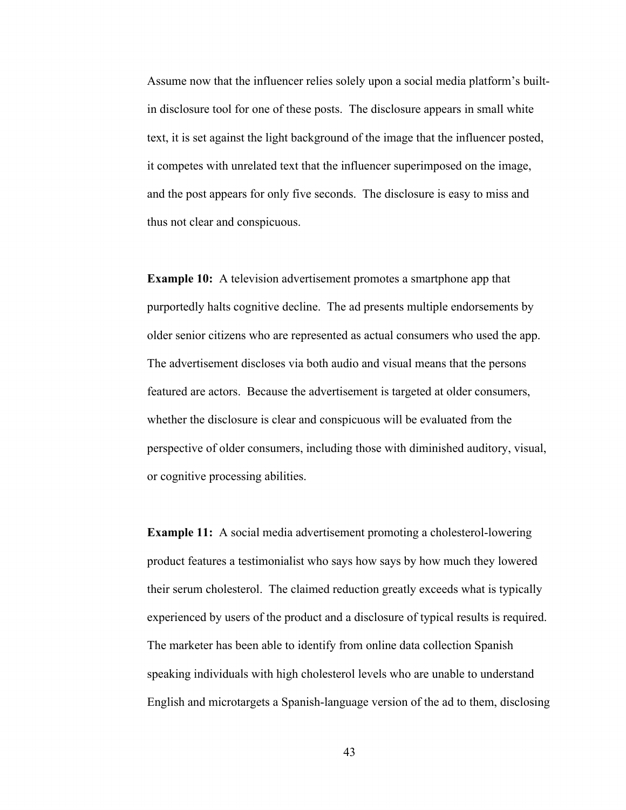Assume now that the influencer relies solely upon a social media platform's builtin disclosure tool for one of these posts. The disclosure appears in small white text, it is set against the light background of the image that the influencer posted, it competes with unrelated text that the influencer superimposed on the image, and the post appears for only five seconds. The disclosure is easy to miss and thus not clear and conspicuous.

**Example 10:** A television advertisement promotes a smartphone app that purportedly halts cognitive decline. The ad presents multiple endorsements by older senior citizens who are represented as actual consumers who used the app. The advertisement discloses via both audio and visual means that the persons featured are actors. Because the advertisement is targeted at older consumers, whether the disclosure is clear and conspicuous will be evaluated from the perspective of older consumers, including those with diminished auditory, visual, or cognitive processing abilities.

**Example 11:** A social media advertisement promoting a cholesterol-lowering product features a testimonialist who says how says by how much they lowered their serum cholesterol. The claimed reduction greatly exceeds what is typically experienced by users of the product and a disclosure of typical results is required. The marketer has been able to identify from online data collection Spanish speaking individuals with high cholesterol levels who are unable to understand English and microtargets a Spanish-language version of the ad to them, disclosing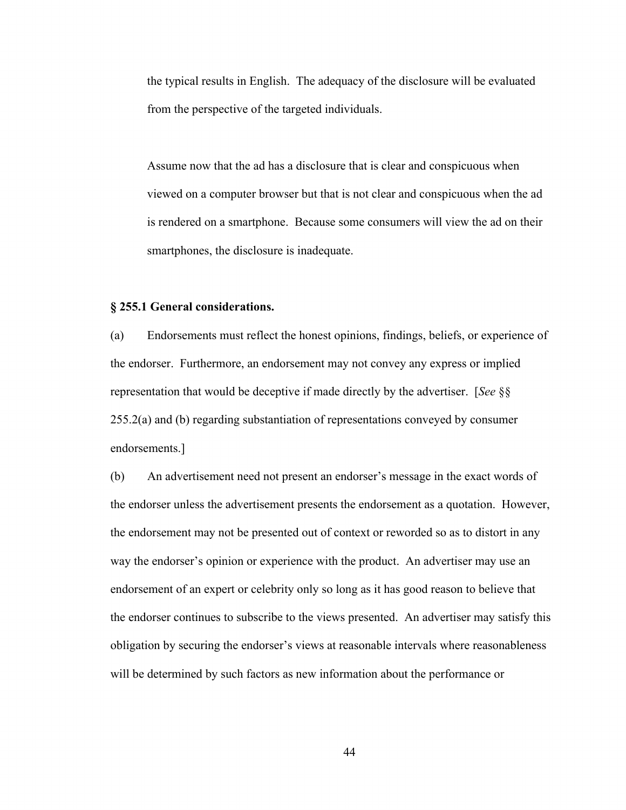the typical results in English. The adequacy of the disclosure will be evaluated from the perspective of the targeted individuals.

Assume now that the ad has a disclosure that is clear and conspicuous when viewed on a computer browser but that is not clear and conspicuous when the ad is rendered on a smartphone. Because some consumers will view the ad on their smartphones, the disclosure is inadequate.

#### **§ 255.1 General considerations.**

(a) Endorsements must reflect the honest opinions, findings, beliefs, or experience of the endorser. Furthermore, an endorsement may not convey any express or implied representation that would be deceptive if made directly by the advertiser. [*See* §§ 255.2(a) and (b) regarding substantiation of representations conveyed by consumer endorsements.]

(b) An advertisement need not present an endorser's message in the exact words of the endorser unless the advertisement presents the endorsement as a quotation. However, the endorsement may not be presented out of context or reworded so as to distort in any way the endorser's opinion or experience with the product. An advertiser may use an endorsement of an expert or celebrity only so long as it has good reason to believe that the endorser continues to subscribe to the views presented. An advertiser may satisfy this obligation by securing the endorser's views at reasonable intervals where reasonableness will be determined by such factors as new information about the performance or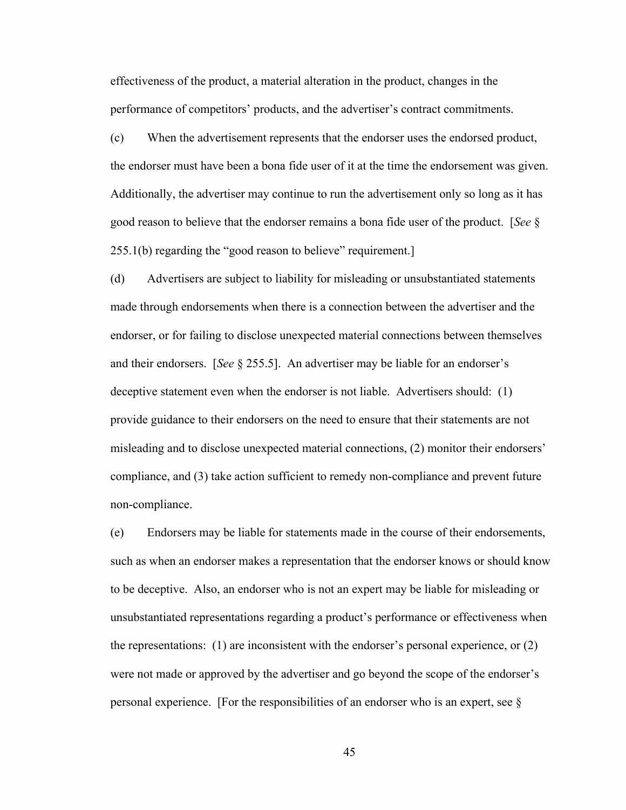performance of competitors' products, and the advertiser's contract commitments. effectiveness of the product, a material alteration in the product, changes in the

performance of competitors' products, and the advertiser's contract commitments. (c) When the advertisement represents that the endorser uses the endorsed product, the endorser must have been a bona fide user of it at the time the endorsement was given. Additionally, the advertiser may continue to run the advertisement only so long as it has good reason to believe that the endorser remains a bona fide user of the product. [*See* § 255.1(b) regarding the "good reason to believe" requirement.]

(d) Advertisers are subject to liability for misleading or unsubstantiated statements made through endorsements when there is a connection between the advertiser and the endorser, or for failing to disclose unexpected material connections between themselves and their endorsers. [*See* § 255.5]. An advertiser may be liable for an endorser's deceptive statement even when the endorser is not liable. Advertisers should: (1) provide guidance to their endorsers on the need to ensure that their statements are not misleading and to disclose unexpected material connections, (2) monitor their endorsers' compliance, and (3) take action sufficient to remedy non-compliance and prevent future non-compliance.

(e) Endorsers may be liable for statements made in the course of their endorsements, such as when an endorser makes a representation that the endorser knows or should know to be deceptive. Also, an endorser who is not an expert may be liable for misleading or unsubstantiated representations regarding a product's performance or effectiveness when the representations: (1) are inconsistent with the endorser's personal experience, or (2) were not made or approved by the advertiser and go beyond the scope of the endorser's personal experience. [For the responsibilities of an endorser who is an expert, see  $\S$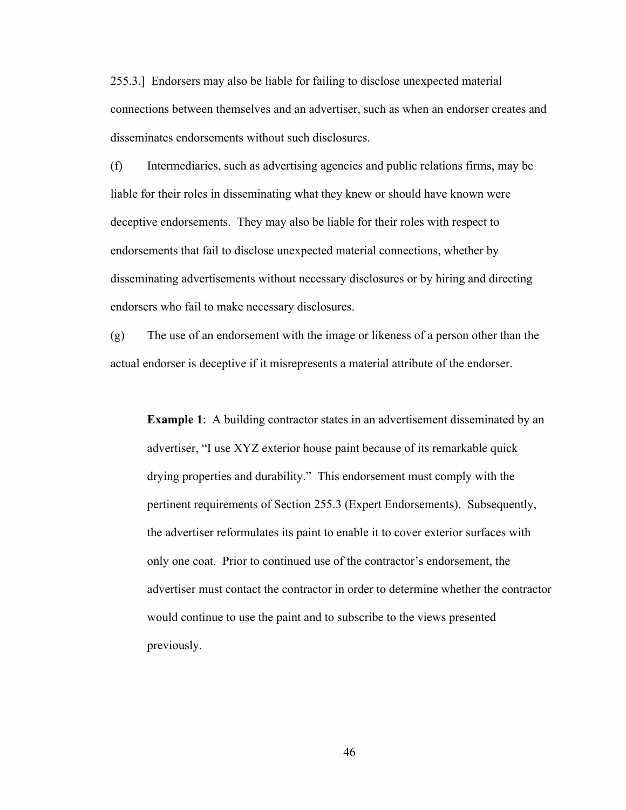255.3.] Endorsers may also be liable for failing to disclose unexpected material connections between themselves and an advertiser, such as when an endorser creates and disseminates endorsements without such disclosures.

(f) Intermediaries, such as advertising agencies and public relations firms, may be liable for their roles in disseminating what they knew or should have known were deceptive endorsements. They may also be liable for their roles with respect to endorsements that fail to disclose unexpected material connections, whether by disseminating advertisements without necessary disclosures or by hiring and directing endorsers who fail to make necessary disclosures.

(g) The use of an endorsement with the image or likeness of a person other than the actual endorser is deceptive if it misrepresents a material attribute of the endorser.

**Example 1:** A building contractor states in an advertisement disseminated by an advertiser, "I use XYZ exterior house paint because of its remarkable quick drying properties and durability." This endorsement must comply with the pertinent requirements of Section 255.3 (Expert Endorsements). Subsequently, the advertiser reformulates its paint to enable it to cover exterior surfaces with only one coat. Prior to continued use of the contractor's endorsement, the advertiser must contact the contractor in order to determine whether the contractor would continue to use the paint and to subscribe to the views presented previously.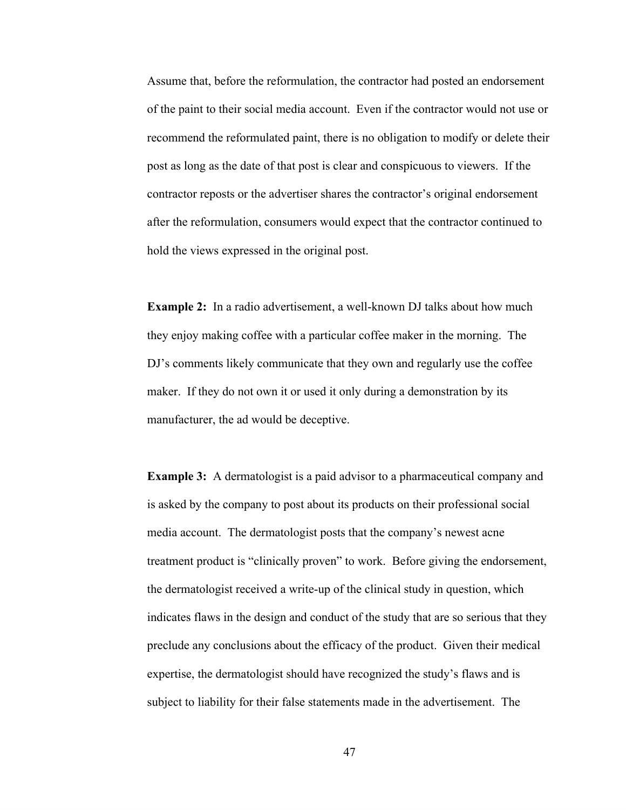Assume that, before the reformulation, the contractor had posted an endorsement of the paint to their social media account. Even if the contractor would not use or recommend the reformulated paint, there is no obligation to modify or delete their post as long as the date of that post is clear and conspicuous to viewers. If the contractor reposts or the advertiser shares the contractor's original endorsement after the reformulation, consumers would expect that the contractor continued to hold the views expressed in the original post.

**Example 2:** In a radio advertisement, a well-known DJ talks about how much they enjoy making coffee with a particular coffee maker in the morning. The DJ's comments likely communicate that they own and regularly use the coffee maker. If they do not own it or used it only during a demonstration by its manufacturer, the ad would be deceptive.

**Example 3:** A dermatologist is a paid advisor to a pharmaceutical company and is asked by the company to post about its products on their professional social media account. The dermatologist posts that the company's newest acne treatment product is "clinically proven" to work. Before giving the endorsement, the dermatologist received a write-up of the clinical study in question, which indicates flaws in the design and conduct of the study that are so serious that they preclude any conclusions about the efficacy of the product. Given their medical expertise, the dermatologist should have recognized the study's flaws and is subject to liability for their false statements made in the advertisement. The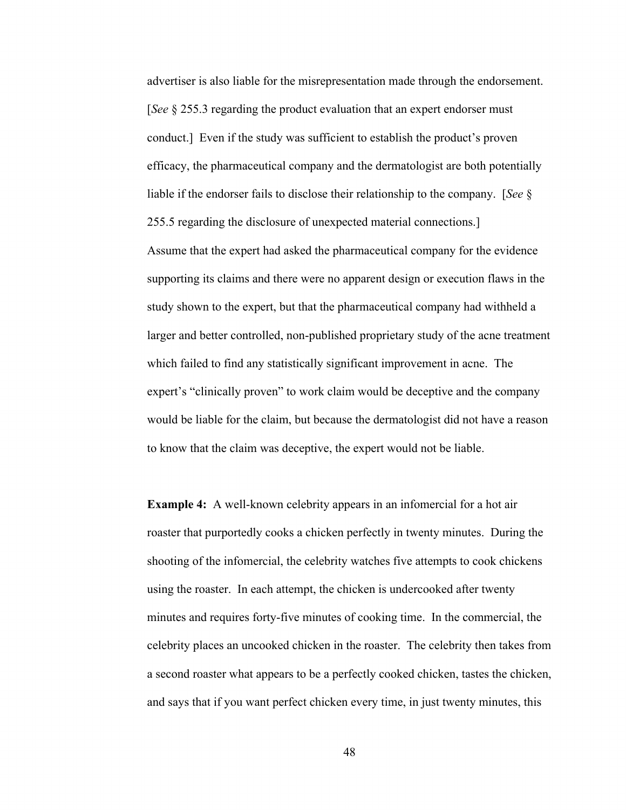advertiser is also liable for the misrepresentation made through the endorsement. [*See* § 255.3 regarding the product evaluation that an expert endorser must conduct.] Even if the study was sufficient to establish the product's proven efficacy, the pharmaceutical company and the dermatologist are both potentially liable if the endorser fails to disclose their relationship to the company. [*See* § 255.5 regarding the disclosure of unexpected material connections.] Assume that the expert had asked the pharmaceutical company for the evidence supporting its claims and there were no apparent design or execution flaws in the study shown to the expert, but that the pharmaceutical company had withheld a larger and better controlled, non-published proprietary study of the acne treatment which failed to find any statistically significant improvement in acne. The expert's "clinically proven" to work claim would be deceptive and the company would be liable for the claim, but because the dermatologist did not have a reason to know that the claim was deceptive, the expert would not be liable.

**Example 4:** A well-known celebrity appears in an infomercial for a hot air roaster that purportedly cooks a chicken perfectly in twenty minutes. During the shooting of the infomercial, the celebrity watches five attempts to cook chickens using the roaster. In each attempt, the chicken is undercooked after twenty minutes and requires forty-five minutes of cooking time. In the commercial, the celebrity places an uncooked chicken in the roaster. The celebrity then takes from a second roaster what appears to be a perfectly cooked chicken, tastes the chicken, and says that if you want perfect chicken every time, in just twenty minutes, this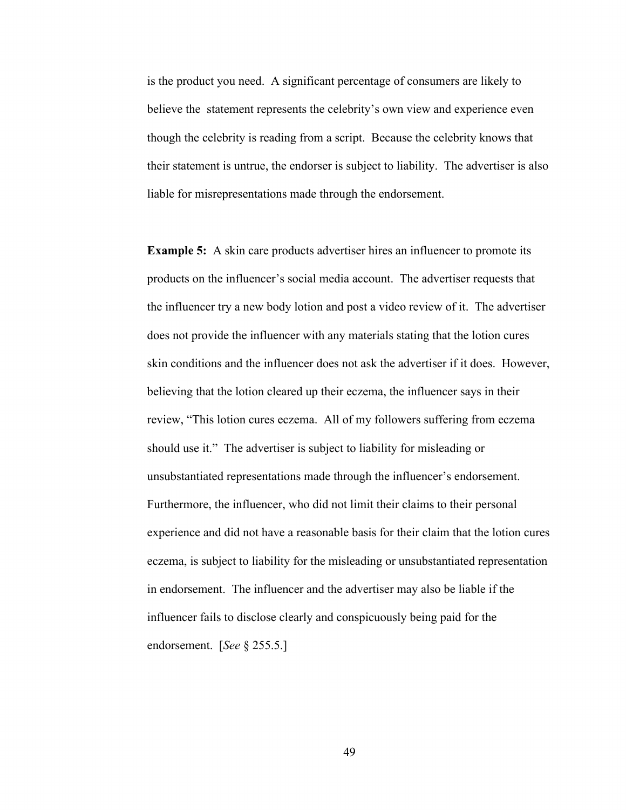is the product you need. A significant percentage of consumers are likely to believe the statement represents the celebrity's own view and experience even though the celebrity is reading from a script. Because the celebrity knows that their statement is untrue, the endorser is subject to liability. The advertiser is also liable for misrepresentations made through the endorsement.

**Example 5:** A skin care products advertiser hires an influencer to promote its products on the influencer's social media account. The advertiser requests that the influencer try a new body lotion and post a video review of it. The advertiser does not provide the influencer with any materials stating that the lotion cures skin conditions and the influencer does not ask the advertiser if it does. However, believing that the lotion cleared up their eczema, the influencer says in their review, "This lotion cures eczema. All of my followers suffering from eczema should use it." The advertiser is subject to liability for misleading or unsubstantiated representations made through the influencer's endorsement. Furthermore, the influencer, who did not limit their claims to their personal experience and did not have a reasonable basis for their claim that the lotion cures eczema, is subject to liability for the misleading or unsubstantiated representation in endorsement. The influencer and the advertiser may also be liable if the influencer fails to disclose clearly and conspicuously being paid for the endorsement. [*See* § 255.5.]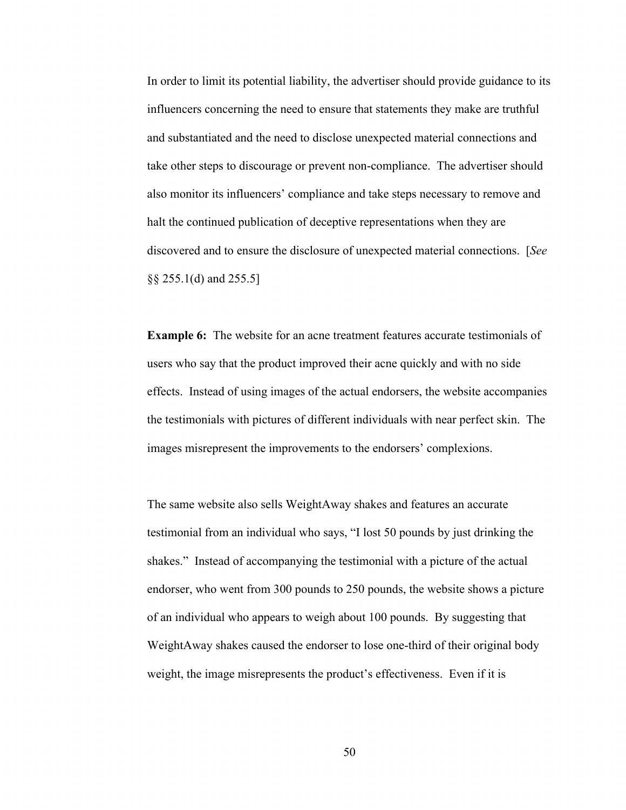In order to limit its potential liability, the advertiser should provide guidance to its influencers concerning the need to ensure that statements they make are truthful and substantiated and the need to disclose unexpected material connections and take other steps to discourage or prevent non-compliance. The advertiser should also monitor its influencers' compliance and take steps necessary to remove and halt the continued publication of deceptive representations when they are discovered and to ensure the disclosure of unexpected material connections. [*See*  §§ 255.1(d) and 255.5]

**Example 6:** The website for an acne treatment features accurate testimonials of users who say that the product improved their acne quickly and with no side effects. Instead of using images of the actual endorsers, the website accompanies the testimonials with pictures of different individuals with near perfect skin. The images misrepresent the improvements to the endorsers' complexions.

The same website also sells WeightAway shakes and features an accurate testimonial from an individual who says, "I lost 50 pounds by just drinking the shakes." Instead of accompanying the testimonial with a picture of the actual endorser, who went from 300 pounds to 250 pounds, the website shows a picture of an individual who appears to weigh about 100 pounds. By suggesting that WeightAway shakes caused the endorser to lose one-third of their original body weight, the image misrepresents the product's effectiveness. Even if it is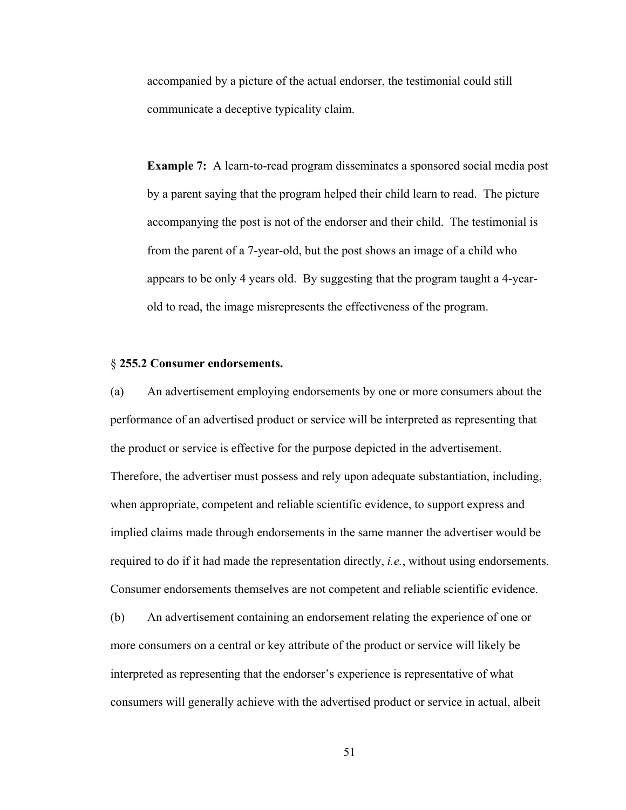accompanied by a picture of the actual endorser, the testimonial could still communicate a deceptive typicality claim.

**Example 7:** A learn-to-read program disseminates a sponsored social media post by a parent saying that the program helped their child learn to read. The picture accompanying the post is not of the endorser and their child. The testimonial is from the parent of a 7-year-old, but the post shows an image of a child who appears to be only 4 years old. By suggesting that the program taught a 4-yearold to read, the image misrepresents the effectiveness of the program.

## § **255.2 Consumer endorsements.**

(a) An advertisement employing endorsements by one or more consumers about the performance of an advertised product or service will be interpreted as representing that the product or service is effective for the purpose depicted in the advertisement. Therefore, the advertiser must possess and rely upon adequate substantiation, including, when appropriate, competent and reliable scientific evidence, to support express and implied claims made through endorsements in the same manner the advertiser would be required to do if it had made the representation directly, *i.e.*, without using endorsements. Consumer endorsements themselves are not competent and reliable scientific evidence.

(b) An advertisement containing an endorsement relating the experience of one or more consumers on a central or key attribute of the product or service will likely be interpreted as representing that the endorser's experience is representative of what consumers will generally achieve with the advertised product or service in actual, albeit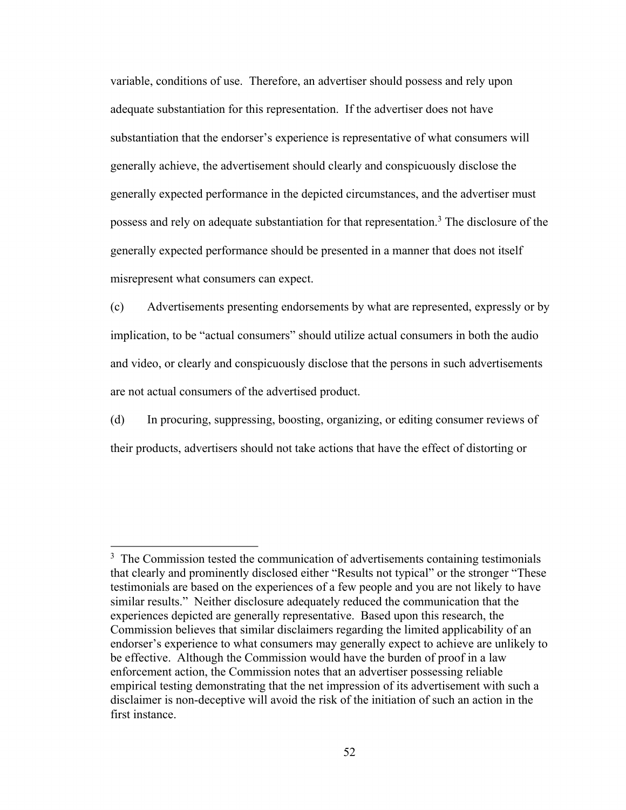variable, conditions of use. Therefore, an advertiser should possess and rely upon adequate substantiation for this representation. If the advertiser does not have substantiation that the endorser's experience is representative of what consumers will generally achieve, the advertisement should clearly and conspicuously disclose the generally expected performance in the depicted circumstances, and the advertiser must possess and rely on adequate substantiation for that representation.<sup>3</sup> The disclosure of the generally expected performance should be presented in a manner that does not itself misrepresent what consumers can expect.

(c) Advertisements presenting endorsements by what are represented, expressly or by implication, to be "actual consumers" should utilize actual consumers in both the audio and video, or clearly and conspicuously disclose that the persons in such advertisements are not actual consumers of the advertised product.

(d) In procuring, suppressing, boosting, organizing, or editing consumer reviews of their products, advertisers should not take actions that have the effect of distorting or

<sup>&</sup>lt;sup>3</sup> The Commission tested the communication of advertisements containing testimonials that clearly and prominently disclosed either "Results not typical" or the stronger "These testimonials are based on the experiences of a few people and you are not likely to have similar results." Neither disclosure adequately reduced the communication that the experiences depicted are generally representative. Based upon this research, the Commission believes that similar disclaimers regarding the limited applicability of an endorser's experience to what consumers may generally expect to achieve are unlikely to be effective. Although the Commission would have the burden of proof in a law enforcement action, the Commission notes that an advertiser possessing reliable empirical testing demonstrating that the net impression of its advertisement with such a disclaimer is non-deceptive will avoid the risk of the initiation of such an action in the first instance.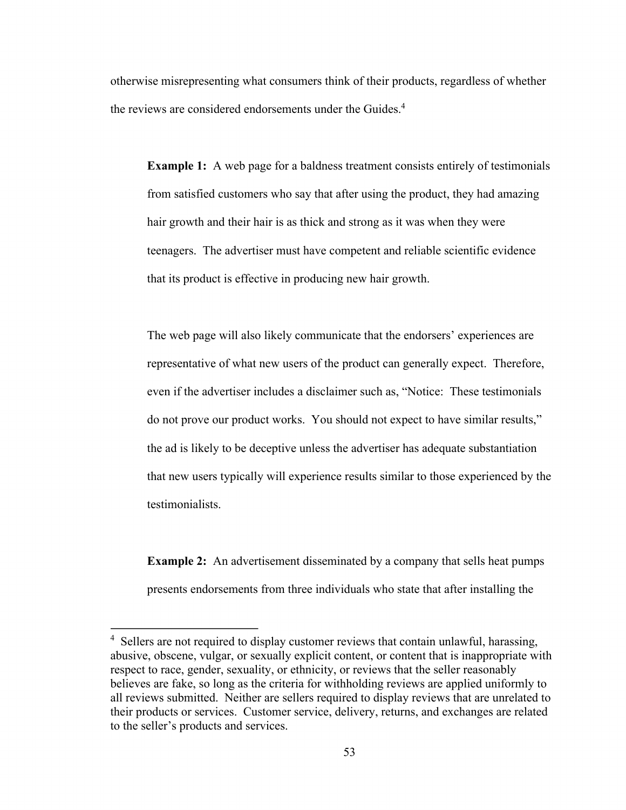otherwise misrepresenting what consumers think of their products, regardless of whether the reviews are considered endorsements under the Guides.<sup>4</sup>

**Example 1:** A web page for a baldness treatment consists entirely of testimonials from satisfied customers who say that after using the product, they had amazing hair growth and their hair is as thick and strong as it was when they were teenagers. The advertiser must have competent and reliable scientific evidence that its product is effective in producing new hair growth.

The web page will also likely communicate that the endorsers' experiences are representative of what new users of the product can generally expect. Therefore, even if the advertiser includes a disclaimer such as, "Notice: These testimonials do not prove our product works. You should not expect to have similar results," the ad is likely to be deceptive unless the advertiser has adequate substantiation that new users typically will experience results similar to those experienced by the testimonialists.

**Example 2:** An advertisement disseminated by a company that sells heat pumps presents endorsements from three individuals who state that after installing the

<sup>&</sup>lt;sup>4</sup> Sellers are not required to display customer reviews that contain unlawful, harassing, abusive, obscene, vulgar, or sexually explicit content, or content that is inappropriate with respect to race, gender, sexuality, or ethnicity, or reviews that the seller reasonably believes are fake, so long as the criteria for withholding reviews are applied uniformly to all reviews submitted. Neither are sellers required to display reviews that are unrelated to their products or services. Customer service, delivery, returns, and exchanges are related to the seller's products and services.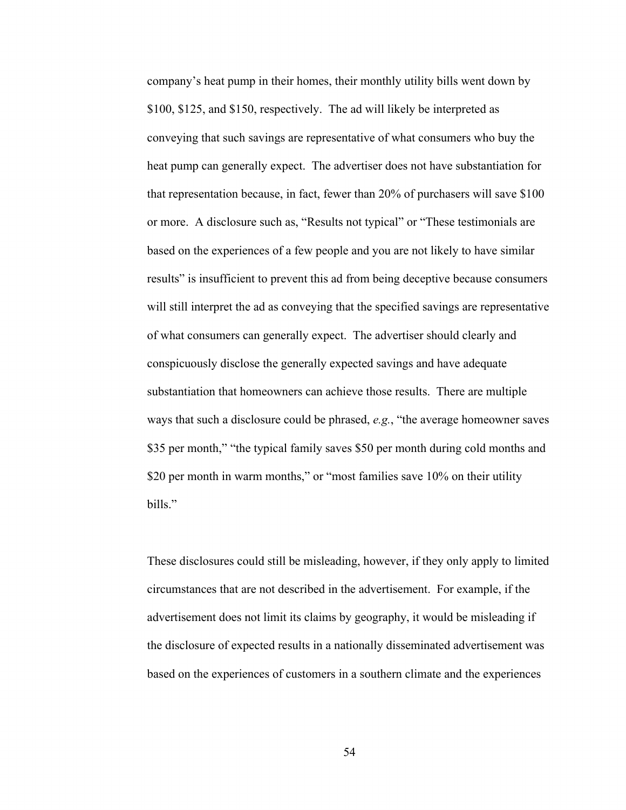company's heat pump in their homes, their monthly utility bills went down by \$100, \$125, and \$150, respectively. The ad will likely be interpreted as conveying that such savings are representative of what consumers who buy the heat pump can generally expect. The advertiser does not have substantiation for that representation because, in fact, fewer than 20% of purchasers will save \$100 or more. A disclosure such as, "Results not typical" or "These testimonials are based on the experiences of a few people and you are not likely to have similar results" is insufficient to prevent this ad from being deceptive because consumers will still interpret the ad as conveying that the specified savings are representative of what consumers can generally expect. The advertiser should clearly and conspicuously disclose the generally expected savings and have adequate substantiation that homeowners can achieve those results. There are multiple ways that such a disclosure could be phrased, *e.g.*, "the average homeowner saves \$35 per month," "the typical family saves \$50 per month during cold months and \$20 per month in warm months," or "most families save 10% on their utility bills."

These disclosures could still be misleading, however, if they only apply to limited circumstances that are not described in the advertisement. For example, if the advertisement does not limit its claims by geography, it would be misleading if the disclosure of expected results in a nationally disseminated advertisement was based on the experiences of customers in a southern climate and the experiences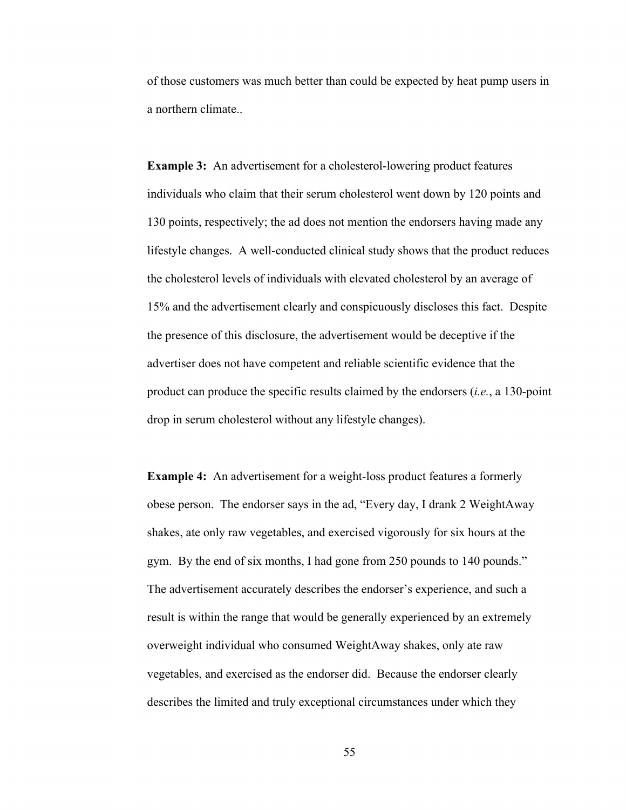of those customers was much better than could be expected by heat pump users in a northern climate..

**Example 3:** An advertisement for a cholesterol-lowering product features individuals who claim that their serum cholesterol went down by 120 points and 130 points, respectively; the ad does not mention the endorsers having made any lifestyle changes. A well-conducted clinical study shows that the product reduces the cholesterol levels of individuals with elevated cholesterol by an average of 15% and the advertisement clearly and conspicuously discloses this fact. Despite the presence of this disclosure, the advertisement would be deceptive if the advertiser does not have competent and reliable scientific evidence that the product can produce the specific results claimed by the endorsers (*i.e.*, a 130-point drop in serum cholesterol without any lifestyle changes).

**Example 4:** An advertisement for a weight-loss product features a formerly obese person. The endorser says in the ad, "Every day, I drank 2 WeightAway shakes, ate only raw vegetables, and exercised vigorously for six hours at the gym. By the end of six months, I had gone from 250 pounds to 140 pounds." The advertisement accurately describes the endorser's experience, and such a result is within the range that would be generally experienced by an extremely overweight individual who consumed WeightAway shakes, only ate raw vegetables, and exercised as the endorser did. Because the endorser clearly describes the limited and truly exceptional circumstances under which they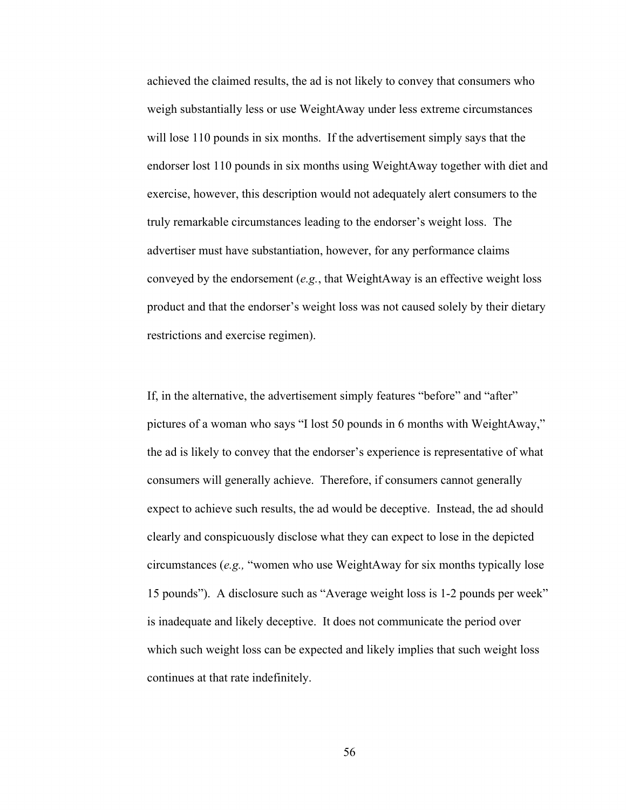achieved the claimed results, the ad is not likely to convey that consumers who weigh substantially less or use WeightAway under less extreme circumstances will lose 110 pounds in six months. If the advertisement simply says that the endorser lost 110 pounds in six months using WeightAway together with diet and exercise, however, this description would not adequately alert consumers to the truly remarkable circumstances leading to the endorser's weight loss. The advertiser must have substantiation, however, for any performance claims conveyed by the endorsement (*e.g.*, that WeightAway is an effective weight loss product and that the endorser's weight loss was not caused solely by their dietary restrictions and exercise regimen).

If, in the alternative, the advertisement simply features "before" and "after" pictures of a woman who says "I lost 50 pounds in 6 months with WeightAway," the ad is likely to convey that the endorser's experience is representative of what consumers will generally achieve. Therefore, if consumers cannot generally expect to achieve such results, the ad would be deceptive. Instead, the ad should clearly and conspicuously disclose what they can expect to lose in the depicted circumstances (*e.g.,* "women who use WeightAway for six months typically lose 15 pounds"). A disclosure such as "Average weight loss is 1-2 pounds per week" is inadequate and likely deceptive. It does not communicate the period over which such weight loss can be expected and likely implies that such weight loss continues at that rate indefinitely.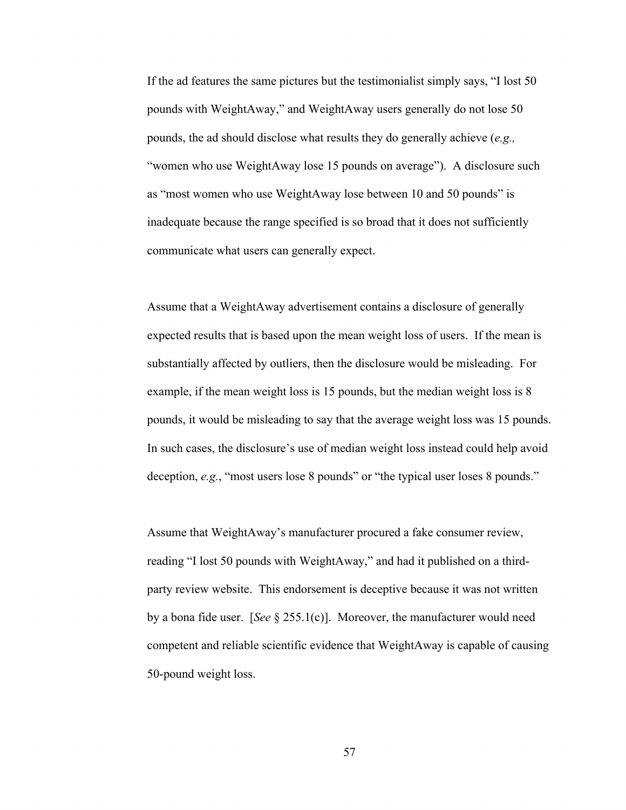If the ad features the same pictures but the testimonialist simply says, "I lost 50 pounds with WeightAway," and WeightAway users generally do not lose 50 pounds, the ad should disclose what results they do generally achieve (*e.g.,*  "women who use WeightAway lose 15 pounds on average"). A disclosure such as "most women who use WeightAway lose between 10 and 50 pounds" is inadequate because the range specified is so broad that it does not sufficiently communicate what users can generally expect.

Assume that a WeightAway advertisement contains a disclosure of generally expected results that is based upon the mean weight loss of users. If the mean is substantially affected by outliers, then the disclosure would be misleading. For example, if the mean weight loss is 15 pounds, but the median weight loss is 8 pounds, it would be misleading to say that the average weight loss was 15 pounds. In such cases, the disclosure's use of median weight loss instead could help avoid deception, *e.g.*, "most users lose 8 pounds" or "the typical user loses 8 pounds."

Assume that WeightAway's manufacturer procured a fake consumer review, reading "I lost 50 pounds with WeightAway," and had it published on a thirdparty review website. This endorsement is deceptive because it was not written by a bona fide user. [*See* § 255.1(c)]. Moreover, the manufacturer would need competent and reliable scientific evidence that WeightAway is capable of causing 50-pound weight loss.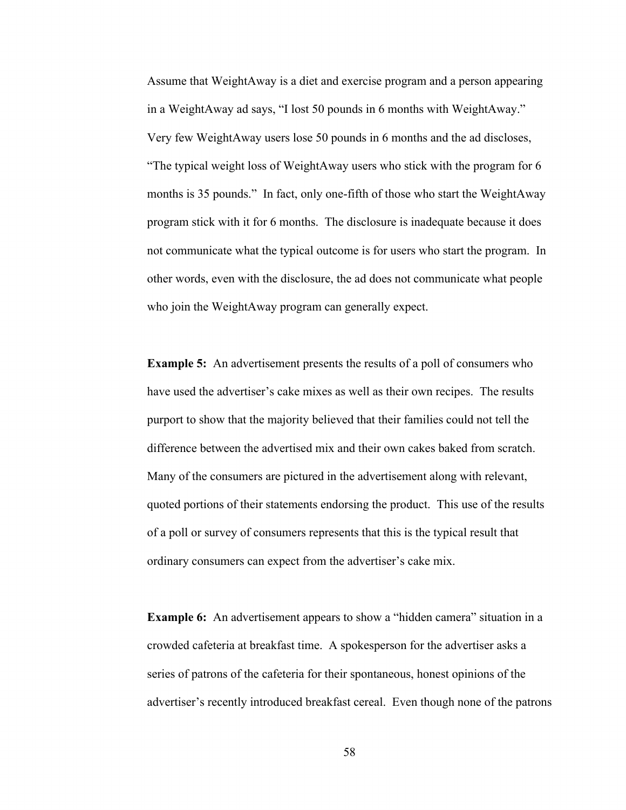Assume that WeightAway is a diet and exercise program and a person appearing in a WeightAway ad says, "I lost 50 pounds in 6 months with WeightAway." Very few WeightAway users lose 50 pounds in 6 months and the ad discloses, "The typical weight loss of WeightAway users who stick with the program for 6 months is 35 pounds." In fact, only one-fifth of those who start the WeightAway program stick with it for 6 months. The disclosure is inadequate because it does not communicate what the typical outcome is for users who start the program. In other words, even with the disclosure, the ad does not communicate what people who join the WeightAway program can generally expect.

**Example 5:** An advertisement presents the results of a poll of consumers who have used the advertiser's cake mixes as well as their own recipes. The results purport to show that the majority believed that their families could not tell the difference between the advertised mix and their own cakes baked from scratch. Many of the consumers are pictured in the advertisement along with relevant, quoted portions of their statements endorsing the product. This use of the results of a poll or survey of consumers represents that this is the typical result that ordinary consumers can expect from the advertiser's cake mix.

**Example 6:** An advertisement appears to show a "hidden camera" situation in a crowded cafeteria at breakfast time. A spokesperson for the advertiser asks a series of patrons of the cafeteria for their spontaneous, honest opinions of the advertiser's recently introduced breakfast cereal. Even though none of the patrons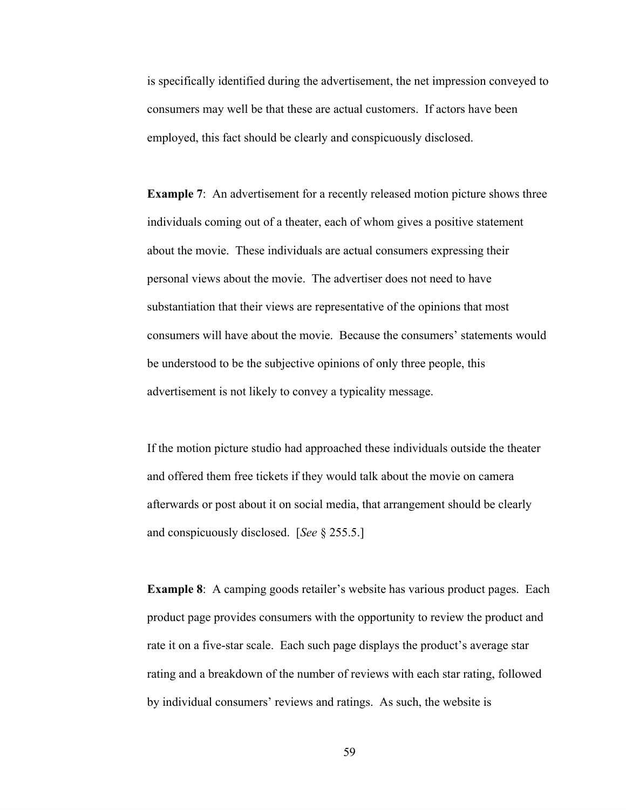is specifically identified during the advertisement, the net impression conveyed to consumers may well be that these are actual customers. If actors have been employed, this fact should be clearly and conspicuously disclosed.

**Example 7:** An advertisement for a recently released motion picture shows three individuals coming out of a theater, each of whom gives a positive statement about the movie. These individuals are actual consumers expressing their personal views about the movie. The advertiser does not need to have substantiation that their views are representative of the opinions that most consumers will have about the movie. Because the consumers' statements would be understood to be the subjective opinions of only three people, this advertisement is not likely to convey a typicality message.

If the motion picture studio had approached these individuals outside the theater and offered them free tickets if they would talk about the movie on camera afterwards or post about it on social media, that arrangement should be clearly and conspicuously disclosed. [*See* § 255.5.]

**Example 8**: A camping goods retailer's website has various product pages. Each product page provides consumers with the opportunity to review the product and rate it on a five-star scale. Each such page displays the product's average star rating and a breakdown of the number of reviews with each star rating, followed by individual consumers' reviews and ratings. As such, the website is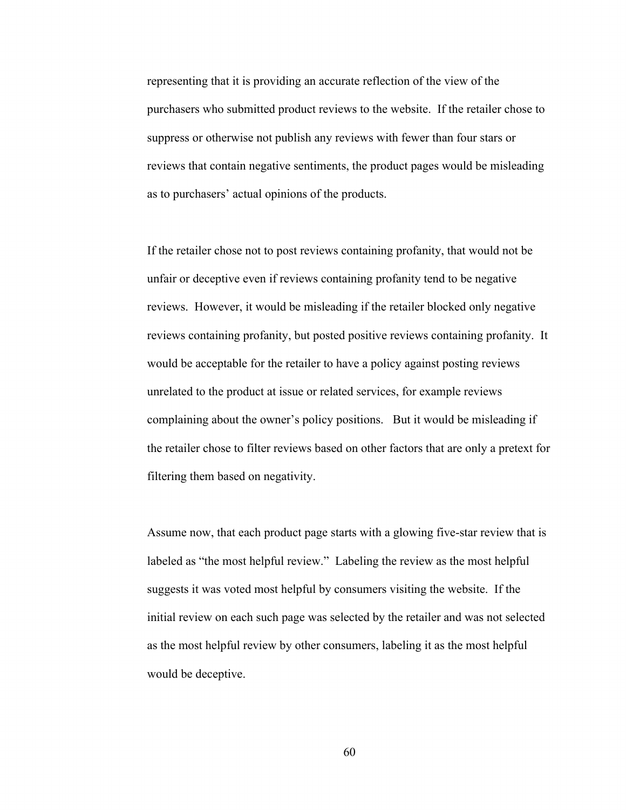representing that it is providing an accurate reflection of the view of the purchasers who submitted product reviews to the website. If the retailer chose to suppress or otherwise not publish any reviews with fewer than four stars or reviews that contain negative sentiments, the product pages would be misleading as to purchasers' actual opinions of the products.

If the retailer chose not to post reviews containing profanity, that would not be unfair or deceptive even if reviews containing profanity tend to be negative reviews. However, it would be misleading if the retailer blocked only negative reviews containing profanity, but posted positive reviews containing profanity. It would be acceptable for the retailer to have a policy against posting reviews unrelated to the product at issue or related services, for example reviews complaining about the owner's policy positions. But it would be misleading if the retailer chose to filter reviews based on other factors that are only a pretext for filtering them based on negativity.

Assume now, that each product page starts with a glowing five-star review that is labeled as "the most helpful review." Labeling the review as the most helpful suggests it was voted most helpful by consumers visiting the website. If the initial review on each such page was selected by the retailer and was not selected as the most helpful review by other consumers, labeling it as the most helpful would be deceptive.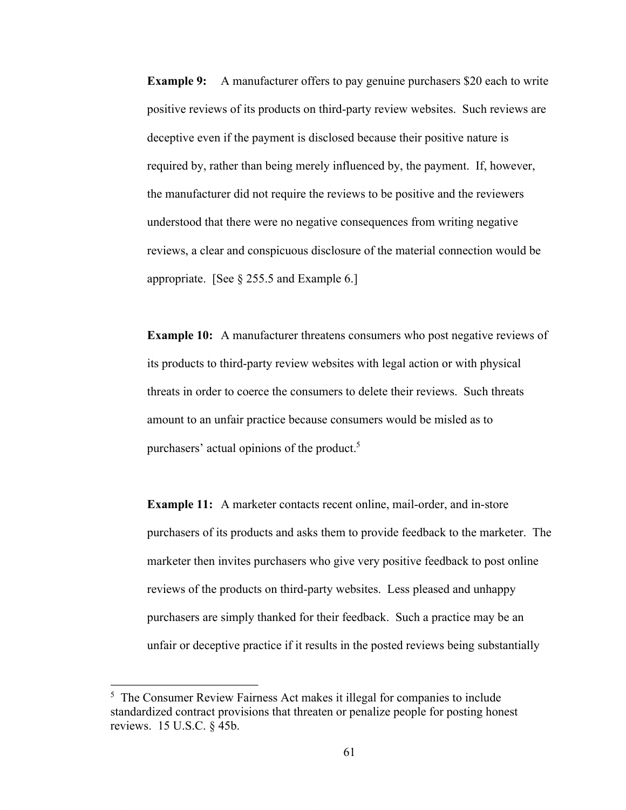**Example 9:** A manufacturer offers to pay genuine purchasers \$20 each to write positive reviews of its products on third-party review websites. Such reviews are deceptive even if the payment is disclosed because their positive nature is required by, rather than being merely influenced by, the payment. If, however, the manufacturer did not require the reviews to be positive and the reviewers understood that there were no negative consequences from writing negative reviews, a clear and conspicuous disclosure of the material connection would be appropriate. [See § 255.5 and Example 6.]

**Example 10:** A manufacturer threatens consumers who post negative reviews of its products to third-party review websites with legal action or with physical threats in order to coerce the consumers to delete their reviews. Such threats amount to an unfair practice because consumers would be misled as to purchasers' actual opinions of the product.5

**Example 11:** A marketer contacts recent online, mail-order, and in-store purchasers of its products and asks them to provide feedback to the marketer. The marketer then invites purchasers who give very positive feedback to post online reviews of the products on third-party websites. Less pleased and unhappy purchasers are simply thanked for their feedback. Such a practice may be an unfair or deceptive practice if it results in the posted reviews being substantially

<sup>&</sup>lt;sup>5</sup> The Consumer Review Fairness Act makes it illegal for companies to include standardized contract provisions that threaten or penalize people for posting honest reviews. 15 U.S.C. § 45b.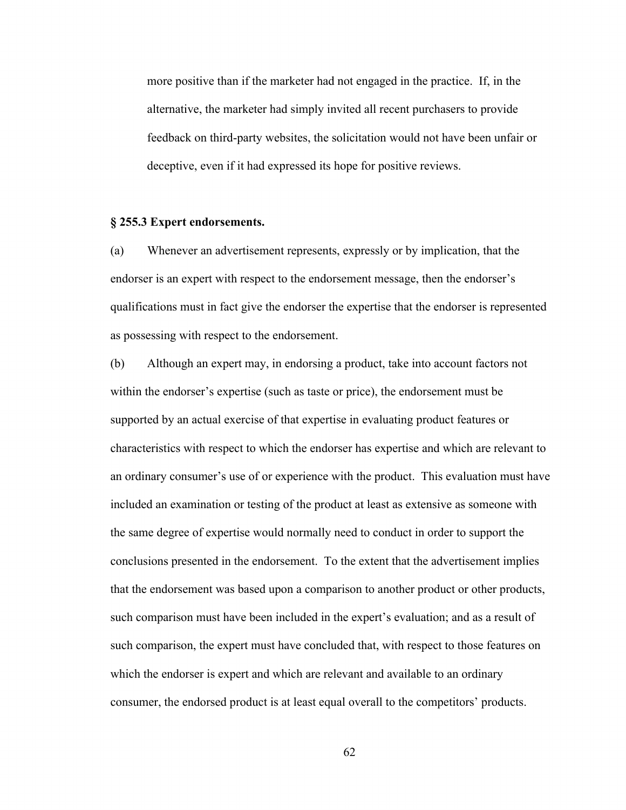more positive than if the marketer had not engaged in the practice. If, in the alternative, the marketer had simply invited all recent purchasers to provide feedback on third-party websites, the solicitation would not have been unfair or deceptive, even if it had expressed its hope for positive reviews.

## **§ 255.3 Expert endorsements.**

(a) Whenever an advertisement represents, expressly or by implication, that the endorser is an expert with respect to the endorsement message, then the endorser's qualifications must in fact give the endorser the expertise that the endorser is represented as possessing with respect to the endorsement.

(b) Although an expert may, in endorsing a product, take into account factors not within the endorser's expertise (such as taste or price), the endorsement must be supported by an actual exercise of that expertise in evaluating product features or characteristics with respect to which the endorser has expertise and which are relevant to an ordinary consumer's use of or experience with the product. This evaluation must have included an examination or testing of the product at least as extensive as someone with the same degree of expertise would normally need to conduct in order to support the conclusions presented in the endorsement. To the extent that the advertisement implies that the endorsement was based upon a comparison to another product or other products, such comparison must have been included in the expert's evaluation; and as a result of such comparison, the expert must have concluded that, with respect to those features on which the endorser is expert and which are relevant and available to an ordinary consumer, the endorsed product is at least equal overall to the competitors' products.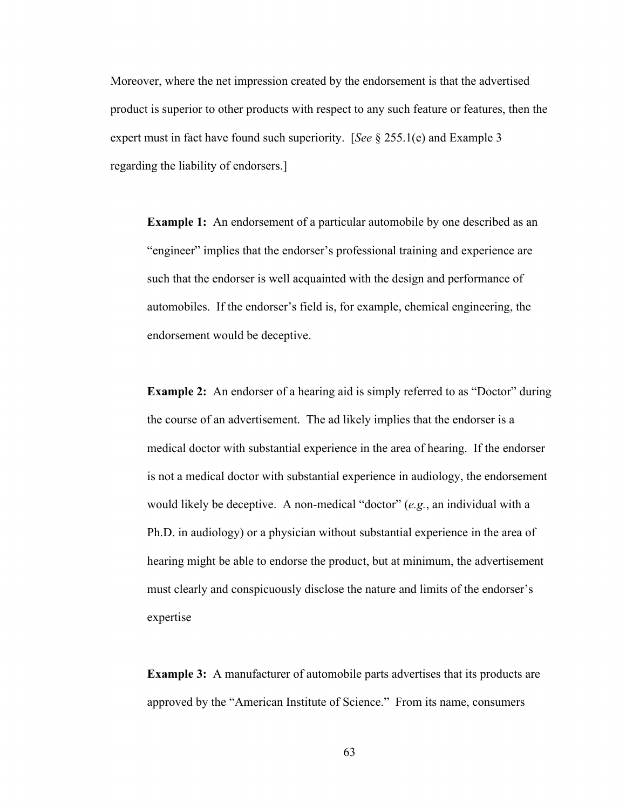Moreover, where the net impression created by the endorsement is that the advertised product is superior to other products with respect to any such feature or features, then the expert must in fact have found such superiority. [*See* § 255.1(e) and Example 3 regarding the liability of endorsers.]

**Example 1:** An endorsement of a particular automobile by one described as an "engineer" implies that the endorser's professional training and experience are such that the endorser is well acquainted with the design and performance of automobiles. If the endorser's field is, for example, chemical engineering, the endorsement would be deceptive.

**Example 2:** An endorser of a hearing aid is simply referred to as "Doctor" during the course of an advertisement. The ad likely implies that the endorser is a medical doctor with substantial experience in the area of hearing. If the endorser is not a medical doctor with substantial experience in audiology, the endorsement would likely be deceptive. A non-medical "doctor" (*e.g.*, an individual with a Ph.D. in audiology) or a physician without substantial experience in the area of hearing might be able to endorse the product, but at minimum, the advertisement must clearly and conspicuously disclose the nature and limits of the endorser's expertise

**Example 3:** A manufacturer of automobile parts advertises that its products are approved by the "American Institute of Science." From its name, consumers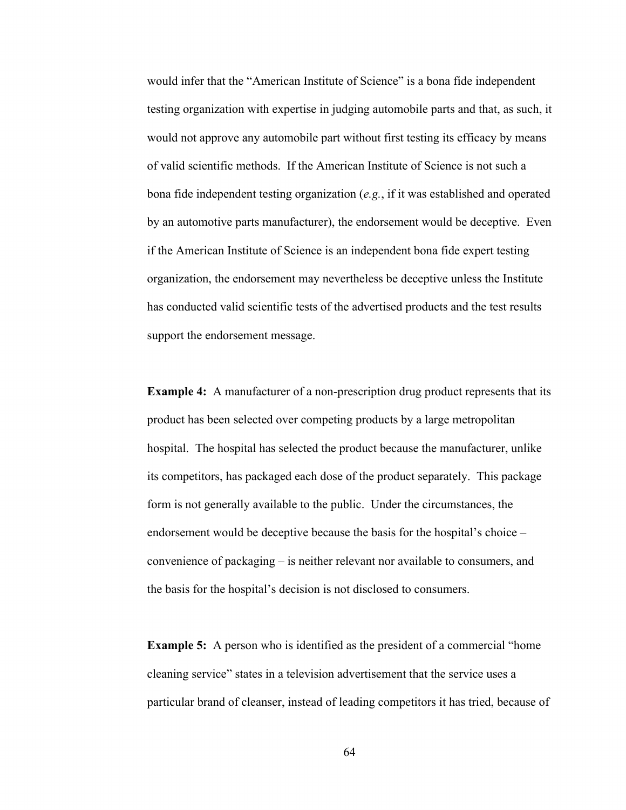would infer that the "American Institute of Science" is a bona fide independent testing organization with expertise in judging automobile parts and that, as such, it would not approve any automobile part without first testing its efficacy by means of valid scientific methods. If the American Institute of Science is not such a bona fide independent testing organization (*e.g.*, if it was established and operated by an automotive parts manufacturer), the endorsement would be deceptive. Even if the American Institute of Science is an independent bona fide expert testing organization, the endorsement may nevertheless be deceptive unless the Institute has conducted valid scientific tests of the advertised products and the test results support the endorsement message.

**Example 4:** A manufacturer of a non-prescription drug product represents that its product has been selected over competing products by a large metropolitan hospital. The hospital has selected the product because the manufacturer, unlike its competitors, has packaged each dose of the product separately. This package form is not generally available to the public. Under the circumstances, the endorsement would be deceptive because the basis for the hospital's choice – convenience of packaging – is neither relevant nor available to consumers, and the basis for the hospital's decision is not disclosed to consumers.

**Example 5:** A person who is identified as the president of a commercial "home cleaning service" states in a television advertisement that the service uses a particular brand of cleanser, instead of leading competitors it has tried, because of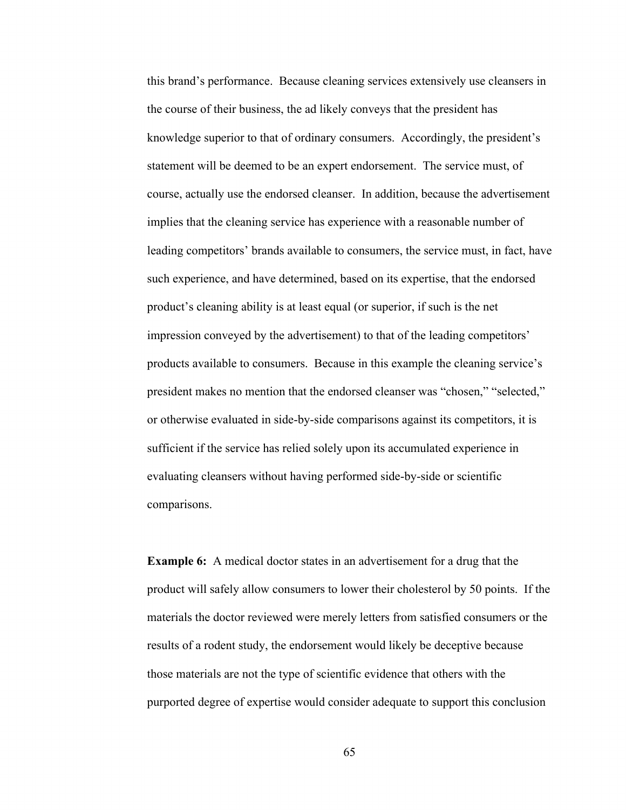this brand's performance. Because cleaning services extensively use cleansers in the course of their business, the ad likely conveys that the president has knowledge superior to that of ordinary consumers. Accordingly, the president's statement will be deemed to be an expert endorsement. The service must, of course, actually use the endorsed cleanser. In addition, because the advertisement implies that the cleaning service has experience with a reasonable number of leading competitors' brands available to consumers, the service must, in fact, have such experience, and have determined, based on its expertise, that the endorsed product's cleaning ability is at least equal (or superior, if such is the net impression conveyed by the advertisement) to that of the leading competitors' products available to consumers. Because in this example the cleaning service's president makes no mention that the endorsed cleanser was "chosen," "selected," or otherwise evaluated in side-by-side comparisons against its competitors, it is sufficient if the service has relied solely upon its accumulated experience in evaluating cleansers without having performed side-by-side or scientific comparisons.

**Example 6:** A medical doctor states in an advertisement for a drug that the product will safely allow consumers to lower their cholesterol by 50 points. If the materials the doctor reviewed were merely letters from satisfied consumers or the results of a rodent study, the endorsement would likely be deceptive because those materials are not the type of scientific evidence that others with the purported degree of expertise would consider adequate to support this conclusion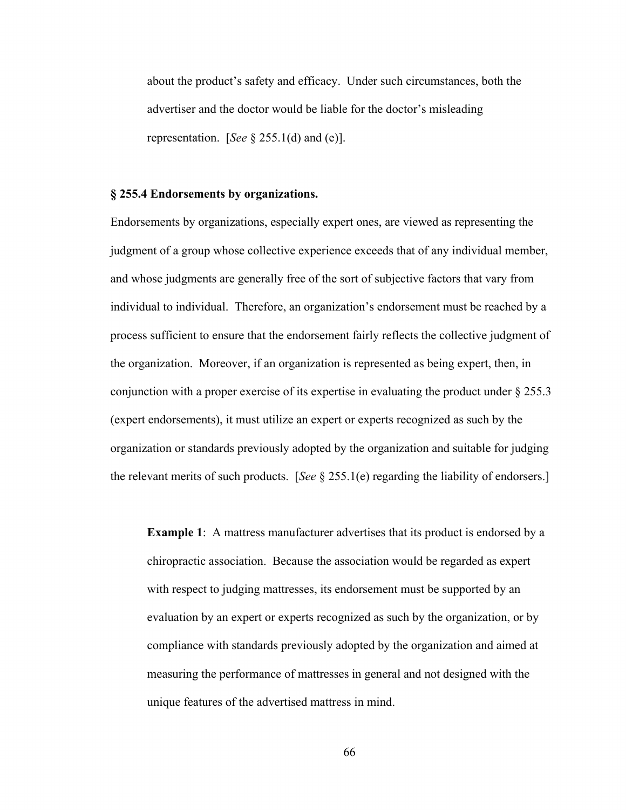about the product's safety and efficacy. Under such circumstances, both the advertiser and the doctor would be liable for the doctor's misleading representation. [*See* § 255.1(d) and (e)].

#### **§ 255.4 Endorsements by organizations.**

Endorsements by organizations, especially expert ones, are viewed as representing the judgment of a group whose collective experience exceeds that of any individual member, and whose judgments are generally free of the sort of subjective factors that vary from individual to individual. Therefore, an organization's endorsement must be reached by a process sufficient to ensure that the endorsement fairly reflects the collective judgment of the organization. Moreover, if an organization is represented as being expert, then, in conjunction with a proper exercise of its expertise in evaluating the product under § 255.3 (expert endorsements), it must utilize an expert or experts recognized as such by the organization or standards previously adopted by the organization and suitable for judging the relevant merits of such products. [*See* § 255.1(e) regarding the liability of endorsers.]

**Example 1:** A mattress manufacturer advertises that its product is endorsed by a chiropractic association. Because the association would be regarded as expert with respect to judging mattresses, its endorsement must be supported by an evaluation by an expert or experts recognized as such by the organization, or by compliance with standards previously adopted by the organization and aimed at measuring the performance of mattresses in general and not designed with the unique features of the advertised mattress in mind.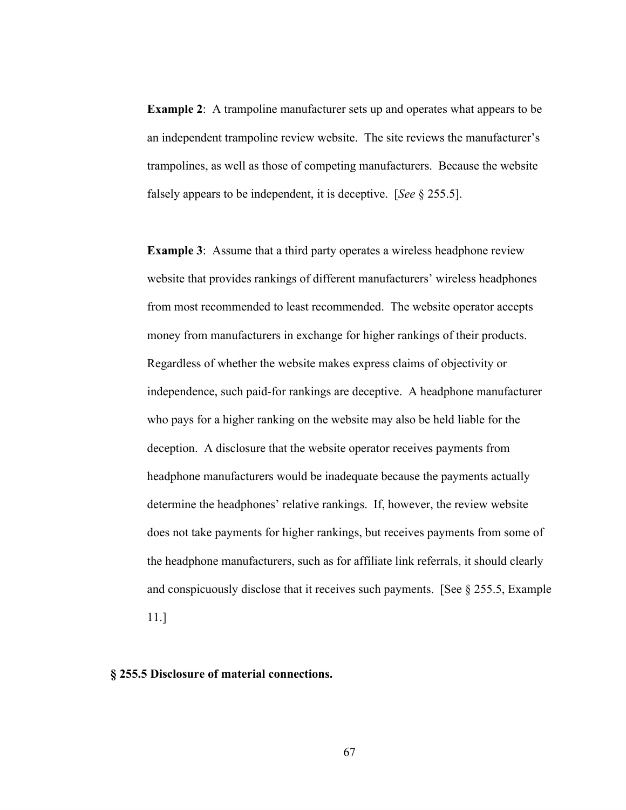**Example 2:** A trampoline manufacturer sets up and operates what appears to be an independent trampoline review website. The site reviews the manufacturer's trampolines, as well as those of competing manufacturers. Because the website falsely appears to be independent, it is deceptive. [*See* § 255.5].

**Example 3:** Assume that a third party operates a wireless headphone review website that provides rankings of different manufacturers' wireless headphones from most recommended to least recommended. The website operator accepts money from manufacturers in exchange for higher rankings of their products. Regardless of whether the website makes express claims of objectivity or independence, such paid-for rankings are deceptive. A headphone manufacturer who pays for a higher ranking on the website may also be held liable for the deception. A disclosure that the website operator receives payments from headphone manufacturers would be inadequate because the payments actually determine the headphones' relative rankings. If, however, the review website does not take payments for higher rankings, but receives payments from some of the headphone manufacturers, such as for affiliate link referrals, it should clearly and conspicuously disclose that it receives such payments. [See  $\S$  255.5, Example

11.]

# **§ 255.5 Disclosure of material connections.**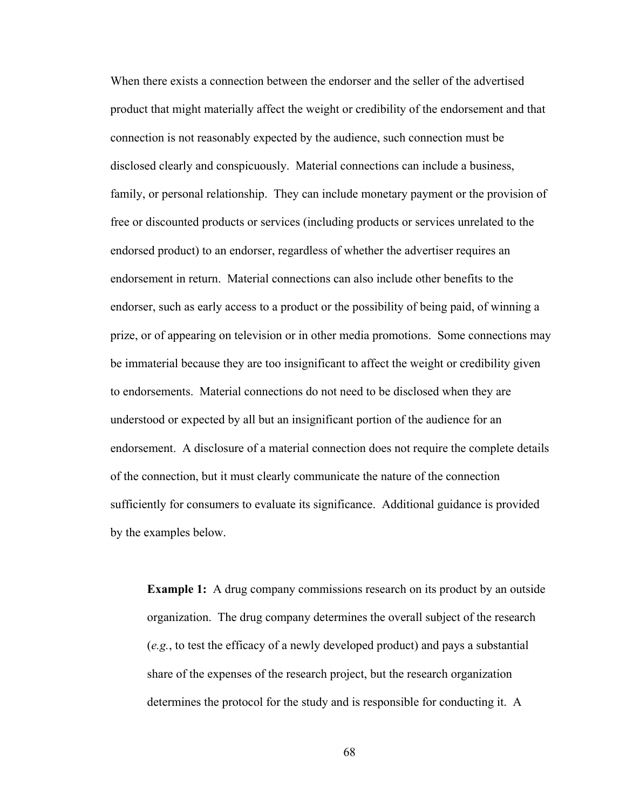When there exists a connection between the endorser and the seller of the advertised product that might materially affect the weight or credibility of the endorsement and that connection is not reasonably expected by the audience, such connection must be disclosed clearly and conspicuously. Material connections can include a business, family, or personal relationship. They can include monetary payment or the provision of free or discounted products or services (including products or services unrelated to the endorsed product) to an endorser, regardless of whether the advertiser requires an endorsement in return. Material connections can also include other benefits to the endorser, such as early access to a product or the possibility of being paid, of winning a prize, or of appearing on television or in other media promotions. Some connections may be immaterial because they are too insignificant to affect the weight or credibility given to endorsements. Material connections do not need to be disclosed when they are understood or expected by all but an insignificant portion of the audience for an endorsement. A disclosure of a material connection does not require the complete details of the connection, but it must clearly communicate the nature of the connection sufficiently for consumers to evaluate its significance. Additional guidance is provided by the examples below.

**Example 1:** A drug company commissions research on its product by an outside organization. The drug company determines the overall subject of the research (*e.g.*, to test the efficacy of a newly developed product) and pays a substantial share of the expenses of the research project, but the research organization determines the protocol for the study and is responsible for conducting it. A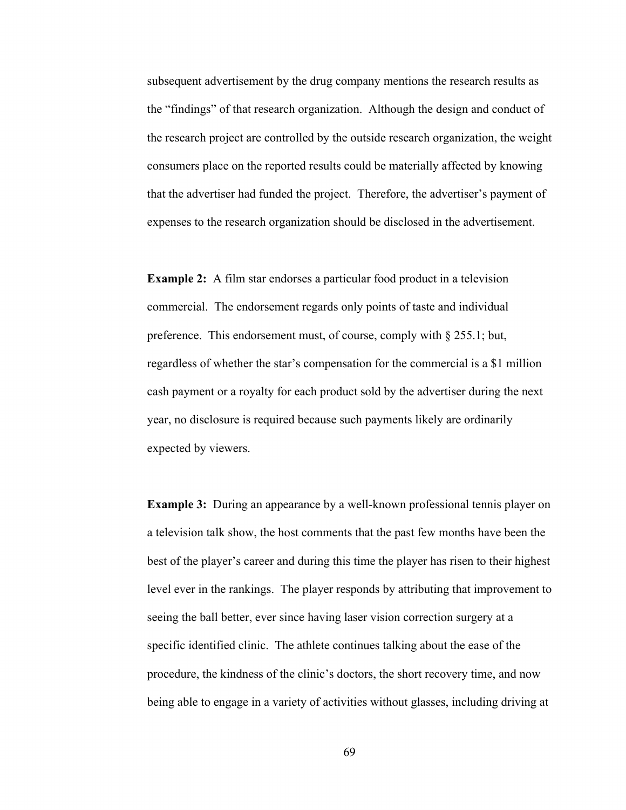subsequent advertisement by the drug company mentions the research results as the "findings" of that research organization. Although the design and conduct of the research project are controlled by the outside research organization, the weight consumers place on the reported results could be materially affected by knowing that the advertiser had funded the project. Therefore, the advertiser's payment of expenses to the research organization should be disclosed in the advertisement.

**Example 2:** A film star endorses a particular food product in a television commercial. The endorsement regards only points of taste and individual preference. This endorsement must, of course, comply with § 255.1; but, regardless of whether the star's compensation for the commercial is a \$1 million cash payment or a royalty for each product sold by the advertiser during the next year, no disclosure is required because such payments likely are ordinarily expected by viewers.

**Example 3:** During an appearance by a well-known professional tennis player on a television talk show, the host comments that the past few months have been the best of the player's career and during this time the player has risen to their highest level ever in the rankings. The player responds by attributing that improvement to seeing the ball better, ever since having laser vision correction surgery at a specific identified clinic. The athlete continues talking about the ease of the procedure, the kindness of the clinic's doctors, the short recovery time, and now being able to engage in a variety of activities without glasses, including driving at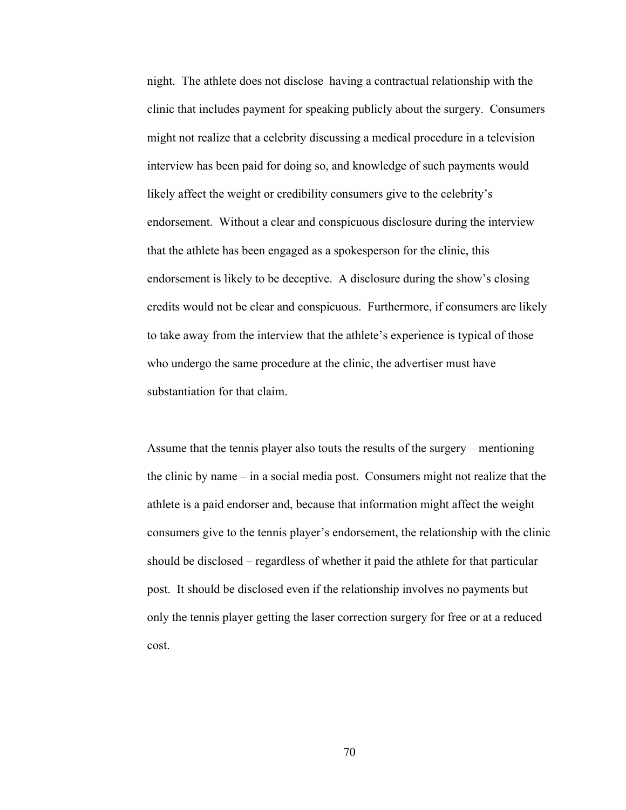night. The athlete does not disclose having a contractual relationship with the clinic that includes payment for speaking publicly about the surgery. Consumers might not realize that a celebrity discussing a medical procedure in a television interview has been paid for doing so, and knowledge of such payments would likely affect the weight or credibility consumers give to the celebrity's endorsement. Without a clear and conspicuous disclosure during the interview that the athlete has been engaged as a spokesperson for the clinic, this endorsement is likely to be deceptive. A disclosure during the show's closing credits would not be clear and conspicuous. Furthermore, if consumers are likely to take away from the interview that the athlete's experience is typical of those who undergo the same procedure at the clinic, the advertiser must have substantiation for that claim.

Assume that the tennis player also touts the results of the surgery – mentioning the clinic by name – in a social media post. Consumers might not realize that the athlete is a paid endorser and, because that information might affect the weight consumers give to the tennis player's endorsement, the relationship with the clinic should be disclosed – regardless of whether it paid the athlete for that particular post. It should be disclosed even if the relationship involves no payments but only the tennis player getting the laser correction surgery for free or at a reduced cost.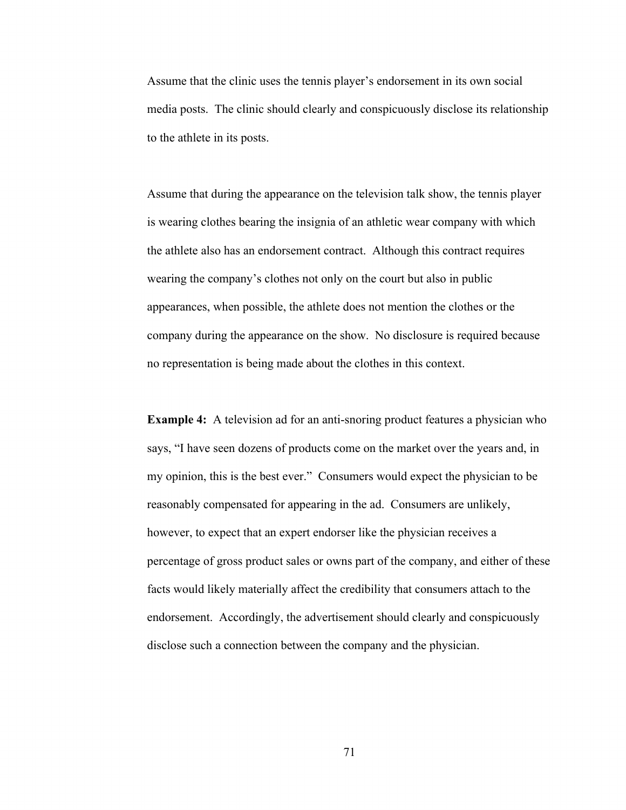Assume that the clinic uses the tennis player's endorsement in its own social media posts. The clinic should clearly and conspicuously disclose its relationship to the athlete in its posts.

Assume that during the appearance on the television talk show, the tennis player is wearing clothes bearing the insignia of an athletic wear company with which the athlete also has an endorsement contract. Although this contract requires wearing the company's clothes not only on the court but also in public appearances, when possible, the athlete does not mention the clothes or the company during the appearance on the show. No disclosure is required because no representation is being made about the clothes in this context.

**Example 4:** A television ad for an anti-snoring product features a physician who says, "I have seen dozens of products come on the market over the years and, in my opinion, this is the best ever." Consumers would expect the physician to be reasonably compensated for appearing in the ad. Consumers are unlikely, however, to expect that an expert endorser like the physician receives a percentage of gross product sales or owns part of the company, and either of these facts would likely materially affect the credibility that consumers attach to the endorsement. Accordingly, the advertisement should clearly and conspicuously disclose such a connection between the company and the physician.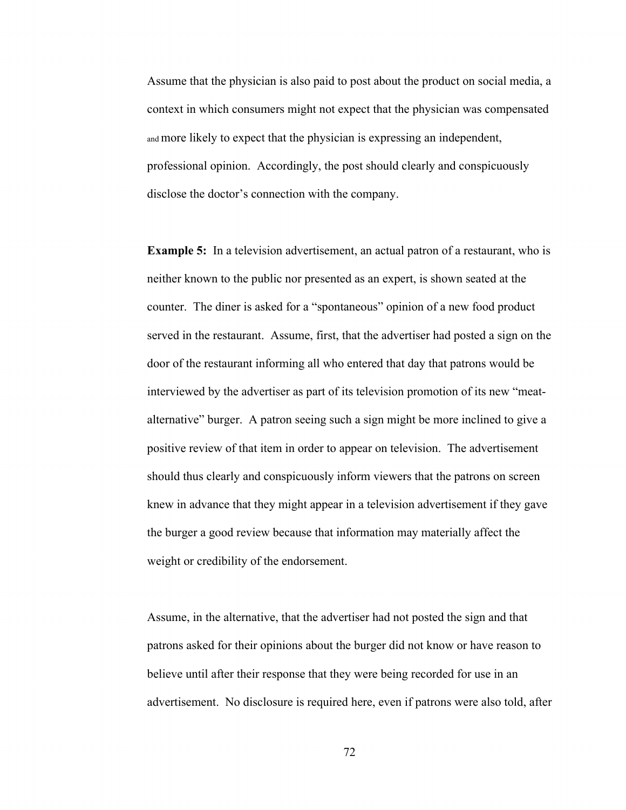Assume that the physician is also paid to post about the product on social media, a context in which consumers might not expect that the physician was compensated and more likely to expect that the physician is expressing an independent, professional opinion. Accordingly, the post should clearly and conspicuously disclose the doctor's connection with the company.

**Example 5:** In a television advertisement, an actual patron of a restaurant, who is neither known to the public nor presented as an expert, is shown seated at the counter. The diner is asked for a "spontaneous" opinion of a new food product served in the restaurant. Assume, first, that the advertiser had posted a sign on the door of the restaurant informing all who entered that day that patrons would be interviewed by the advertiser as part of its television promotion of its new "meatalternative" burger. A patron seeing such a sign might be more inclined to give a positive review of that item in order to appear on television. The advertisement should thus clearly and conspicuously inform viewers that the patrons on screen knew in advance that they might appear in a television advertisement if they gave the burger a good review because that information may materially affect the weight or credibility of the endorsement.

Assume, in the alternative, that the advertiser had not posted the sign and that patrons asked for their opinions about the burger did not know or have reason to believe until after their response that they were being recorded for use in an advertisement. No disclosure is required here, even if patrons were also told, after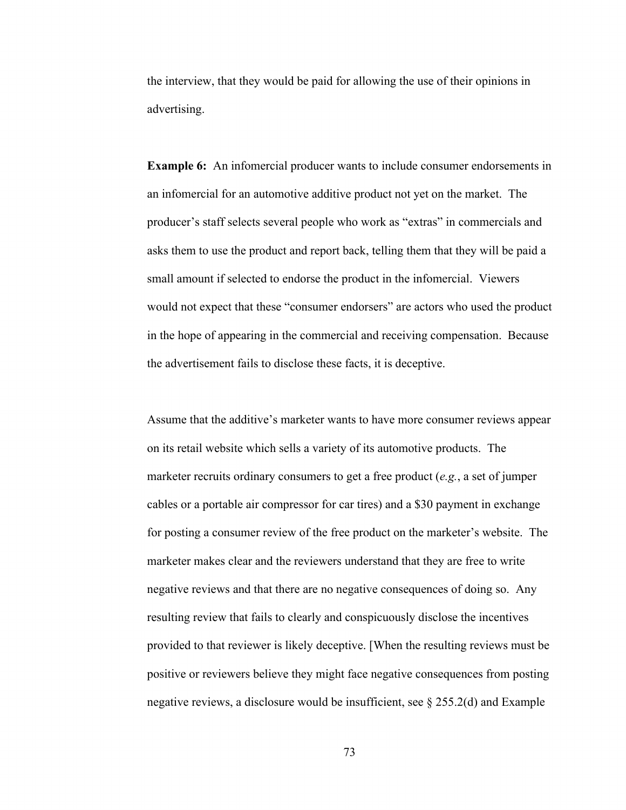the interview, that they would be paid for allowing the use of their opinions in advertising.

**Example 6:** An infomercial producer wants to include consumer endorsements in an infomercial for an automotive additive product not yet on the market. The producer's staff selects several people who work as "extras" in commercials and asks them to use the product and report back, telling them that they will be paid a small amount if selected to endorse the product in the infomercial. Viewers would not expect that these "consumer endorsers" are actors who used the product in the hope of appearing in the commercial and receiving compensation. Because the advertisement fails to disclose these facts, it is deceptive.

Assume that the additive's marketer wants to have more consumer reviews appear on its retail website which sells a variety of its automotive products. The marketer recruits ordinary consumers to get a free product (*e.g.*, a set of jumper cables or a portable air compressor for car tires) and a \$30 payment in exchange for posting a consumer review of the free product on the marketer's website. The marketer makes clear and the reviewers understand that they are free to write negative reviews and that there are no negative consequences of doing so. Any resulting review that fails to clearly and conspicuously disclose the incentives provided to that reviewer is likely deceptive. [When the resulting reviews must be positive or reviewers believe they might face negative consequences from posting negative reviews, a disclosure would be insufficient, see  $\S 255.2(d)$  and Example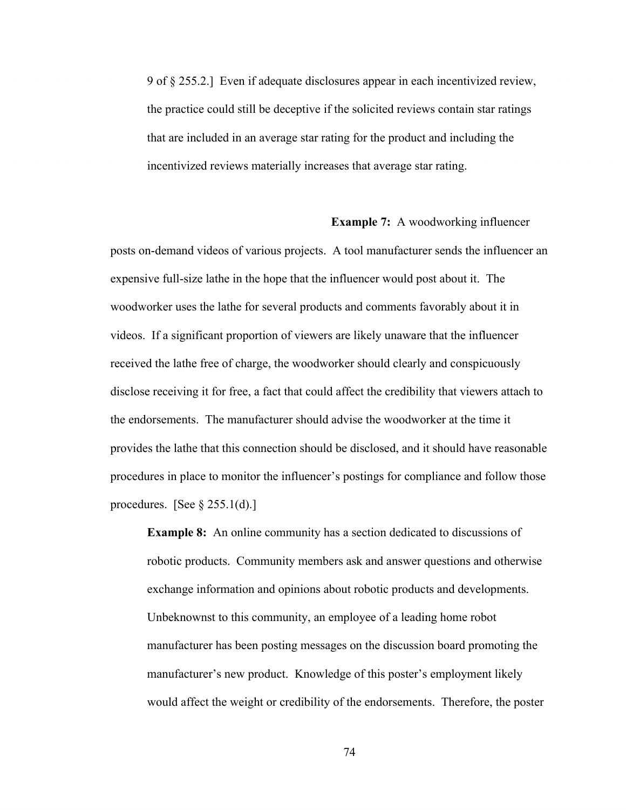9 of § 255.2.] Even if adequate disclosures appear in each incentivized review, the practice could still be deceptive if the solicited reviews contain star ratings that are included in an average star rating for the product and including the incentivized reviews materially increases that average star rating.

## **Example 7:** A woodworking influencer

posts on-demand videos of various projects. A tool manufacturer sends the influencer an expensive full-size lathe in the hope that the influencer would post about it. The woodworker uses the lathe for several products and comments favorably about it in videos. If a significant proportion of viewers are likely unaware that the influencer received the lathe free of charge, the woodworker should clearly and conspicuously disclose receiving it for free, a fact that could affect the credibility that viewers attach to the endorsements. The manufacturer should advise the woodworker at the time it provides the lathe that this connection should be disclosed, and it should have reasonable procedures in place to monitor the influencer's postings for compliance and follow those procedures. [See  $\S 255.1(d)$ .]

**Example 8:** An online community has a section dedicated to discussions of robotic products. Community members ask and answer questions and otherwise exchange information and opinions about robotic products and developments. Unbeknownst to this community, an employee of a leading home robot manufacturer has been posting messages on the discussion board promoting the manufacturer's new product. Knowledge of this poster's employment likely would affect the weight or credibility of the endorsements. Therefore, the poster

74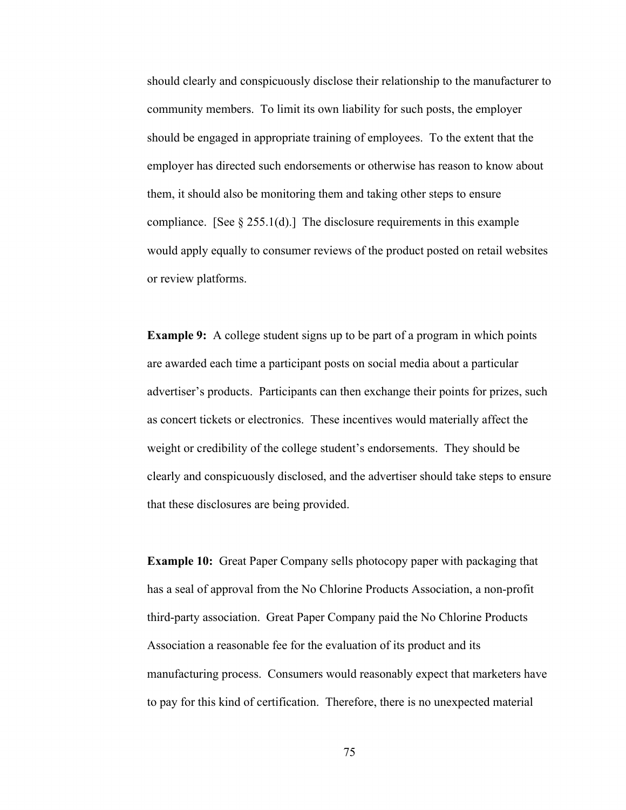should clearly and conspicuously disclose their relationship to the manufacturer to community members. To limit its own liability for such posts, the employer should be engaged in appropriate training of employees. To the extent that the employer has directed such endorsements or otherwise has reason to know about them, it should also be monitoring them and taking other steps to ensure compliance. [See  $\S 255.1(d)$ .] The disclosure requirements in this example would apply equally to consumer reviews of the product posted on retail websites or review platforms.

**Example 9:** A college student signs up to be part of a program in which points are awarded each time a participant posts on social media about a particular advertiser's products. Participants can then exchange their points for prizes, such as concert tickets or electronics. These incentives would materially affect the weight or credibility of the college student's endorsements. They should be clearly and conspicuously disclosed, and the advertiser should take steps to ensure that these disclosures are being provided.

**Example 10:** Great Paper Company sells photocopy paper with packaging that has a seal of approval from the No Chlorine Products Association, a non-profit third-party association. Great Paper Company paid the No Chlorine Products Association a reasonable fee for the evaluation of its product and its manufacturing process. Consumers would reasonably expect that marketers have to pay for this kind of certification. Therefore, there is no unexpected material

75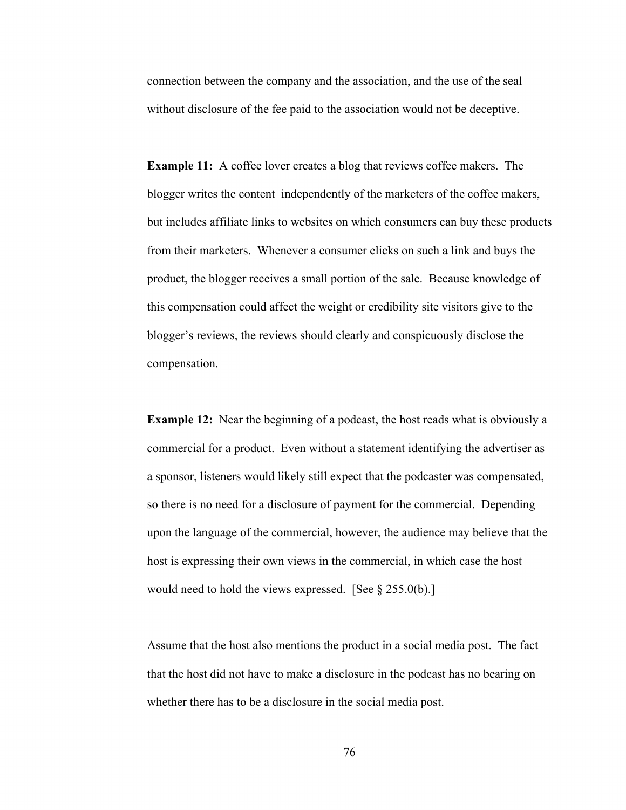connection between the company and the association, and the use of the seal without disclosure of the fee paid to the association would not be deceptive.

**Example 11:** A coffee lover creates a blog that reviews coffee makers. The blogger writes the content independently of the marketers of the coffee makers, but includes affiliate links to websites on which consumers can buy these products from their marketers. Whenever a consumer clicks on such a link and buys the product, the blogger receives a small portion of the sale. Because knowledge of this compensation could affect the weight or credibility site visitors give to the blogger's reviews, the reviews should clearly and conspicuously disclose the compensation.

**Example 12:** Near the beginning of a podcast, the host reads what is obviously a commercial for a product. Even without a statement identifying the advertiser as a sponsor, listeners would likely still expect that the podcaster was compensated, so there is no need for a disclosure of payment for the commercial. Depending upon the language of the commercial, however, the audience may believe that the host is expressing their own views in the commercial, in which case the host would need to hold the views expressed. [See § 255.0(b).]

Assume that the host also mentions the product in a social media post. The fact that the host did not have to make a disclosure in the podcast has no bearing on whether there has to be a disclosure in the social media post.

76